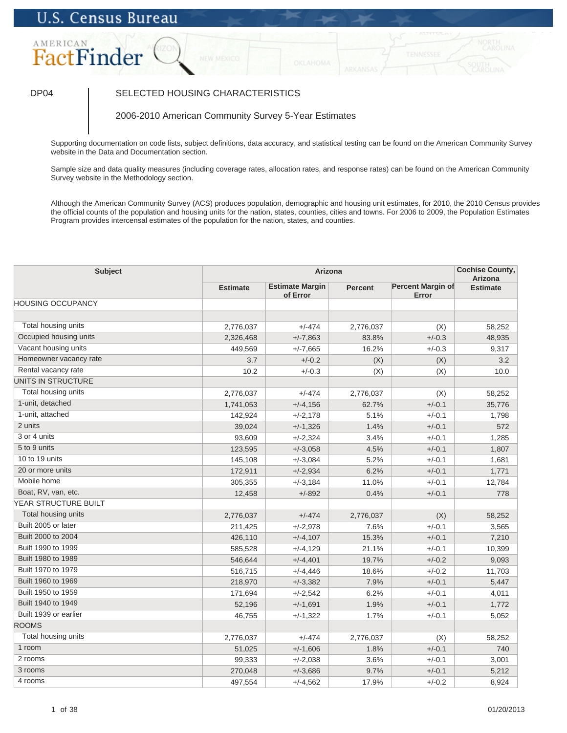# **U.S. Census Bureau**

## AMERICAN FactFinder

### DP04 SELECTED HOUSING CHARACTERISTICS

2006-2010 American Community Survey 5-Year Estimates

Supporting documentation on code lists, subject definitions, data accuracy, and statistical testing can be found on the American Community Survey website in the Data and Documentation section.

Sample size and data quality measures (including coverage rates, allocation rates, and response rates) can be found on the American Community Survey website in the Methodology section.

Although the American Community Survey (ACS) produces population, demographic and housing unit estimates, for 2010, the 2010 Census provides the official counts of the population and housing units for the nation, states, counties, cities and towns. For 2006 to 2009, the Population Estimates Program provides intercensal estimates of the population for the nation, states, and counties.

| <b>Subject</b>           | Arizona         |                                    |                |                                   | <b>Cochise County,</b><br><b>Arizona</b> |
|--------------------------|-----------------|------------------------------------|----------------|-----------------------------------|------------------------------------------|
|                          | <b>Estimate</b> | <b>Estimate Margin</b><br>of Error | <b>Percent</b> | <b>Percent Margin of</b><br>Error | <b>Estimate</b>                          |
| <b>HOUSING OCCUPANCY</b> |                 |                                    |                |                                   |                                          |
|                          |                 |                                    |                |                                   |                                          |
| Total housing units      | 2,776,037       | $+/-474$                           | 2,776,037      | (X)                               | 58,252                                   |
| Occupied housing units   | 2,326,468       | $+/-7,863$                         | 83.8%          | $+/-0.3$                          | 48,935                                   |
| Vacant housing units     | 449,569         | $+/-7,665$                         | 16.2%          | $+/-0.3$                          | 9,317                                    |
| Homeowner vacancy rate   | 3.7             | $+/-0.2$                           | (X)            | (X)                               | 3.2                                      |
| Rental vacancy rate      | 10.2            | $+/-0.3$                           | (X)            | (X)                               | 10.0                                     |
| UNITS IN STRUCTURE       |                 |                                    |                |                                   |                                          |
| Total housing units      | 2,776,037       | $+/-474$                           | 2,776,037      | (X)                               | 58,252                                   |
| 1-unit, detached         | 1,741,053       | $+/-4,156$                         | 62.7%          | $+/-0.1$                          | 35,776                                   |
| 1-unit, attached         | 142,924         | $+/-2,178$                         | 5.1%           | $+/-0.1$                          | 1,798                                    |
| 2 units                  | 39,024          | $+/-1,326$                         | 1.4%           | $+/-0.1$                          | 572                                      |
| 3 or 4 units             | 93,609          | $+/-2,324$                         | 3.4%           | $+/-0.1$                          | 1,285                                    |
| 5 to 9 units             | 123,595         | $+/-3,058$                         | 4.5%           | $+/-0.1$                          | 1,807                                    |
| 10 to 19 units           | 145,108         | $+/-3,084$                         | 5.2%           | $+/-0.1$                          | 1,681                                    |
| 20 or more units         | 172,911         | $+/-2,934$                         | 6.2%           | $+/-0.1$                          | 1,771                                    |
| Mobile home              | 305,355         | $+/-3,184$                         | 11.0%          | $+/-0.1$                          | 12,784                                   |
| Boat, RV, van, etc.      | 12,458          | $+/-892$                           | 0.4%           | $+/-0.1$                          | 778                                      |
| YEAR STRUCTURE BUILT     |                 |                                    |                |                                   |                                          |
| Total housing units      | 2,776,037       | $+/-474$                           | 2,776,037      | (X)                               | 58,252                                   |
| Built 2005 or later      | 211,425         | $+/-2,978$                         | 7.6%           | $+/-0.1$                          | 3,565                                    |
| Built 2000 to 2004       | 426,110         | $+/-4,107$                         | 15.3%          | $+/-0.1$                          | 7,210                                    |
| Built 1990 to 1999       | 585,528         | $+/-4,129$                         | 21.1%          | $+/-0.1$                          | 10,399                                   |
| Built 1980 to 1989       | 546,644         | $+/-4,401$                         | 19.7%          | $+/-0.2$                          | 9,093                                    |
| Built 1970 to 1979       | 516,715         | $+/-4,446$                         | 18.6%          | $+/-0.2$                          | 11,703                                   |
| Built 1960 to 1969       | 218,970         | $+/-3,382$                         | 7.9%           | $+/-0.1$                          | 5,447                                    |
| Built 1950 to 1959       | 171,694         | $+/-2,542$                         | 6.2%           | $+/-0.1$                          | 4,011                                    |
| Built 1940 to 1949       | 52,196          | $+/-1,691$                         | 1.9%           | $+/-0.1$                          | 1,772                                    |
| Built 1939 or earlier    | 46,755          | $+/-1,322$                         | 1.7%           | $+/-0.1$                          | 5,052                                    |
| <b>ROOMS</b>             |                 |                                    |                |                                   |                                          |
| Total housing units      | 2,776,037       | $+/-474$                           | 2,776,037      | (X)                               | 58.252                                   |
| 1 room                   | 51,025          | $+/-1,606$                         | 1.8%           | $+/-0.1$                          | 740                                      |
| 2 rooms                  | 99,333          | $+/-2.038$                         | 3.6%           | $+/-0.1$                          | 3,001                                    |
| 3 rooms                  | 270,048         | $+/-3,686$                         | 9.7%           | $+/-0.1$                          | 5,212                                    |
| 4 rooms                  | 497,554         | $+/-4,562$                         | 17.9%          | $+/-0.2$                          | 8,924                                    |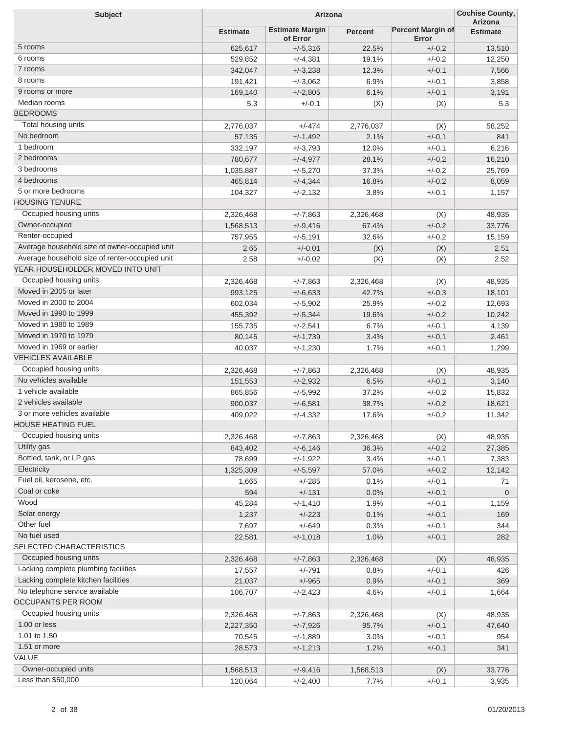| <b>Subject</b><br>Arizona                      |                 |                                    |                |                                   | <b>Cochise County,</b><br>Arizona |
|------------------------------------------------|-----------------|------------------------------------|----------------|-----------------------------------|-----------------------------------|
|                                                | <b>Estimate</b> | <b>Estimate Margin</b><br>of Error | <b>Percent</b> | <b>Percent Margin of</b><br>Error | <b>Estimate</b>                   |
| 5 rooms                                        | 625,617         | $+/-5,316$                         | 22.5%          | $+/-0.2$                          | 13,510                            |
| 6 rooms                                        | 529,852         | $+/-4,381$                         | 19.1%          | $+/-0.2$                          | 12,250                            |
| 7 rooms                                        | 342,047         | $+/-3,238$                         | 12.3%          | $+/-0.1$                          | 7,566                             |
| 8 rooms                                        | 191,421         | $+/-3,062$                         | 6.9%           | $+/-0.1$                          | 3,858                             |
| 9 rooms or more                                | 169,140         | $+/-2,805$                         | 6.1%           | $+/-0.1$                          | 3,191                             |
| Median rooms                                   | 5.3             | $+/-0.1$                           | (X)            | (X)                               | 5.3                               |
| <b>BEDROOMS</b>                                |                 |                                    |                |                                   |                                   |
| Total housing units                            | 2,776,037       | $+/-474$                           | 2,776,037      | (X)                               | 58,252                            |
| No bedroom                                     | 57,135          | $+/-1,492$                         | 2.1%           | $+/-0.1$                          | 841                               |
| 1 bedroom                                      | 332,197         | $+/-3,793$                         | 12.0%          | $+/-0.1$                          | 6,216                             |
| 2 bedrooms                                     | 780,677         | $+/-4,977$                         | 28.1%          | $+/-0.2$                          | 16,210                            |
| 3 bedrooms                                     | 1,035,887       | $+/-5,270$                         | 37.3%          | $+/-0.2$                          | 25,769                            |
| 4 bedrooms                                     | 465,814         | $+/-4,344$                         | 16.8%          | $+/-0.2$                          | 8,059                             |
| 5 or more bedrooms                             | 104,327         | $+/-2,132$                         | 3.8%           | $+/-0.1$                          | 1,157                             |
| <b>HOUSING TENURE</b>                          |                 |                                    |                |                                   |                                   |
| Occupied housing units                         | 2,326,468       | $+/-7,863$                         | 2,326,468      | (X)                               | 48,935                            |
| Owner-occupied                                 | 1,568,513       | $+/-9,416$                         | 67.4%          | $+/-0.2$                          | 33,776                            |
| Renter-occupied                                | 757,955         | $+/-5,191$                         | 32.6%          | $+/-0.2$                          | 15,159                            |
| Average household size of owner-occupied unit  | 2.65            | $+/-0.01$                          |                | (X)                               | 2.51                              |
| Average household size of renter-occupied unit |                 | $+/-0.02$                          | (X)            |                                   |                                   |
| YEAR HOUSEHOLDER MOVED INTO UNIT               | 2.58            |                                    | (X)            | (X)                               | 2.52                              |
| Occupied housing units                         |                 |                                    |                |                                   |                                   |
| Moved in 2005 or later                         | 2,326,468       | $+/-7,863$                         | 2,326,468      | (X)                               | 48,935                            |
| Moved in 2000 to 2004                          | 993,125         | $+/-6,633$                         | 42.7%          | $+/-0.3$                          | 18,101                            |
| Moved in 1990 to 1999                          | 602,034         | $+/-5,902$                         | 25.9%          | $+/-0.2$                          | 12,693                            |
| Moved in 1980 to 1989                          | 455,392         | $+/-5,344$                         | 19.6%          | $+/-0.2$                          | 10,242                            |
|                                                | 155,735         | $+/-2,541$                         | 6.7%           | $+/-0.1$                          | 4,139                             |
| Moved in 1970 to 1979                          | 80,145          | $+/-1,739$                         | 3.4%           | $+/-0.1$                          | 2,461                             |
| Moved in 1969 or earlier                       | 40,037          | $+/-1,230$                         | 1.7%           | $+/-0.1$                          | 1,299                             |
| <b>VEHICLES AVAILABLE</b>                      |                 |                                    |                |                                   |                                   |
| Occupied housing units                         | 2,326,468       | $+/-7,863$                         | 2,326,468      | (X)                               | 48,935                            |
| No vehicles available                          | 151,553         | $+/-2,932$                         | 6.5%           | $+/-0.1$                          | 3,140                             |
| 1 vehicle available                            | 865,856         | $+/-5,992$                         | 37.2%          | $+/-0.2$                          | 15,832                            |
| 2 vehicles available                           | 900,037         | $+/-6,581$                         | 38.7%          | $+/-0.2$                          | 18,621                            |
| 3 or more vehicles available                   | 409,022         | $+/-4,332$                         | 17.6%          | $+/-0.2$                          | 11,342                            |
| <b>HOUSE HEATING FUEL</b>                      |                 |                                    |                |                                   |                                   |
| Occupied housing units                         | 2,326,468       | $+/-7,863$                         | 2,326,468      | (X)                               | 48,935                            |
| Utility gas                                    | 843,402         | $+/-6,146$                         | 36.3%          | $+/-0.2$                          | 27,385                            |
| Bottled, tank, or LP gas                       | 78,699          | $+/-1,922$                         | 3.4%           | $+/-0.1$                          | 7,383                             |
| Electricity                                    | 1,325,309       | $+/-5,597$                         | 57.0%          | $+/-0.2$                          | 12,142                            |
| Fuel oil, kerosene, etc.                       | 1,665           | $+/-285$                           | 0.1%           | $+/-0.1$                          | 71                                |
| Coal or coke                                   | 594             | $+/-131$                           | 0.0%           | $+/-0.1$                          | $\overline{0}$                    |
| Wood                                           | 45,284          | $+/-1,410$                         | 1.9%           | $+/-0.1$                          | 1,159                             |
| Solar energy                                   | 1,237           | $+/-223$                           | 0.1%           | $+/-0.1$                          | 169                               |
| Other fuel                                     | 7,697           | $+/-649$                           | 0.3%           | $+/-0.1$                          | 344                               |
| No fuel used                                   | 22,581          | $+/-1,018$                         | 1.0%           | $+/-0.1$                          | 282                               |
| SELECTED CHARACTERISTICS                       |                 |                                    |                |                                   |                                   |
| Occupied housing units                         | 2,326,468       | $+/-7,863$                         | 2,326,468      | (X)                               | 48,935                            |
| Lacking complete plumbing facilities           | 17,557          | $+/-791$                           | 0.8%           | $+/-0.1$                          | 426                               |
| Lacking complete kitchen facilities            | 21,037          | $+/-965$                           | 0.9%           | $+/-0.1$                          | 369                               |
| No telephone service available                 | 106,707         | $+/-2,423$                         | 4.6%           | $+/-0.1$                          | 1,664                             |
| OCCUPANTS PER ROOM                             |                 |                                    |                |                                   |                                   |
| Occupied housing units                         | 2,326,468       | $+/-7,863$                         | 2,326,468      | (X)                               | 48,935                            |
| 1.00 or less                                   | 2,227,350       | $+/-7,926$                         | 95.7%          | $+/-0.1$                          | 47,640                            |
| 1.01 to 1.50                                   | 70,545          | $+/-1,889$                         | 3.0%           | $+/-0.1$                          | 954                               |
| 1.51 or more                                   | 28,573          | $+/-1,213$                         | 1.2%           | $+/-0.1$                          | 341                               |
| VALUE                                          |                 |                                    |                |                                   |                                   |
| Owner-occupied units                           | 1,568,513       | $+/-9,416$                         | 1,568,513      | (X)                               | 33,776                            |
| Less than \$50,000                             | 120,064         | $+/-2,400$                         | 7.7%           | $+/-0.1$                          | 3,935                             |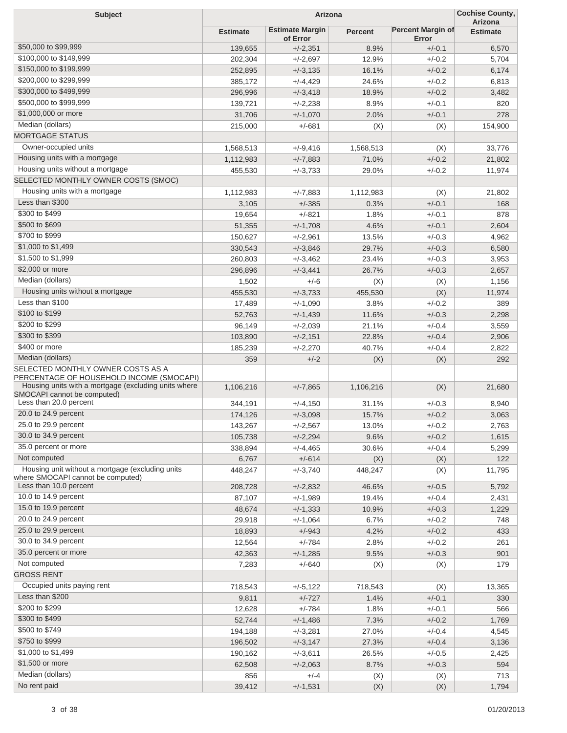| <b>Subject</b>                                                                                                                        | Arizona         |                                    |                |                                   | <b>Cochise County,</b><br>Arizona |
|---------------------------------------------------------------------------------------------------------------------------------------|-----------------|------------------------------------|----------------|-----------------------------------|-----------------------------------|
|                                                                                                                                       | <b>Estimate</b> | <b>Estimate Margin</b><br>of Error | <b>Percent</b> | <b>Percent Margin of</b><br>Error | <b>Estimate</b>                   |
| \$50,000 to \$99,999                                                                                                                  | 139,655         | $+/-2,351$                         | 8.9%           | $+/-0.1$                          | 6,570                             |
| \$100,000 to \$149,999                                                                                                                | 202,304         | $+/-2,697$                         | 12.9%          | $+/-0.2$                          | 5,704                             |
| \$150,000 to \$199,999                                                                                                                | 252,895         | $+/-3,135$                         | 16.1%          | $+/-0.2$                          | 6,174                             |
| \$200,000 to \$299,999                                                                                                                | 385,172         | $+/-4,429$                         | 24.6%          | $+/-0.2$                          | 6,813                             |
| \$300,000 to \$499,999                                                                                                                | 296,996         | $+/-3,418$                         | 18.9%          | $+/-0.2$                          | 3,482                             |
| \$500,000 to \$999,999                                                                                                                | 139,721         | $+/-2,238$                         | 8.9%           | $+/-0.1$                          | 820                               |
| \$1,000,000 or more                                                                                                                   | 31,706          | $+/-1,070$                         | 2.0%           | $+/-0.1$                          | 278                               |
| Median (dollars)                                                                                                                      | 215,000         | $+/-681$                           | (X)            | (X)                               | 154,900                           |
| <b>MORTGAGE STATUS</b>                                                                                                                |                 |                                    |                |                                   |                                   |
| Owner-occupied units                                                                                                                  | 1,568,513       | $+/-9,416$                         | 1,568,513      | (X)                               | 33,776                            |
| Housing units with a mortgage                                                                                                         | 1,112,983       | $+/-7,883$                         | 71.0%          | $+/-0.2$                          | 21,802                            |
| Housing units without a mortgage                                                                                                      | 455,530         | $+/-3,733$                         | 29.0%          | $+/-0.2$                          | 11,974                            |
| SELECTED MONTHLY OWNER COSTS (SMOC)                                                                                                   |                 |                                    |                |                                   |                                   |
| Housing units with a mortgage                                                                                                         |                 |                                    |                |                                   |                                   |
| Less than \$300                                                                                                                       | 1,112,983       | $+/-7,883$                         | 1,112,983      | (X)<br>$+/-0.1$                   | 21,802                            |
| \$300 to \$499                                                                                                                        | 3,105           | $+/-385$                           | 0.3%           |                                   | 168                               |
| \$500 to \$699                                                                                                                        | 19,654          | $+/-821$                           | 1.8%           | $+/-0.1$                          | 878                               |
| \$700 to \$999                                                                                                                        | 51,355          | $+/-1,708$                         | 4.6%           | $+/-0.1$                          | 2,604                             |
|                                                                                                                                       | 150,627         | $+/-2,961$                         | 13.5%          | $+/-0.3$                          | 4,962                             |
| \$1,000 to \$1,499                                                                                                                    | 330,543         | $+/-3,846$                         | 29.7%          | $+/-0.3$                          | 6,580                             |
| \$1,500 to \$1,999                                                                                                                    | 260,803         | $+/-3,462$                         | 23.4%          | $+/-0.3$                          | 3,953                             |
| \$2,000 or more                                                                                                                       | 296,896         | $+/-3,441$                         | 26.7%          | $+/-0.3$                          | 2,657                             |
| Median (dollars)                                                                                                                      | 1,502           | $+/-6$                             | (X)            | (X)                               | 1,156                             |
| Housing units without a mortgage                                                                                                      | 455,530         | $+/-3,733$                         | 455,530        | (X)                               | 11,974                            |
| Less than \$100                                                                                                                       | 17,489          | $+/-1,090$                         | 3.8%           | $+/-0.2$                          | 389                               |
| \$100 to \$199                                                                                                                        | 52,763          | $+/-1,439$                         | 11.6%          | $+/-0.3$                          | 2,298                             |
| \$200 to \$299                                                                                                                        | 96,149          | $+/-2,039$                         | 21.1%          | $+/-0.4$                          | 3,559                             |
| \$300 to \$399                                                                                                                        | 103,890         | $+/-2,151$                         | 22.8%          | $+/-0.4$                          | 2,906                             |
| \$400 or more                                                                                                                         | 185,239         | $+/-2,270$                         | 40.7%          | $+/-0.4$                          | 2,822                             |
| Median (dollars)                                                                                                                      | 359             | $+/-2$                             | (X)            | (X)                               | 292                               |
| SELECTED MONTHLY OWNER COSTS AS A<br>PERCENTAGE OF HOUSEHOLD INCOME (SMOCAPI)<br>Housing units with a mortgage (excluding units where |                 |                                    |                |                                   |                                   |
| SMOCAPI cannot be computed)<br>Less than 20.0 percent                                                                                 | 1,106,216       | $+/-7,865$                         | 1,106,216      | (X)                               | 21,680                            |
| 20.0 to 24.9 percent                                                                                                                  | 344,191         | $+/-4,150$                         | 31.1%          | $+/-0.3$                          | 8,940                             |
| 25.0 to 29.9 percent                                                                                                                  | 174,126         | $+/-3,098$                         | 15.7%          | $+/-0.2$                          | 3,063                             |
|                                                                                                                                       | 143,267         | $+/-2,567$                         | 13.0%          | $+/-0.2$                          | 2,763                             |
| 30.0 to 34.9 percent<br>35.0 percent or more                                                                                          | 105,738         | $+/-2,294$                         | 9.6%           | $+/-0.2$                          | 1,615                             |
|                                                                                                                                       | 338,894         | $+/-4,465$                         | 30.6%          | $+/-0.4$                          | 5,299                             |
| Not computed                                                                                                                          | 6,767           | $+/-614$                           | (X)            | (X)                               | 122                               |
| Housing unit without a mortgage (excluding units<br>where SMOCAPI cannot be computed)                                                 | 448,247         | $+/-3,740$                         | 448,247        | (X)                               | 11,795                            |
| Less than 10.0 percent                                                                                                                | 208,728         | $+/-2,832$                         | 46.6%          | $+/-0.5$                          | 5,792                             |
| 10.0 to 14.9 percent                                                                                                                  | 87,107          | $+/-1,989$                         | 19.4%          | $+/-0.4$                          | 2,431                             |
| 15.0 to 19.9 percent                                                                                                                  | 48,674          | $+/-1,333$                         | 10.9%          | $+/-0.3$                          | 1,229                             |
| 20.0 to 24.9 percent                                                                                                                  | 29,918          | $+/-1,064$                         | 6.7%           | $+/-0.2$                          | 748                               |
| 25.0 to 29.9 percent                                                                                                                  | 18,893          | $+/-943$                           | 4.2%           | $+/-0.2$                          | 433                               |
| 30.0 to 34.9 percent                                                                                                                  | 12,564          | $+/-784$                           | 2.8%           | $+/-0.2$                          | 261                               |
| 35.0 percent or more                                                                                                                  | 42,363          | $+/-1,285$                         | 9.5%           | $+/-0.3$                          | 901                               |
| Not computed                                                                                                                          | 7,283           | $+/-640$                           | (X)            | (X)                               | 179                               |
| <b>GROSS RENT</b>                                                                                                                     |                 |                                    |                |                                   |                                   |
| Occupied units paying rent                                                                                                            | 718,543         | $+/-5,122$                         | 718,543        | (X)                               | 13,365                            |
| Less than \$200                                                                                                                       | 9,811           | $+/-727$                           | 1.4%           | $+/-0.1$                          | 330                               |
| \$200 to \$299                                                                                                                        | 12,628          | $+/-784$                           | 1.8%           | $+/-0.1$                          | 566                               |
| \$300 to \$499                                                                                                                        | 52,744          | $+/-1,486$                         | 7.3%           | $+/-0.2$                          | 1,769                             |
| \$500 to \$749                                                                                                                        | 194,188         | $+/-3,281$                         | 27.0%          | $+/-0.4$                          | 4,545                             |
| \$750 to \$999                                                                                                                        | 196,502         | $+/-3,147$                         | 27.3%          | $+/-0.4$                          | 3,136                             |
| \$1,000 to \$1,499                                                                                                                    | 190,162         | $+/-3,611$                         | 26.5%          | $+/-0.5$                          | 2,425                             |
| \$1,500 or more                                                                                                                       | 62,508          | $+/-2,063$                         | 8.7%           | $+/-0.3$                          | 594                               |
| Median (dollars)                                                                                                                      | 856             | $+/-4$                             |                | (X)                               | 713                               |
| No rent paid                                                                                                                          | 39,412          | $+/-1,531$                         | (X)<br>(X)     | (X)                               | 1,794                             |
|                                                                                                                                       |                 |                                    |                |                                   |                                   |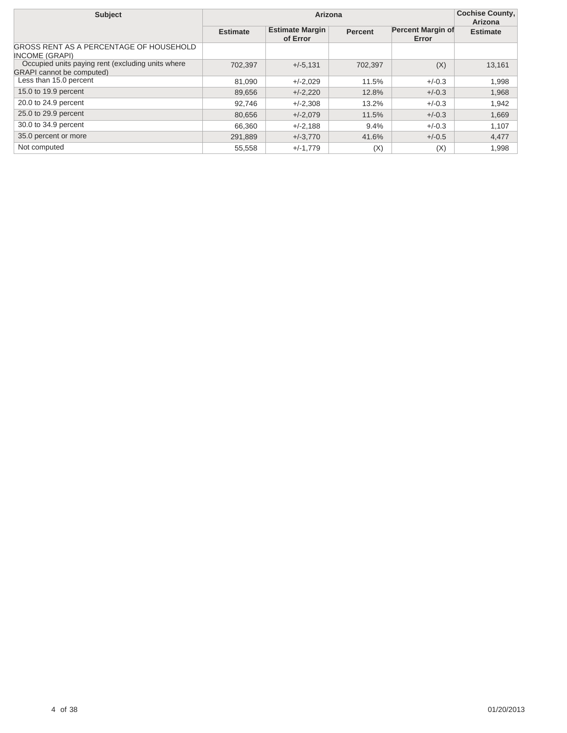| <b>Subject</b>                                                                        |                 | <b>Cochise County,</b><br>Arizona  |                |                                   |                 |
|---------------------------------------------------------------------------------------|-----------------|------------------------------------|----------------|-----------------------------------|-----------------|
|                                                                                       | <b>Estimate</b> | <b>Estimate Margin</b><br>of Error | <b>Percent</b> | <b>Percent Margin of</b><br>Error | <b>Estimate</b> |
| GROSS RENT AS A PERCENTAGE OF HOUSEHOLD<br><b>INCOME (GRAPI)</b>                      |                 |                                    |                |                                   |                 |
| Occupied units paying rent (excluding units where<br><b>GRAPI</b> cannot be computed) | 702,397         | $+/-5,131$                         | 702.397        | (X)                               | 13,161          |
| Less than 15.0 percent                                                                | 81.090          | $+/-2,029$                         | 11.5%          | $+/-0.3$                          | 1.998           |
| 15.0 to 19.9 percent                                                                  | 89.656          | $+/-2,220$                         | 12.8%          | $+/-0.3$                          | 1,968           |
| 20.0 to 24.9 percent                                                                  | 92.746          | $+/-2.308$                         | 13.2%          | $+/-0.3$                          | 1.942           |
| 25.0 to 29.9 percent                                                                  | 80,656          | $+/-2.079$                         | 11.5%          | $+/-0.3$                          | 1.669           |
| 30.0 to 34.9 percent                                                                  | 66,360          | $+/-2,188$                         | 9.4%           | $+/-0.3$                          | 1.107           |
| 35.0 percent or more                                                                  | 291,889         | $+/-3.770$                         | 41.6%          | $+/-0.5$                          | 4,477           |
| Not computed                                                                          | 55,558          | $+/-1,779$                         | (X)            | (X)                               | 1,998           |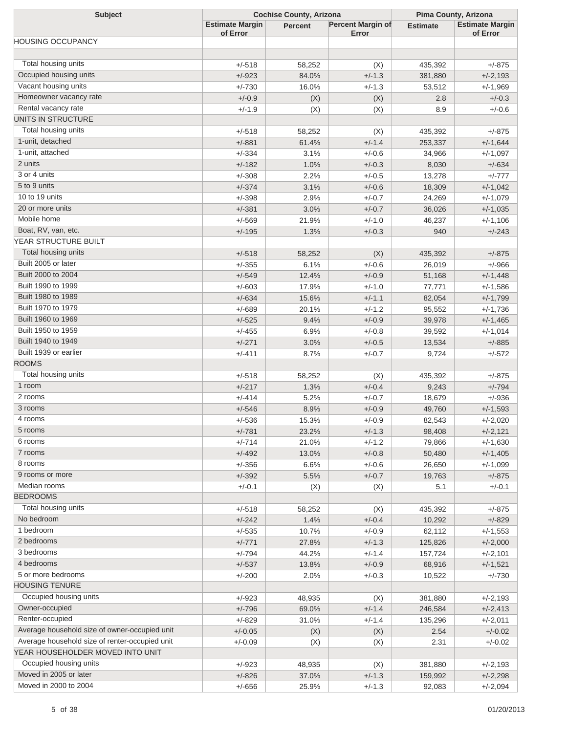| <b>Subject</b>                                 | <b>Cochise County, Arizona</b>     |                | Pima County, Arizona       |                 |                                    |
|------------------------------------------------|------------------------------------|----------------|----------------------------|-----------------|------------------------------------|
|                                                | <b>Estimate Margin</b><br>of Error | <b>Percent</b> | Percent Margin of<br>Error | <b>Estimate</b> | <b>Estimate Margin</b><br>of Error |
| <b>HOUSING OCCUPANCY</b>                       |                                    |                |                            |                 |                                    |
|                                                |                                    |                |                            |                 |                                    |
| Total housing units                            | +/-518                             | 58,252         | (X)                        | 435,392         | $+/-875$                           |
| Occupied housing units                         | $+/-923$                           | 84.0%          | $+/-1.3$                   | 381,880         | $+/-2,193$                         |
| Vacant housing units                           | $+/-730$                           | 16.0%          | $+/-1.3$                   | 53,512          | +/-1,969                           |
| Homeowner vacancy rate                         | $+/-0.9$                           | (X)            | (X)                        | 2.8             | $+/-0.3$                           |
| Rental vacancy rate                            | $+/-1.9$                           | (X)            | (X)                        | 8.9             | $+/-0.6$                           |
| UNITS IN STRUCTURE                             |                                    |                |                            |                 |                                    |
| Total housing units                            | +/-518                             | 58,252         | (X)                        | 435,392         | $+/-875$                           |
| 1-unit, detached                               | $+/-881$                           | 61.4%          | $+/-1.4$                   | 253,337         | $+/-1,644$                         |
| 1-unit, attached                               | $+/-334$                           | 3.1%           | $+/-0.6$                   | 34,966          | +/-1,097                           |
| 2 units                                        | $+/-182$                           | 1.0%           | $+/-0.3$                   | 8,030           | $+/-634$                           |
| 3 or 4 units                                   | $+/-308$                           | 2.2%           | $+/-0.5$                   | 13,278          | $+/-777$                           |
| 5 to 9 units                                   | $+/-374$                           | 3.1%           | $+/-0.6$                   | 18,309          | $+/-1,042$                         |
| 10 to 19 units                                 | $+/-398$                           | 2.9%           | $+/-0.7$                   | 24,269          | +/-1,079                           |
| 20 or more units                               | $+/-381$                           | 3.0%           | $+/-0.7$                   | 36,026          | $+/-1,035$                         |
| Mobile home                                    | $+/-569$                           | 21.9%          | $+/-1.0$                   | 46,237          | +/-1,106                           |
| Boat, RV, van, etc.                            | $+/-195$                           | 1.3%           | $+/-0.3$                   | 940             | $+/-243$                           |
| YEAR STRUCTURE BUILT                           |                                    |                |                            |                 |                                    |
| Total housing units                            | $+/-518$                           | 58,252         | (X)                        | 435,392         | $+/-875$                           |
| Built 2005 or later                            | $+/-355$                           | 6.1%           | $+/-0.6$                   | 26,019          | $+/-966$                           |
| Built 2000 to 2004                             | $+/-549$                           | 12.4%          | $+/-0.9$                   | 51,168          | $+/-1,448$                         |
| Built 1990 to 1999                             | $+/-603$                           | 17.9%          | $+/-1.0$                   | 77,771          | +/-1,586                           |
| Built 1980 to 1989                             | $+/-634$                           | 15.6%          | $+/-1.1$                   | 82,054          | $+/-1,799$                         |
| Built 1970 to 1979                             | $+/-689$                           | 20.1%          | $+/-1.2$                   | 95,552          | +/-1,736                           |
| Built 1960 to 1969                             | $+/-525$                           | 9.4%           | $+/-0.9$                   | 39,978          | $+/-1,465$                         |
| Built 1950 to 1959                             | $+/-455$                           | 6.9%           | $+/-0.8$                   | 39,592          | +/-1,014                           |
| Built 1940 to 1949                             | $+/-271$                           | 3.0%           | $+/-0.5$                   | 13,534          | $+/-885$                           |
| Built 1939 or earlier                          | $+/-411$                           | 8.7%           | $+/-0.7$                   | 9,724           | $+/-572$                           |
| <b>ROOMS</b>                                   |                                    |                |                            |                 |                                    |
| Total housing units                            | $+/-518$                           |                |                            |                 | $+/-875$                           |
| 1 room                                         | $+/-217$                           | 58,252<br>1.3% | (X)<br>$+/-0.4$            | 435,392         | $+/-794$                           |
| 2 rooms                                        | $+/-414$                           | 5.2%           | $+/-0.7$                   | 9,243           | $+/-936$                           |
| 3 rooms                                        | $+/-546$                           | 8.9%           | $+/-0.9$                   | 18,679          | $+/-1,593$                         |
| 4 rooms                                        |                                    |                |                            | 49,760          |                                    |
| 5 rooms                                        | $+/-536$                           | 15.3%          | $+/-0.9$                   | 82,543          | +/-2,020                           |
| 6 rooms                                        | $+/-781$                           | 23.2%          | $+/-1.3$                   | 98,408          | $+/-2,121$                         |
| 7 rooms                                        | $+/-714$                           | 21.0%          | $+/-1.2$                   | 79,866          | $+/-1,630$                         |
| 8 rooms                                        | $+/-492$                           | 13.0%          | $+/-0.8$                   | 50,480          | $+/-1,405$                         |
| 9 rooms or more                                | $+/-356$                           | 6.6%           | $+/-0.6$                   | 26,650          | $+/-1,099$                         |
| Median rooms                                   | $+/-392$                           | 5.5%           | $+/-0.7$                   | 19,763          | $+/-875$                           |
| <b>BEDROOMS</b>                                | $+/-0.1$                           | (X)            | (X)                        | 5.1             | $+/-0.1$                           |
| Total housing units                            |                                    |                |                            |                 |                                    |
| No bedroom                                     | $+/-518$                           | 58,252         | (X)                        | 435,392         | $+/-875$                           |
| 1 bedroom                                      | $+/-242$                           | 1.4%           | $+/-0.4$                   | 10,292          | $+/-829$                           |
|                                                | $+/-535$                           | 10.7%          | $+/-0.9$                   | 62,112          | $+/-1,553$                         |
| 2 bedrooms                                     | $+/-771$                           | 27.8%          | $+/-1.3$                   | 125,826         | $+/-2,000$                         |
| 3 bedrooms                                     | $+/-794$                           | 44.2%          | $+/-1.4$                   | 157,724         | $+/-2,101$                         |
| 4 bedrooms                                     | $+/-537$                           | 13.8%          | $+/-0.9$                   | 68,916          | $+/-1,521$                         |
| 5 or more bedrooms                             | $+/-200$                           | 2.0%           | $+/-0.3$                   | 10,522          | $+/-730$                           |
| <b>HOUSING TENURE</b>                          |                                    |                |                            |                 |                                    |
| Occupied housing units                         | $+/-923$                           | 48,935         | (X)                        | 381,880         | $+/-2,193$                         |
| Owner-occupied                                 | $+/-796$                           | 69.0%          | $+/-1.4$                   | 246,584         | $+/-2,413$                         |
| Renter-occupied                                | $+/-829$                           | 31.0%          | $+/-1.4$                   | 135,296         | $+/-2,011$                         |
| Average household size of owner-occupied unit  | $+/-0.05$                          | (X)            | (X)                        | 2.54            | $+/-0.02$                          |
| Average household size of renter-occupied unit | $+/-0.09$                          | (X)            | (X)                        | 2.31            | $+/-0.02$                          |
| YEAR HOUSEHOLDER MOVED INTO UNIT               |                                    |                |                            |                 |                                    |
| Occupied housing units                         | $+/-923$                           | 48,935         | (X)                        | 381,880         | $+/-2,193$                         |
| Moved in 2005 or later                         | $+/-826$                           | 37.0%          | $+/-1.3$                   | 159,992         | $+/-2,298$                         |
| Moved in 2000 to 2004                          | $+/-656$                           | 25.9%          | $+/-1.3$                   | 92,083          | $+/-2,094$                         |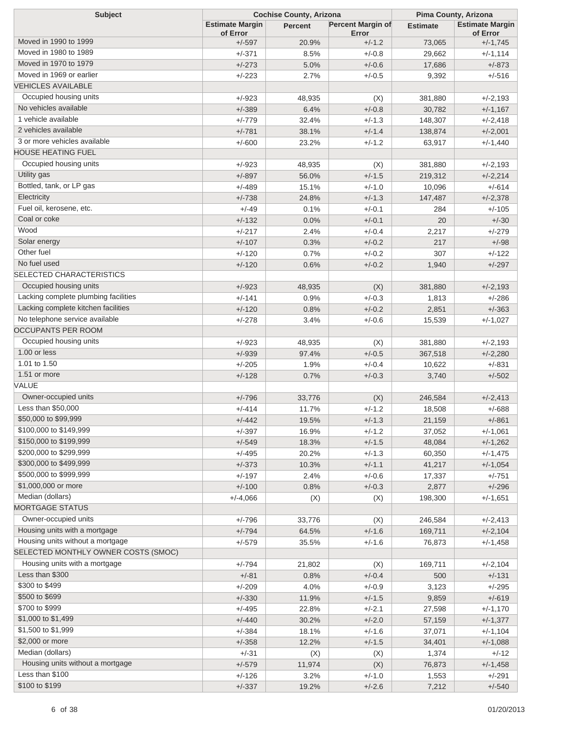| <b>Subject</b>                                      | <b>Cochise County, Arizona</b>     |                |                                   | Pima County, Arizona |                                    |  |
|-----------------------------------------------------|------------------------------------|----------------|-----------------------------------|----------------------|------------------------------------|--|
|                                                     | <b>Estimate Margin</b><br>of Error | <b>Percent</b> | <b>Percent Margin of</b><br>Error | <b>Estimate</b>      | <b>Estimate Margin</b><br>of Error |  |
| Moved in 1990 to 1999                               | $+/-597$                           | 20.9%          | $+/-1.2$                          | 73,065               | $+/-1,745$                         |  |
| Moved in 1980 to 1989                               | $+/-371$                           | 8.5%           | $+/-0.8$                          | 29,662               | $+/-1,114$                         |  |
| Moved in 1970 to 1979                               | $+/-273$                           | 5.0%           | $+/-0.6$                          | 17,686               | $+/-873$                           |  |
| Moved in 1969 or earlier                            | $+/-223$                           | 2.7%           | $+/-0.5$                          | 9,392                | $+/-516$                           |  |
| <b>VEHICLES AVAILABLE</b>                           |                                    |                |                                   |                      |                                    |  |
| Occupied housing units                              | $+/-923$                           | 48,935         | (X)                               | 381,880              | $+/-2,193$                         |  |
| No vehicles available                               | $+/-389$                           | 6.4%           | $+/-0.8$                          | 30,782               | $+/-1,167$                         |  |
| 1 vehicle available                                 | $+/-779$                           | 32.4%          | $+/-1.3$                          | 148,307              | $+/-2,418$                         |  |
| 2 vehicles available                                | $+/-781$                           | 38.1%          | $+/-1.4$                          | 138,874              | $+/-2,001$                         |  |
| 3 or more vehicles available                        | $+/-600$                           | 23.2%          | $+/-1.2$                          | 63,917               | $+/-1,440$                         |  |
| <b>HOUSE HEATING FUEL</b>                           |                                    |                |                                   |                      |                                    |  |
| Occupied housing units                              | $+/-923$                           | 48,935         | (X)                               | 381,880              | $+/-2,193$                         |  |
| Utility gas                                         | $+/-897$                           | 56.0%          | $+/-1.5$                          | 219,312              | $+/-2,214$                         |  |
| Bottled, tank, or LP gas                            | $+/-489$                           | 15.1%          | $+/-1.0$                          | 10,096               | $+/-614$                           |  |
| Electricity                                         | $+/-738$                           | 24.8%          | $+/-1.3$                          | 147,487              | $+/-2,378$                         |  |
| Fuel oil, kerosene, etc.                            | $+/-49$                            | 0.1%           | $+/-0.1$                          | 284                  | $+/-105$                           |  |
| Coal or coke                                        | $+/-132$                           | 0.0%           | $+/-0.1$                          | 20                   | $+/-30$                            |  |
| Wood                                                | $+/-217$                           | 2.4%           | $+/-0.4$                          | 2,217                | $+/-279$                           |  |
| Solar energy                                        | $+/-107$                           | 0.3%           | $+/-0.2$                          | 217                  | $+/-98$                            |  |
| Other fuel                                          | $+/-120$                           | 0.7%           | $+/-0.2$                          | 307                  | $+/-122$                           |  |
| No fuel used                                        | $+/-120$                           | 0.6%           | $+/-0.2$                          | 1,940                | $+/-297$                           |  |
| <b>SELECTED CHARACTERISTICS</b>                     |                                    |                |                                   |                      |                                    |  |
| Occupied housing units                              | $+/-923$                           | 48,935         | (X)                               | 381,880              | $+/-2,193$                         |  |
| Lacking complete plumbing facilities                | $+/-141$                           | 0.9%           | $+/-0.3$                          | 1,813                | $+/-286$                           |  |
| Lacking complete kitchen facilities                 | $+/-120$                           | 0.8%           | $+/-0.2$                          | 2,851                | $+/-363$                           |  |
| No telephone service available                      | $+/-278$                           | 3.4%           | $+/-0.6$                          | 15,539               | $+/-1,027$                         |  |
| <b>OCCUPANTS PER ROOM</b>                           |                                    |                |                                   |                      |                                    |  |
| Occupied housing units                              | $+/-923$                           | 48,935         | (X)                               | 381,880              | $+/-2,193$                         |  |
| 1.00 or less                                        | $+/-939$                           | 97.4%          | $+/-0.5$                          | 367,518              | $+/-2,280$                         |  |
| 1.01 to 1.50                                        | $+/-205$                           | 1.9%           | $+/-0.4$                          | 10,622               | $+/-831$                           |  |
| 1.51 or more                                        | $+/-128$                           | 0.7%           | $+/-0.3$                          | 3,740                | $+/-502$                           |  |
| VALUE                                               |                                    |                |                                   |                      |                                    |  |
| Owner-occupied units                                | $+/-796$                           | 33,776         | (X)                               | 246,584              | $+/-2,413$                         |  |
| Less than \$50,000                                  | $+/-414$                           | 11.7%          | $+/-1.2$                          | 18,508               | $+/-688$                           |  |
| \$50,000 to \$99,999                                | $+/-442$                           | 19.5%          | $+/-1.3$                          | 21,159               | $+/-861$                           |  |
| \$100,000 to \$149,999                              | $+/-397$                           | 16.9%          | $+/-1.2$                          | 37,052               | $+/-1,061$                         |  |
| \$150,000 to \$199,999                              | $+/-549$                           | 18.3%          | $+/-1.5$                          | 48,084               | $+/-1,262$                         |  |
| \$200,000 to \$299,999                              | $+/-495$                           | 20.2%          | $+/-1.3$                          | 60,350               | $+/-1,475$                         |  |
| \$300,000 to \$499,999                              | $+/-373$                           | 10.3%          | $+/-1.1$                          | 41,217               | $+/-1,054$                         |  |
| \$500,000 to \$999,999                              | $+/-197$                           | 2.4%           | $+/-0.6$                          | 17,337               | $+/-751$                           |  |
| \$1,000,000 or more                                 | $+/-100$                           | 0.8%           | $+/-0.3$                          | 2,877                | $+/-296$                           |  |
| Median (dollars)                                    | $+/-4,066$                         |                |                                   | 198,300              | $+/-1,651$                         |  |
| <b>MORTGAGE STATUS</b>                              |                                    | (X)            | (X)                               |                      |                                    |  |
| Owner-occupied units                                | $+/-796$                           | 33,776         | (X)                               | 246,584              | $+/-2,413$                         |  |
| Housing units with a mortgage                       | $+/-794$                           | 64.5%          | $+/-1.6$                          |                      |                                    |  |
| Housing units without a mortgage                    | $+/-579$                           | 35.5%          | $+/-1.6$                          | 169,711<br>76,873    | $+/-2,104$                         |  |
| SELECTED MONTHLY OWNER COSTS (SMOC)                 |                                    |                |                                   |                      | $+/-1,458$                         |  |
| Housing units with a mortgage                       |                                    |                |                                   |                      |                                    |  |
| Less than \$300                                     | $+/-794$                           | 21,802         | (X)                               | 169,711              | $+/-2,104$                         |  |
| \$300 to \$499                                      | $+/-81$                            | 0.8%           | $+/-0.4$                          | 500                  | $+/-131$                           |  |
| \$500 to \$699                                      | $+/-209$                           | 4.0%           | $+/-0.9$                          | 3,123                | $+/-295$                           |  |
| \$700 to \$999                                      | $+/-330$                           | 11.9%          | $+/-1.5$                          | 9,859                | $+/-619$                           |  |
| \$1,000 to \$1,499                                  | $+/-495$                           | 22.8%          | $+/-2.1$                          | 27,598               | $+/-1,170$                         |  |
| \$1,500 to \$1,999                                  | $+/-440$                           | 30.2%          | $+/-2.0$                          | 57,159               | $+/-1,377$                         |  |
| \$2,000 or more                                     | $+/-384$                           | 18.1%          | $+/-1.6$                          | 37,071               | $+/-1,104$                         |  |
| Median (dollars)                                    | $+/-358$                           | 12.2%          | $+/-1.5$                          | 34,401               | $+/-1,088$                         |  |
|                                                     | $+/-31$                            | (X)            | (X)                               | 1,374                | $+/-12$                            |  |
| Housing units without a mortgage<br>Less than \$100 | $+/-579$                           | 11,974         | (X)                               | 76,873               | $+/-1,458$                         |  |
| \$100 to \$199                                      | $+/-126$                           | 3.2%           | $+/-1.0$                          | 1,553                | $+/-291$                           |  |
|                                                     | $+/-337$                           | 19.2%          | $+/-2.6$                          | 7,212                | $+/-540$                           |  |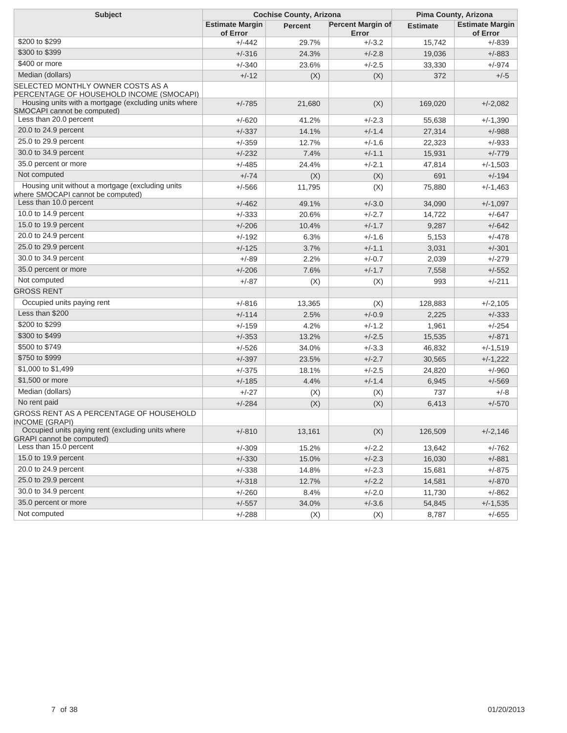| <b>Subject</b>                                                                        | <b>Cochise County, Arizona</b>     |         |                                   | Pima County, Arizona |                                    |  |
|---------------------------------------------------------------------------------------|------------------------------------|---------|-----------------------------------|----------------------|------------------------------------|--|
|                                                                                       | <b>Estimate Margin</b><br>of Error | Percent | <b>Percent Margin of</b><br>Error | <b>Estimate</b>      | <b>Estimate Margin</b><br>of Error |  |
| \$200 to \$299                                                                        | $+/-442$                           | 29.7%   | $+/-3.2$                          | 15,742               | $+/-839$                           |  |
| \$300 to \$399                                                                        | $+/-316$                           | 24.3%   | $+/-2.8$                          | 19,036               | $+/-883$                           |  |
| \$400 or more                                                                         | $+/-340$                           | 23.6%   | $+/-2.5$                          | 33,330               | $+/-974$                           |  |
| Median (dollars)                                                                      | $+/-12$                            | (X)     | (X)                               | 372                  | $+/-5$                             |  |
| SELECTED MONTHLY OWNER COSTS AS A<br>PERCENTAGE OF HOUSEHOLD INCOME (SMOCAPI)         |                                    |         |                                   |                      |                                    |  |
| Housing units with a mortgage (excluding units where<br>SMOCAPI cannot be computed)   | $+/-785$                           | 21,680  | (X)                               | 169,020              | $+/-2,082$                         |  |
| Less than 20.0 percent                                                                | $+/-620$                           | 41.2%   | $+/-2.3$                          | 55,638               | $+/-1,390$                         |  |
| 20.0 to 24.9 percent                                                                  | $+/-337$                           | 14.1%   | $+/-1.4$                          | 27,314               | $+/-988$                           |  |
| 25.0 to 29.9 percent                                                                  | $+/-359$                           | 12.7%   | $+/-1.6$                          | 22,323               | $+/-933$                           |  |
| 30.0 to 34.9 percent                                                                  | $+/-232$                           | 7.4%    | $+/-1.1$                          | 15,931               | $+/-779$                           |  |
| 35.0 percent or more                                                                  | $+/-485$                           | 24.4%   | $+/-2.1$                          | 47,814               | $+/-1,503$                         |  |
| Not computed                                                                          | $+/-74$                            | (X)     | (X)                               | 691                  | $+/-194$                           |  |
| Housing unit without a mortgage (excluding units<br>where SMOCAPI cannot be computed) | $+/-566$                           | 11,795  | (X)                               | 75,880               | $+/-1,463$                         |  |
| Less than 10.0 percent                                                                | $+/-462$                           | 49.1%   | $+/-3.0$                          | 34,090               | $+/-1,097$                         |  |
| 10.0 to 14.9 percent                                                                  | $+/-333$                           | 20.6%   | $+/-2.7$                          | 14,722               | $+/-647$                           |  |
| 15.0 to 19.9 percent                                                                  | $+/-206$                           | 10.4%   | $+/-1.7$                          | 9,287                | $+/-642$                           |  |
| 20.0 to 24.9 percent                                                                  | $+/-192$                           | 6.3%    | $+/-1.6$                          | 5,153                | $+/-478$                           |  |
| 25.0 to 29.9 percent                                                                  | $+/-125$                           | 3.7%    | $+/-1.1$                          | 3,031                | $+/-301$                           |  |
| 30.0 to 34.9 percent                                                                  | $+/-89$                            | 2.2%    | $+/-0.7$                          | 2,039                | $+/-279$                           |  |
| 35.0 percent or more                                                                  | $+/-206$                           | 7.6%    | $+/-1.7$                          | 7,558                | $+/-552$                           |  |
| Not computed                                                                          | $+/-87$                            | (X)     | (X)                               | 993                  | $+/-211$                           |  |
| <b>GROSS RENT</b>                                                                     |                                    |         |                                   |                      |                                    |  |
| Occupied units paying rent                                                            | +/-816                             | 13,365  | (X)                               | 128,883              | $+/-2,105$                         |  |
| Less than \$200                                                                       | $+/-114$                           | 2.5%    | $+/-0.9$                          | 2,225                | $+/-333$                           |  |
| \$200 to \$299                                                                        | $+/-159$                           | 4.2%    | $+/-1.2$                          | 1,961                | $+/-254$                           |  |
| \$300 to \$499                                                                        | $+/-353$                           | 13.2%   | $+/-2.5$                          | 15,535               | $+/-871$                           |  |
| \$500 to \$749                                                                        | $+/-526$                           | 34.0%   | $+/-3.3$                          | 46,832               | $+/-1,519$                         |  |
| \$750 to \$999                                                                        | $+/-397$                           | 23.5%   | $+/-2.7$                          | 30,565               | $+/-1,222$                         |  |
| \$1,000 to \$1,499                                                                    | $+/-375$                           | 18.1%   | $+/-2.5$                          | 24,820               | $+/-960$                           |  |
| \$1,500 or more                                                                       | $+/-185$                           | 4.4%    | $+/-1.4$                          | 6,945                | $+/-569$                           |  |
| Median (dollars)                                                                      | $+/-27$                            | (X)     | (X)                               | 737                  | $+/-8$                             |  |
| No rent paid                                                                          | $+/-284$                           | (X)     | (X)                               | 6,413                | $+/-570$                           |  |
| GROSS RENT AS A PERCENTAGE OF HOUSEHOLD<br><b>INCOME (GRAPI)</b>                      |                                    |         |                                   |                      |                                    |  |
| Occupied units paying rent (excluding units where<br><b>GRAPI</b> cannot be computed) | $+/-810$                           | 13,161  | (X)                               | 126,509              | $+/-2,146$                         |  |
| Less than 15.0 percent                                                                | $+/-309$                           | 15.2%   | $+/-2.2$                          | 13,642               | $+/-762$                           |  |
| 15.0 to 19.9 percent                                                                  | $+/-330$                           | 15.0%   | $+/-2.3$                          | 16,030               | $+/-881$                           |  |
| 20.0 to 24.9 percent                                                                  | $+/-338$                           | 14.8%   | $+/-2.3$                          | 15,681               | $+/-875$                           |  |
| 25.0 to 29.9 percent                                                                  | $+/-318$                           | 12.7%   | $+/-2.2$                          | 14,581               | $+/-870$                           |  |
| 30.0 to 34.9 percent                                                                  | $+/-260$                           | 8.4%    | $+/-2.0$                          | 11,730               | $+/-862$                           |  |
| 35.0 percent or more                                                                  | $+/-557$                           | 34.0%   | $+/-3.6$                          | 54,845               | $+/-1,535$                         |  |
| Not computed                                                                          | $+/-288$                           | (X)     | (X)                               | 8,787                | $+/-655$                           |  |
|                                                                                       |                                    |         |                                   |                      |                                    |  |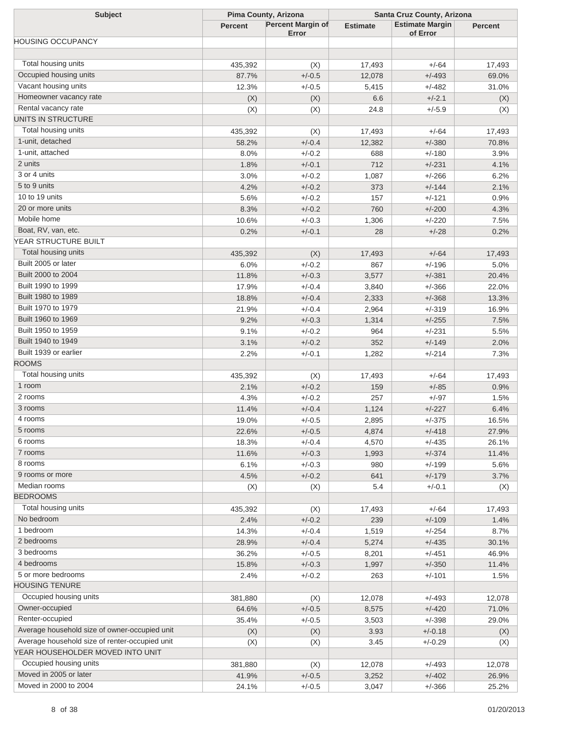| <b>Subject</b>                                 | Pima County, Arizona |                                   | Santa Cruz County, Arizona |                                    |                |
|------------------------------------------------|----------------------|-----------------------------------|----------------------------|------------------------------------|----------------|
|                                                | <b>Percent</b>       | <b>Percent Margin of</b><br>Error | <b>Estimate</b>            | <b>Estimate Margin</b><br>of Error | <b>Percent</b> |
| <b>HOUSING OCCUPANCY</b>                       |                      |                                   |                            |                                    |                |
|                                                |                      |                                   |                            |                                    |                |
| Total housing units                            | 435,392              | (X)                               | 17,493                     | $+/-64$                            | 17,493         |
| Occupied housing units                         | 87.7%                | $+/-0.5$                          | 12,078                     | $+/-493$                           | 69.0%          |
| Vacant housing units                           | 12.3%                | $+/-0.5$                          | 5,415                      | $+/-482$                           | 31.0%          |
| Homeowner vacancy rate                         | (X)                  | (X)                               | 6.6                        | $+/-2.1$                           | (X)            |
| Rental vacancy rate                            | (X)                  | (X)                               | 24.8                       | $+/-5.9$                           | (X)            |
| UNITS IN STRUCTURE                             |                      |                                   |                            |                                    |                |
| Total housing units                            | 435,392              | (X)                               | 17,493                     | $+/-64$                            | 17,493         |
| 1-unit, detached                               | 58.2%                | $+/-0.4$                          | 12,382                     | $+/-380$                           | 70.8%          |
| 1-unit, attached                               | 8.0%                 | $+/-0.2$                          | 688                        | $+/-180$                           | 3.9%           |
| 2 units                                        | 1.8%                 | $+/-0.1$                          | 712                        | $+/-231$                           | 4.1%           |
| 3 or 4 units                                   | 3.0%                 | $+/-0.2$                          | 1,087                      | $+/-266$                           | 6.2%           |
| 5 to 9 units                                   | 4.2%                 | $+/-0.2$                          | 373                        | $+/-144$                           | 2.1%           |
| 10 to 19 units                                 | 5.6%                 | $+/-0.2$                          | 157                        | $+/-121$                           | 0.9%           |
| 20 or more units                               | 8.3%                 | $+/-0.2$                          | 760                        | $+/-200$                           | 4.3%           |
| Mobile home                                    | 10.6%                | $+/-0.3$                          | 1,306                      | $+/-220$                           | 7.5%           |
| Boat, RV, van, etc.                            | 0.2%                 | $+/-0.1$                          | 28                         | $+/-28$                            | 0.2%           |
| YEAR STRUCTURE BUILT                           |                      |                                   |                            |                                    |                |
| Total housing units                            | 435,392              | (X)                               | 17,493                     | $+/-64$                            | 17,493         |
| Built 2005 or later                            | 6.0%                 | $+/-0.2$                          | 867                        | $+/-196$                           | 5.0%           |
| Built 2000 to 2004                             | 11.8%                | $+/-0.3$                          | 3,577                      | $+/-381$                           | 20.4%          |
| Built 1990 to 1999                             | 17.9%                | $+/-0.4$                          | 3,840                      | $+/-366$                           | 22.0%          |
| Built 1980 to 1989                             | 18.8%                | $+/-0.4$                          | 2,333                      | $+/-368$                           | 13.3%          |
| Built 1970 to 1979                             | 21.9%                | $+/-0.4$                          | 2,964                      | $+/-319$                           | 16.9%          |
| Built 1960 to 1969                             | 9.2%                 | $+/-0.3$                          | 1,314                      | $+/-255$                           | 7.5%           |
| Built 1950 to 1959                             | 9.1%                 | $+/-0.2$                          | 964                        | $+/-231$                           | 5.5%           |
| Built 1940 to 1949                             | 3.1%                 | $+/-0.2$                          | 352                        | $+/-149$                           | 2.0%           |
| Built 1939 or earlier                          | 2.2%                 | $+/-0.1$                          | 1,282                      | $+/-214$                           | 7.3%           |
| <b>ROOMS</b>                                   |                      |                                   |                            |                                    |                |
| Total housing units                            | 435,392              |                                   | 17,493                     | $+/-64$                            |                |
| 1 room                                         | 2.1%                 | (X)<br>$+/-0.2$                   | 159                        | $+/-85$                            | 17,493<br>0.9% |
| 2 rooms                                        |                      | $+/-0.2$                          |                            |                                    |                |
| 3 rooms                                        | 4.3%                 |                                   | 257                        | $+/-97$                            | 1.5%           |
| 4 rooms                                        | 11.4%                | $+/-0.4$                          | 1,124                      | $+/-227$                           | 6.4%           |
| 5 rooms                                        | 19.0%                | $+/-0.5$                          | 2,895                      | $+/-375$                           | 16.5%          |
| 6 rooms                                        | 22.6%                | $+/-0.5$                          | 4,874                      | $+/-418$                           | 27.9%          |
| 7 rooms                                        | 18.3%                | $+/-0.4$                          | 4,570                      | $+/-435$                           | 26.1%          |
| 8 rooms                                        | 11.6%                | $+/-0.3$                          | 1,993                      | $+/-374$                           | 11.4%          |
| 9 rooms or more                                | 6.1%                 | $+/-0.3$                          | 980                        | $+/-199$                           | 5.6%           |
|                                                | 4.5%                 | $+/-0.2$                          | 641                        | $+/-179$                           | 3.7%           |
| Median rooms<br><b>BEDROOMS</b>                | (X)                  | (X)                               | 5.4                        | $+/-0.1$                           | (X)            |
| Total housing units                            |                      |                                   |                            |                                    |                |
|                                                | 435,392              | (X)                               | 17,493                     | $+/-64$                            | 17,493         |
| No bedroom                                     | 2.4%                 | $+/-0.2$                          | 239                        | $+/-109$                           | 1.4%           |
| 1 bedroom                                      | 14.3%                | $+/-0.4$                          | 1,519                      | $+/-254$                           | 8.7%           |
| 2 bedrooms                                     | 28.9%                | $+/-0.4$                          | 5,274                      | $+/-435$                           | 30.1%          |
| 3 bedrooms                                     | 36.2%                | $+/-0.5$                          | 8,201                      | $+/-451$                           | 46.9%          |
| 4 bedrooms                                     | 15.8%                | $+/-0.3$                          | 1,997                      | $+/-350$                           | 11.4%          |
| 5 or more bedrooms                             | 2.4%                 | $+/-0.2$                          | 263                        | $+/-101$                           | 1.5%           |
| <b>HOUSING TENURE</b>                          |                      |                                   |                            |                                    |                |
| Occupied housing units                         | 381,880              | (X)                               | 12,078                     | $+/-493$                           | 12,078         |
| Owner-occupied                                 | 64.6%                | $+/-0.5$                          | 8,575                      | $+/-420$                           | 71.0%          |
| Renter-occupied                                | 35.4%                | $+/-0.5$                          | 3,503                      | $+/-398$                           | 29.0%          |
| Average household size of owner-occupied unit  | (X)                  | (X)                               | 3.93                       | $+/-0.18$                          | (X)            |
| Average household size of renter-occupied unit | (X)                  | (X)                               | 3.45                       | $+/-0.29$                          | (X)            |
| YEAR HOUSEHOLDER MOVED INTO UNIT               |                      |                                   |                            |                                    |                |
| Occupied housing units                         | 381,880              | (X)                               | 12,078                     | $+/-493$                           | 12,078         |
| Moved in 2005 or later                         | 41.9%                | $+/-0.5$                          | 3,252                      | $+/-402$                           | 26.9%          |
| Moved in 2000 to 2004                          | 24.1%                | $+/-0.5$                          | 3,047                      | $+/-366$                           | 25.2%          |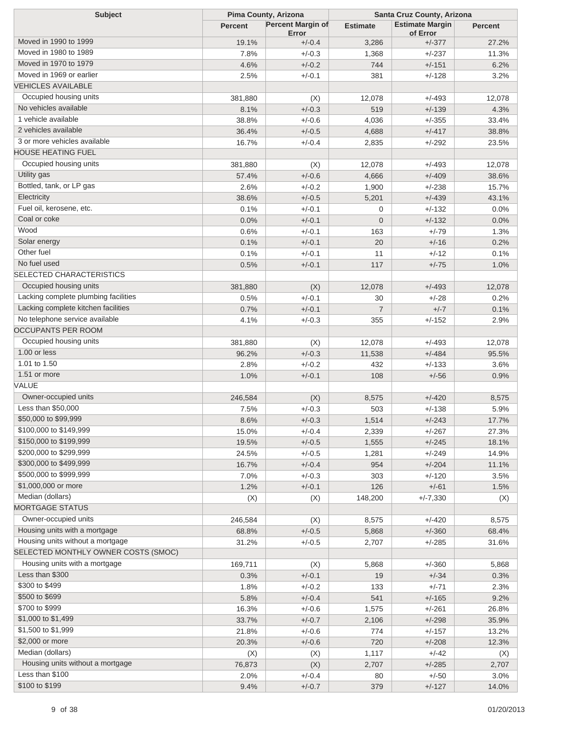| <b>Subject</b>                       | Pima County, Arizona |                                   | Santa Cruz County, Arizona |                                    |                |
|--------------------------------------|----------------------|-----------------------------------|----------------------------|------------------------------------|----------------|
|                                      | <b>Percent</b>       | <b>Percent Margin of</b><br>Error | <b>Estimate</b>            | <b>Estimate Margin</b><br>of Error | <b>Percent</b> |
| Moved in 1990 to 1999                | 19.1%                | $+/-0.4$                          | 3,286                      | $+/-377$                           | 27.2%          |
| Moved in 1980 to 1989                | 7.8%                 | $+/-0.3$                          | 1,368                      | $+/-237$                           | 11.3%          |
| Moved in 1970 to 1979                | 4.6%                 | $+/-0.2$                          | 744                        | $+/-151$                           | 6.2%           |
| Moved in 1969 or earlier             | 2.5%                 | $+/-0.1$                          | 381                        | $+/-128$                           | 3.2%           |
| <b>VEHICLES AVAILABLE</b>            |                      |                                   |                            |                                    |                |
| Occupied housing units               | 381,880              | (X)                               | 12,078                     | $+/-493$                           | 12,078         |
| No vehicles available                | 8.1%                 | $+/-0.3$                          | 519                        | $+/-139$                           | 4.3%           |
| 1 vehicle available                  | 38.8%                | $+/-0.6$                          | 4,036                      | $+/-355$                           | 33.4%          |
| 2 vehicles available                 | 36.4%                | $+/-0.5$                          | 4,688                      | $+/-417$                           | 38.8%          |
| 3 or more vehicles available         | 16.7%                | $+/-0.4$                          | 2,835                      | $+/-292$                           | 23.5%          |
| <b>HOUSE HEATING FUEL</b>            |                      |                                   |                            |                                    |                |
| Occupied housing units               | 381,880              | (X)                               | 12,078                     | $+/-493$                           | 12,078         |
| Utility gas                          | 57.4%                | $+/-0.6$                          | 4,666                      | $+/-409$                           | 38.6%          |
| Bottled, tank, or LP gas             | 2.6%                 | $+/-0.2$                          | 1,900                      | $+/-238$                           | 15.7%          |
| Electricity                          | 38.6%                | $+/-0.5$                          | 5,201                      | $+/-439$                           | 43.1%          |
| Fuel oil, kerosene, etc.             | 0.1%                 | $+/-0.1$                          | 0                          | $+/-132$                           | 0.0%           |
| Coal or coke                         |                      | $+/-0.1$                          | $\overline{0}$             | $+/-132$                           |                |
| Wood                                 | 0.0%                 |                                   |                            |                                    | 0.0%           |
| Solar energy                         | 0.6%                 | $+/-0.1$                          | 163                        | $+/-79$                            | 1.3%           |
| Other fuel                           | 0.1%                 | $+/-0.1$                          | 20                         | $+/-16$                            | 0.2%           |
| No fuel used                         | 0.1%                 | $+/-0.1$                          | 11                         | $+/-12$                            | 0.1%           |
| <b>SELECTED CHARACTERISTICS</b>      | 0.5%                 | $+/-0.1$                          | 117                        | $+/-75$                            | 1.0%           |
|                                      |                      |                                   |                            |                                    |                |
| Occupied housing units               | 381,880              | (X)                               | 12,078                     | $+/-493$                           | 12,078         |
| Lacking complete plumbing facilities | 0.5%                 | $+/-0.1$                          | 30                         | $+/-28$                            | 0.2%           |
| Lacking complete kitchen facilities  | 0.7%                 | $+/-0.1$                          | $\overline{7}$             | $+/-7$                             | 0.1%           |
| No telephone service available       | 4.1%                 | $+/-0.3$                          | 355                        | $+/-152$                           | 2.9%           |
| <b>OCCUPANTS PER ROOM</b>            |                      |                                   |                            |                                    |                |
| Occupied housing units               | 381,880              | (X)                               | 12,078                     | $+/-493$                           | 12,078         |
| 1.00 or less                         | 96.2%                | $+/-0.3$                          | 11,538                     | $+/-484$                           | 95.5%          |
| 1.01 to 1.50                         | 2.8%                 | $+/-0.2$                          | 432                        | $+/-133$                           | 3.6%           |
| 1.51 or more                         | 1.0%                 | $+/-0.1$                          | 108                        | $+/-56$                            | 0.9%           |
| VALUE                                |                      |                                   |                            |                                    |                |
| Owner-occupied units                 | 246,584              | (X)                               | 8,575                      | $+/-420$                           | 8,575          |
| Less than \$50,000                   | 7.5%                 | $+/-0.3$                          | 503                        | $+/-138$                           | 5.9%           |
| \$50,000 to \$99,999                 | 8.6%                 | $+/-0.3$                          | 1,514                      | $+/-243$                           | 17.7%          |
| \$100,000 to \$149,999               | 15.0%                | $+/-0.4$                          | 2,339                      | $+/-267$                           | 27.3%          |
| \$150,000 to \$199,999               | 19.5%                | $+/-0.5$                          | 1,555                      | $+/-245$                           | 18.1%          |
| \$200,000 to \$299,999               | 24.5%                | $+/-0.5$                          | 1,281                      | $+/-249$                           | 14.9%          |
| \$300,000 to \$499,999               | 16.7%                | $+/-0.4$                          | 954                        | $+/-204$                           | 11.1%          |
| \$500,000 to \$999,999               | 7.0%                 | $+/-0.3$                          | 303                        | $+/-120$                           | 3.5%           |
| \$1,000,000 or more                  | 1.2%                 | $+/-0.1$                          | 126                        | $+/-61$                            | 1.5%           |
| Median (dollars)                     | (X)                  | (X)                               | 148,200                    | $+/-7,330$                         | (X)            |
| <b>MORTGAGE STATUS</b>               |                      |                                   |                            |                                    |                |
| Owner-occupied units                 | 246,584              | (X)                               | 8,575                      | $+/-420$                           | 8,575          |
| Housing units with a mortgage        | 68.8%                | $+/-0.5$                          | 5,868                      | $+/-360$                           | 68.4%          |
| Housing units without a mortgage     | 31.2%                | $+/-0.5$                          | 2,707                      | $+/-285$                           | 31.6%          |
| SELECTED MONTHLY OWNER COSTS (SMOC)  |                      |                                   |                            |                                    |                |
| Housing units with a mortgage        | 169,711              | (X)                               | 5,868                      | $+/-360$                           | 5,868          |
| Less than \$300                      | 0.3%                 | $+/-0.1$                          | 19                         | $+/-34$                            | 0.3%           |
| \$300 to \$499                       | 1.8%                 | $+/-0.2$                          | 133                        | $+/-71$                            | 2.3%           |
| \$500 to \$699                       | 5.8%                 | $+/-0.4$                          | 541                        | $+/-165$                           | 9.2%           |
| \$700 to \$999                       | 16.3%                | $+/-0.6$                          | 1,575                      | $+/-261$                           | 26.8%          |
| \$1,000 to \$1,499                   | 33.7%                | $+/-0.7$                          | 2,106                      | $+/-298$                           | 35.9%          |
| \$1,500 to \$1,999                   | 21.8%                | $+/-0.6$                          | 774                        | $+/-157$                           | 13.2%          |
| \$2,000 or more                      | 20.3%                | $+/-0.6$                          | 720                        | $+/-208$                           | 12.3%          |
| Median (dollars)                     | (X)                  | (X)                               | 1,117                      | $+/-42$                            | (X)            |
| Housing units without a mortgage     | 76,873               | (X)                               | 2,707                      | $+/-285$                           | 2,707          |
| Less than \$100                      | 2.0%                 | $+/-0.4$                          | 80                         | $+/-50$                            | 3.0%           |
| \$100 to \$199                       | 9.4%                 | $+/-0.7$                          | 379                        | $+/-127$                           | 14.0%          |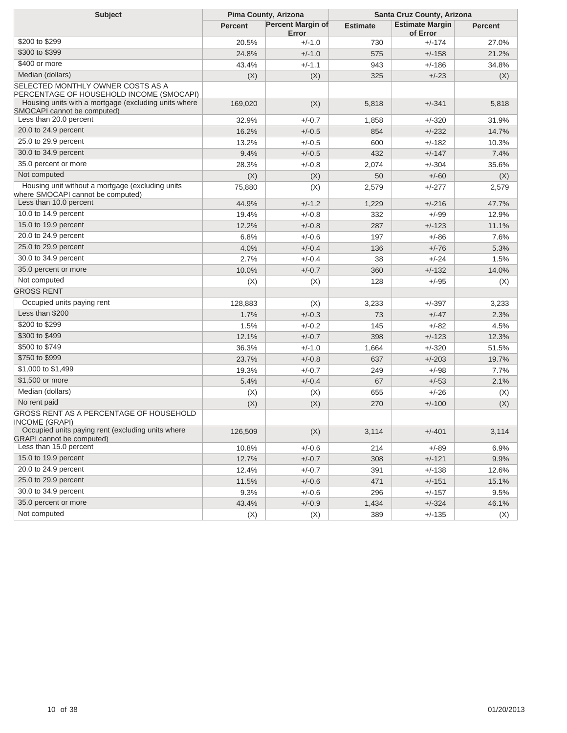| <b>Subject</b>                                                                        | Pima County, Arizona |                                   | Santa Cruz County, Arizona |                                    |                |
|---------------------------------------------------------------------------------------|----------------------|-----------------------------------|----------------------------|------------------------------------|----------------|
|                                                                                       | <b>Percent</b>       | <b>Percent Margin of</b><br>Error | <b>Estimate</b>            | <b>Estimate Margin</b><br>of Error | <b>Percent</b> |
| \$200 to \$299                                                                        | 20.5%                | $+/-1.0$                          | 730                        | $+/-174$                           | 27.0%          |
| \$300 to \$399                                                                        | 24.8%                | $+/-1.0$                          | 575                        | $+/-158$                           | 21.2%          |
| \$400 or more                                                                         | 43.4%                | $+/-1.1$                          | 943                        | $+/-186$                           | 34.8%          |
| Median (dollars)                                                                      | (X)                  | (X)                               | 325                        | $+/-23$                            | (X)            |
| SELECTED MONTHLY OWNER COSTS AS A<br>PERCENTAGE OF HOUSEHOLD INCOME (SMOCAPI)         |                      |                                   |                            |                                    |                |
| Housing units with a mortgage (excluding units where<br>SMOCAPI cannot be computed)   | 169,020              | (X)                               | 5,818                      | $+/-341$                           | 5,818          |
| Less than 20.0 percent                                                                | 32.9%                | $+/-0.7$                          | 1,858                      | $+/-320$                           | 31.9%          |
| 20.0 to 24.9 percent                                                                  | 16.2%                | $+/-0.5$                          | 854                        | $+/-232$                           | 14.7%          |
| 25.0 to 29.9 percent                                                                  | 13.2%                | $+/-0.5$                          | 600                        | $+/-182$                           | 10.3%          |
| 30.0 to 34.9 percent                                                                  | 9.4%                 | $+/-0.5$                          | 432                        | $+/-147$                           | 7.4%           |
| 35.0 percent or more                                                                  | 28.3%                | $+/-0.8$                          | 2,074                      | $+/-304$                           | 35.6%          |
| Not computed                                                                          | (X)                  | (X)                               | 50                         | $+/-60$                            | (X)            |
| Housing unit without a mortgage (excluding units<br>where SMOCAPI cannot be computed) | 75,880               | (X)                               | 2,579                      | $+/-277$                           | 2,579          |
| Less than 10.0 percent                                                                | 44.9%                | $+/-1.2$                          | 1,229                      | $+/-216$                           | 47.7%          |
| 10.0 to 14.9 percent                                                                  | 19.4%                | $+/-0.8$                          | 332                        | +/-99                              | 12.9%          |
| 15.0 to 19.9 percent                                                                  | 12.2%                | $+/-0.8$                          | 287                        | $+/-123$                           | 11.1%          |
| 20.0 to 24.9 percent                                                                  | 6.8%                 | $+/-0.6$                          | 197                        | +/-86                              | 7.6%           |
| 25.0 to 29.9 percent                                                                  | 4.0%                 | $+/-0.4$                          | 136                        | $+/-76$                            | 5.3%           |
| 30.0 to 34.9 percent                                                                  | 2.7%                 | $+/-0.4$                          | 38                         | +/-24                              | 1.5%           |
| 35.0 percent or more                                                                  | 10.0%                | $+/-0.7$                          | 360                        | $+/-132$                           | 14.0%          |
| Not computed                                                                          | (X)                  | (X)                               | 128                        | $+/-95$                            | (X)            |
| <b>GROSS RENT</b>                                                                     |                      |                                   |                            |                                    |                |
| Occupied units paying rent                                                            | 128,883              | (X)                               | 3,233                      | $+/-397$                           | 3,233          |
| Less than \$200                                                                       | 1.7%                 | $+/-0.3$                          | 73                         | $+/-47$                            | 2.3%           |
| \$200 to \$299                                                                        | 1.5%                 | $+/-0.2$                          | 145                        | $+/-82$                            | 4.5%           |
| \$300 to \$499                                                                        | 12.1%                | $+/-0.7$                          | 398                        | $+/-123$                           | 12.3%          |
| \$500 to \$749                                                                        | 36.3%                | $+/-1.0$                          | 1,664                      | $+/-320$                           | 51.5%          |
| \$750 to \$999                                                                        | 23.7%                | $+/-0.8$                          | 637                        | $+/-203$                           | 19.7%          |
| \$1,000 to \$1,499                                                                    | 19.3%                | $+/-0.7$                          | 249                        | $+/-98$                            | 7.7%           |
| \$1,500 or more                                                                       | 5.4%                 | $+/-0.4$                          | 67                         | $+/-53$                            | 2.1%           |
| Median (dollars)                                                                      | (X)                  | (X)                               | 655                        | $+/-26$                            | (X)            |
| No rent paid                                                                          | (X)                  | (X)                               | 270                        | $+/-100$                           | (X)            |
| GROSS RENT AS A PERCENTAGE OF HOUSEHOLD<br>INCOME (GRAPI)                             |                      |                                   |                            |                                    |                |
| Occupied units paying rent (excluding units where<br><b>GRAPI</b> cannot be computed) | 126,509              | (X)                               | 3,114                      | $+/-401$                           | 3,114          |
| Less than 15.0 percent                                                                | 10.8%                | $+/-0.6$                          | 214                        | $+/-89$                            | 6.9%           |
| 15.0 to 19.9 percent                                                                  | 12.7%                | $+/-0.7$                          | 308                        | $+/-121$                           | 9.9%           |
| 20.0 to 24.9 percent                                                                  | 12.4%                | $+/-0.7$                          | 391                        | $+/-138$                           | 12.6%          |
| 25.0 to 29.9 percent                                                                  | 11.5%                | $+/-0.6$                          | 471                        | $+/-151$                           | 15.1%          |
| 30.0 to 34.9 percent                                                                  | 9.3%                 | $+/-0.6$                          | 296                        | $+/-157$                           | 9.5%           |
| 35.0 percent or more                                                                  | 43.4%                | $+/-0.9$                          | 1,434                      | $+/-324$                           | 46.1%          |
| Not computed                                                                          | (X)                  | (X)                               | 389                        | $+/-135$                           | (X)            |
|                                                                                       |                      |                                   |                            |                                    |                |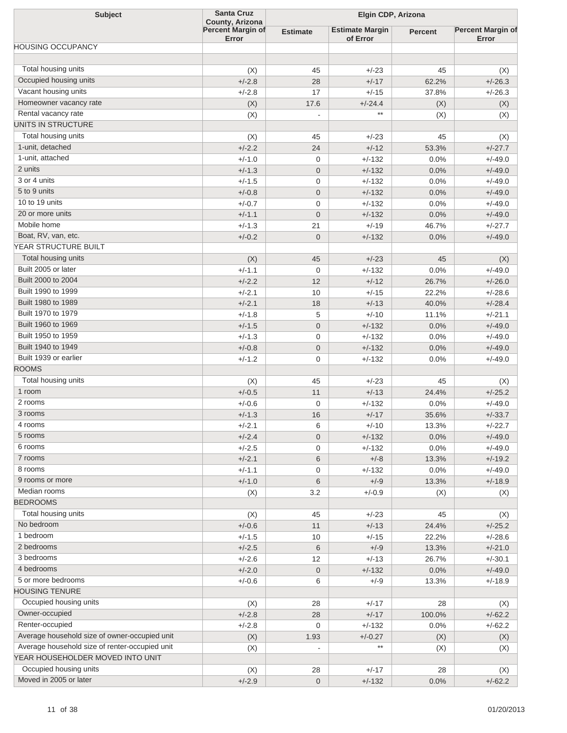| <b>Subject</b>                                 | <b>Santa Cruz</b>                                    | Elgin CDP, Arizona       |                                    |                |                                   |
|------------------------------------------------|------------------------------------------------------|--------------------------|------------------------------------|----------------|-----------------------------------|
|                                                | County, Arizona<br><b>Percent Margin of</b><br>Error | Estimate                 | <b>Estimate Margin</b><br>of Error | <b>Percent</b> | <b>Percent Margin of</b><br>Error |
| <b>HOUSING OCCUPANCY</b>                       |                                                      |                          |                                    |                |                                   |
| Total housing units                            |                                                      |                          |                                    |                |                                   |
|                                                | (X)                                                  | 45                       | $+/-23$                            | 45             | (X)                               |
| Occupied housing units                         | $+/-2.8$                                             | 28                       | $+/-17$                            | 62.2%          | $+/-26.3$                         |
| Vacant housing units                           | $+/-2.8$                                             | 17                       | $+/-15$                            | 37.8%          | $+/-26.3$                         |
| Homeowner vacancy rate                         | (X)                                                  | 17.6                     | $+/-24.4$                          | (X)            | (X)                               |
| Rental vacancy rate                            | (X)                                                  |                          | $**$                               | (X)            | (X)                               |
| UNITS IN STRUCTURE                             |                                                      |                          |                                    |                |                                   |
| Total housing units                            | (X)                                                  | 45                       | $+/-23$                            | 45             | (X)                               |
| 1-unit, detached                               | $+/-2.2$                                             | 24                       | $+/-12$                            | 53.3%          | $+/-27.7$                         |
| 1-unit, attached                               | $+/-1.0$                                             | $\mathbf 0$              | $+/-132$                           | 0.0%           | $+/-49.0$                         |
| 2 units                                        | $+/-1.3$                                             | $\mathbf{0}$             | $+/-132$                           | 0.0%           | $+/-49.0$                         |
| 3 or 4 units                                   | $+/-1.5$                                             | $\mathbf{0}$             | $+/-132$                           | 0.0%           | $+/-49.0$                         |
| 5 to 9 units                                   | $+/-0.8$                                             | $\mathbf{0}$             | $+/-132$                           | 0.0%           | $+/-49.0$                         |
| 10 to 19 units                                 | $+/-0.7$                                             | $\mathbf{0}$             | $+/-132$                           | 0.0%           | $+/-49.0$                         |
| 20 or more units                               | $+/-1.1$                                             | $\overline{0}$           | $+/-132$                           | 0.0%           | $+/-49.0$                         |
| Mobile home                                    | $+/-1.3$                                             | 21                       | $+/-19$                            | 46.7%          | $+/-27.7$                         |
| Boat, RV, van, etc.                            | $+/-0.2$                                             | $\mathbf{0}$             | $+/-132$                           | 0.0%           | $+/-49.0$                         |
| YEAR STRUCTURE BUILT                           |                                                      |                          |                                    |                |                                   |
| Total housing units                            | (X)                                                  | 45                       | $+/-23$                            | 45             | (X)                               |
| Built 2005 or later                            | $+/-1.1$                                             | $\mathbf{0}$             | $+/-132$                           | 0.0%           | $+/-49.0$                         |
| Built 2000 to 2004                             | $+/-2.2$                                             | 12                       | $+/-12$                            | 26.7%          | $+/-26.0$                         |
| Built 1990 to 1999                             | $+/-2.1$                                             | 10                       | $+/-15$                            | 22.2%          | $+/-28.6$                         |
| Built 1980 to 1989                             | $+/-2.1$                                             | 18                       | $+/-13$                            | 40.0%          | $+/-28.4$                         |
| Built 1970 to 1979                             | $+/-1.8$                                             | 5                        | $+/-10$                            | 11.1%          | $+/-21.1$                         |
| Built 1960 to 1969                             | $+/-1.5$                                             | $\mathbf{0}$             | $+/-132$                           | 0.0%           | $+/-49.0$                         |
| Built 1950 to 1959                             | $+/-1.3$                                             | $\mathbf{0}$             | $+/-132$                           | 0.0%           | $+/-49.0$                         |
| Built 1940 to 1949                             | $+/-0.8$                                             | $\mathbf 0$              | $+/-132$                           | 0.0%           | $+/-49.0$                         |
| Built 1939 or earlier                          | $+/-1.2$                                             | $\mathbf{0}$             | +/-132                             | 0.0%           | $+/-49.0$                         |
| <b>ROOMS</b>                                   |                                                      |                          |                                    |                |                                   |
| Total housing units                            | (X)                                                  | 45                       | $+/-23$                            | 45             | (X)                               |
| 1 room                                         | $+/-0.5$                                             | 11                       | $+/-13$                            | 24.4%          | $+/-25.2$                         |
| 2 rooms                                        | $+/-0.6$                                             | 0                        | $+/-132$                           | 0.0%           | $+/-49.0$                         |
| 3 rooms                                        | $+/-1.3$                                             | 16                       | $+/-17$                            | 35.6%          | $+/-33.7$                         |
| 4 rooms                                        | +/-2.1                                               | 6                        | +/-10                              | 13.3%          | +/-22.7                           |
| 5 rooms                                        | $+/-2.4$                                             | $\mathbf 0$              | $+/-132$                           | 0.0%           | $+/-49.0$                         |
| 6 rooms                                        | $+/-2.5$                                             | 0                        | $+/-132$                           | 0.0%           | $+/-49.0$                         |
| 7 rooms                                        | $+/-2.1$                                             | 6                        | $+/-8$                             | 13.3%          | $+/-19.2$                         |
| 8 rooms                                        | $+/-1.1$                                             | $\mathbf 0$              | $+/-132$                           | 0.0%           | $+/-49.0$                         |
| 9 rooms or more                                | $+/-1.0$                                             | $\,6$                    | $+/-9$                             | 13.3%          | $+/-18.9$                         |
| Median rooms                                   | (X)                                                  | 3.2                      | $+/-0.9$                           | (X)            | (X)                               |
| <b>BEDROOMS</b>                                |                                                      |                          |                                    |                |                                   |
| Total housing units                            | (X)                                                  | 45                       | $+/-23$                            | 45             | (X)                               |
| No bedroom                                     | $+/-0.6$                                             | 11                       | $+/-13$                            | 24.4%          | $+/-25.2$                         |
| 1 bedroom                                      | $+/-1.5$                                             | 10                       | $+/-15$                            | 22.2%          | $+/-28.6$                         |
| 2 bedrooms                                     | $+/-2.5$                                             | $\,6$                    | $+/-9$                             | 13.3%          | $+/-21.0$                         |
| 3 bedrooms                                     | $+/-2.6$                                             | 12                       | $+/-13$                            | 26.7%          | $+/-30.1$                         |
| 4 bedrooms                                     | $+/-2.0$                                             | $\mathbf 0$              | $+/-132$                           | 0.0%           | $+/-49.0$                         |
| 5 or more bedrooms                             | $+/-0.6$                                             | 6                        | $+/-9$                             | 13.3%          | $+/-18.9$                         |
| <b>HOUSING TENURE</b>                          |                                                      |                          |                                    |                |                                   |
| Occupied housing units                         | (X)                                                  | 28                       | $+/-17$                            | 28             | (X)                               |
| Owner-occupied                                 | $+/-2.8$                                             | 28                       | $+/-17$                            | 100.0%         | $+/-62.2$                         |
| Renter-occupied                                |                                                      |                          |                                    |                |                                   |
| Average household size of owner-occupied unit  | $+/-2.8$                                             | 0                        | $+/-132$                           | 0.0%           | $+/-62.2$                         |
| Average household size of renter-occupied unit | (X)                                                  | 1.93                     | $+/-0.27$<br>**                    | (X)            | (X)                               |
| YEAR HOUSEHOLDER MOVED INTO UNIT               | (X)                                                  | $\overline{\phantom{a}}$ |                                    | (X)            | (X)                               |
| Occupied housing units                         |                                                      |                          |                                    |                |                                   |
| Moved in 2005 or later                         | (X)                                                  | 28                       | $+/-17$                            | 28             | (X)                               |
|                                                | $+/-2.9$                                             | $\mathbf{0}$             | $+/-132$                           | 0.0%           | $+/-62.2$                         |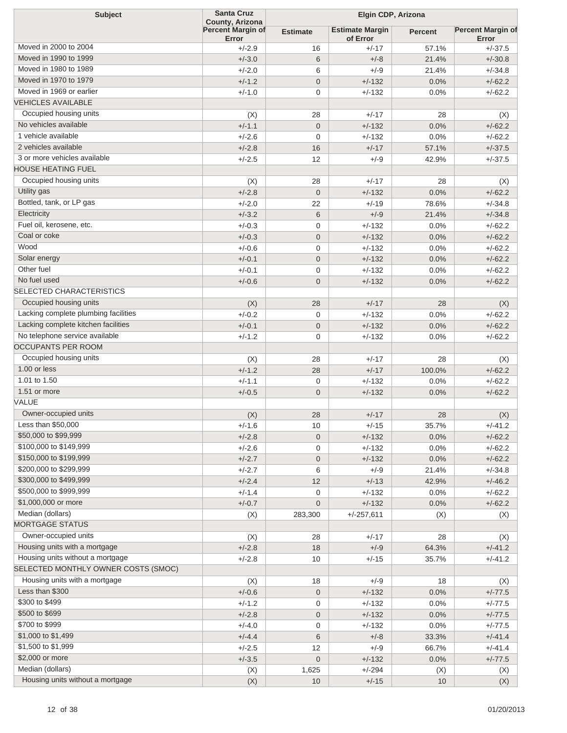| <b>Subject</b>                       | <b>Santa Cruz</b>                             |                 | Elgin CDP, Arizona                 |                |                                   |  |
|--------------------------------------|-----------------------------------------------|-----------------|------------------------------------|----------------|-----------------------------------|--|
|                                      | County, Arizona<br>Percent Margin of<br>Error | <b>Estimate</b> | <b>Estimate Margin</b><br>of Error | <b>Percent</b> | <b>Percent Margin of</b><br>Error |  |
| Moved in 2000 to 2004                | $+/-2.9$                                      | 16              | $+/-17$                            | 57.1%          | $+/-37.5$                         |  |
| Moved in 1990 to 1999                | $+/-3.0$                                      | 6               | $+/-8$                             | 21.4%          | $+/-30.8$                         |  |
| Moved in 1980 to 1989                | $+/-2.0$                                      | 6               | $+/-9$                             | 21.4%          | $+/-34.8$                         |  |
| Moved in 1970 to 1979                | $+/-1.2$                                      | $\overline{0}$  | $+/-132$                           | 0.0%           | $+/-62.2$                         |  |
| Moved in 1969 or earlier             | $+/-1.0$                                      | $\overline{0}$  | $+/-132$                           | 0.0%           | $+/-62.2$                         |  |
| <b>VEHICLES AVAILABLE</b>            |                                               |                 |                                    |                |                                   |  |
| Occupied housing units               | (X)                                           | 28              | $+/-17$                            | 28             | (X)                               |  |
| No vehicles available                | $+/-1.1$                                      | $\overline{0}$  | $+/-132$                           | 0.0%           | $+/-62.2$                         |  |
| 1 vehicle available                  | $+/-2.6$                                      | $\overline{0}$  | $+/-132$                           | 0.0%           | $+/-62.2$                         |  |
| 2 vehicles available                 | $+/-2.8$                                      | 16              | $+/-17$                            | 57.1%          | $+/-37.5$                         |  |
| 3 or more vehicles available         | $+/-2.5$                                      | 12              | $+/-9$                             | 42.9%          | $+/-37.5$                         |  |
| <b>HOUSE HEATING FUEL</b>            |                                               |                 |                                    |                |                                   |  |
| Occupied housing units               | (X)                                           | 28              | $+/-17$                            | 28             | (X)                               |  |
| Utility gas                          | $+/-2.8$                                      | $\overline{0}$  | $+/-132$                           | 0.0%           | $+/-62.2$                         |  |
| Bottled, tank, or LP gas             | $+/-2.0$                                      | 22              | $+/-19$                            | 78.6%          | $+/-34.8$                         |  |
| Electricity                          | $+/-3.2$                                      | 6               | $+/-9$                             | 21.4%          | $+/-34.8$                         |  |
| Fuel oil, kerosene, etc.             | $+/-0.3$                                      | $\overline{0}$  | $+/-132$                           | 0.0%           | $+/-62.2$                         |  |
| Coal or coke                         | $+/-0.3$                                      | $\overline{0}$  | $+/-132$                           | 0.0%           | $+/-62.2$                         |  |
| Wood                                 | $+/-0.6$                                      | $\overline{0}$  | $+/-132$                           | 0.0%           | $+/-62.2$                         |  |
| Solar energy                         | $+/-0.1$                                      | $\overline{0}$  | $+/-132$                           | 0.0%           | $+/-62.2$                         |  |
| Other fuel                           | $+/-0.1$                                      | $\overline{0}$  | $+/-132$                           | 0.0%           | $+/-62.2$                         |  |
| No fuel used                         | $+/-0.6$                                      | $\overline{0}$  | $+/-132$                           | 0.0%           | $+/-62.2$                         |  |
| <b>SELECTED CHARACTERISTICS</b>      |                                               |                 |                                    |                |                                   |  |
| Occupied housing units               | (X)                                           | 28              | $+/-17$                            | 28             | (X)                               |  |
| Lacking complete plumbing facilities | $+/-0.2$                                      | $\overline{0}$  | $+/-132$                           | 0.0%           | $+/-62.2$                         |  |
| Lacking complete kitchen facilities  | $+/-0.1$                                      | $\overline{0}$  | $+/-132$                           | 0.0%           | $+/-62.2$                         |  |
| No telephone service available       | $+/-1.2$                                      | $\overline{0}$  | $+/-132$                           | 0.0%           | $+/-62.2$                         |  |
| <b>OCCUPANTS PER ROOM</b>            |                                               |                 |                                    |                |                                   |  |
| Occupied housing units               | (X)                                           | 28              | $+/-17$                            | 28             | (X)                               |  |
| 1.00 or less                         | $+/-1.2$                                      | 28              | $+/-17$                            | 100.0%         | $+/-62.2$                         |  |
| 1.01 to 1.50                         | $+/-1.1$                                      | $\overline{0}$  | $+/-132$                           | 0.0%           | $+/-62.2$                         |  |
| 1.51 or more                         | $+/-0.5$                                      | $\overline{0}$  | $+/-132$                           | 0.0%           | $+/-62.2$                         |  |
| VALUE                                |                                               |                 |                                    |                |                                   |  |
| Owner-occupied units                 | (X)                                           | 28              | $+/-17$                            | 28             | (X)                               |  |
| Less than \$50,000                   | $+/-1.6$                                      | 10              | $+/-15$                            | 35.7%          | $+/-41.2$                         |  |
| \$50,000 to \$99,999                 | $+/-2.8$                                      | $\overline{0}$  | $+/-132$                           | 0.0%           | $+/-62.2$                         |  |
| \$100,000 to \$149,999               | $+/-2.6$                                      | 0               | $+/-132$                           | 0.0%           | $+/-62.2$                         |  |
| \$150,000 to \$199,999               | $+/-2.7$                                      | $\overline{0}$  | $+/-132$                           | 0.0%           | $+/-62.2$                         |  |
| \$200,000 to \$299,999               | $+/-2.7$                                      | 6               | $+/-9$                             | 21.4%          | $+/-34.8$                         |  |
| \$300,000 to \$499,999               | $+/-2.4$                                      | 12              | $+/-13$                            | 42.9%          | $+/-46.2$                         |  |
| \$500,000 to \$999,999               | $+/-1.4$                                      | 0               | $+/-132$                           | $0.0\%$        | $+/-62.2$                         |  |
| \$1,000,000 or more                  | $+/-0.7$                                      | $\mathbf 0$     | $+/-132$                           | 0.0%           | $+/-62.2$                         |  |
| Median (dollars)                     | (X)                                           | 283,300         | $+/-257,611$                       | (X)            | (X)                               |  |
| <b>MORTGAGE STATUS</b>               |                                               |                 |                                    |                |                                   |  |
| Owner-occupied units                 | (X)                                           | 28              | $+/-17$                            | 28             | (X)                               |  |
| Housing units with a mortgage        | $+/-2.8$                                      | 18              | $+/-9$                             | 64.3%          | $+/-41.2$                         |  |
| Housing units without a mortgage     | $+/-2.8$                                      | 10              | $+/-15$                            | 35.7%          | $+/-41.2$                         |  |
| SELECTED MONTHLY OWNER COSTS (SMOC)  |                                               |                 |                                    |                |                                   |  |
| Housing units with a mortgage        | (X)                                           | 18              | $+/-9$                             | 18             | (X)                               |  |
| Less than \$300                      | $+/-0.6$                                      | $\mathbf 0$     | $+/-132$                           | 0.0%           | $+/-77.5$                         |  |
| \$300 to \$499                       | $+/-1.2$                                      | 0               | $+/-132$                           | 0.0%           | $+/-77.5$                         |  |
| \$500 to \$699                       | $+/-2.8$                                      | $\mathbf 0$     | $+/-132$                           | 0.0%           | $+/-77.5$                         |  |
| \$700 to \$999                       | $+/-4.0$                                      | 0               | $+/-132$                           | 0.0%           | $+/-77.5$                         |  |
| \$1,000 to \$1,499                   | $+/-4.4$                                      | 6               | $+/-8$                             | 33.3%          | $+/-41.4$                         |  |
| \$1,500 to \$1,999                   | $+/-2.5$                                      | 12              | $+/-9$                             | 66.7%          | $+/-41.4$                         |  |
| \$2,000 or more                      | $+/-3.5$                                      | $\mathbf 0$     | $+/-132$                           | 0.0%           | $+/-77.5$                         |  |
| Median (dollars)                     | (X)                                           | 1,625           | $+/-294$                           | (X)            | (X)                               |  |
| Housing units without a mortgage     | (X)                                           | 10              | $+/-15$                            | 10             | (X)                               |  |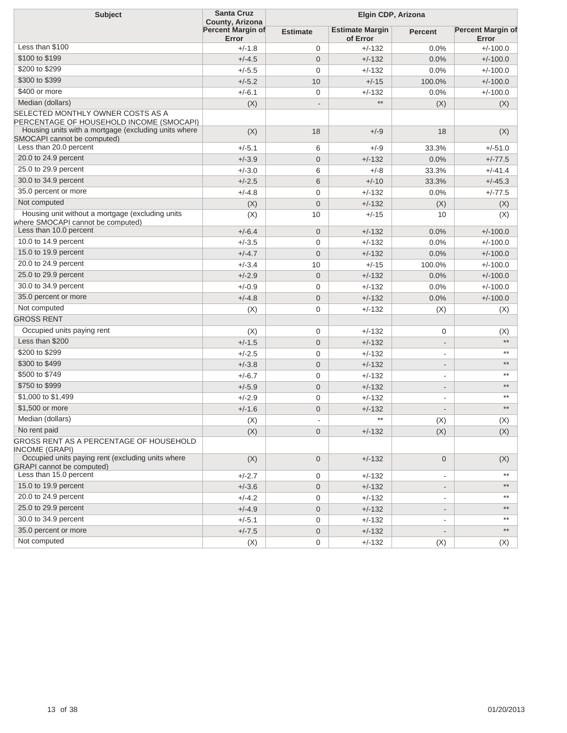| <b>Subject</b>                                                                        | <b>Santa Cruz</b><br>County, Arizona |                 | Elgin CDP, Arizona                 |                          |                                   |  |
|---------------------------------------------------------------------------------------|--------------------------------------|-----------------|------------------------------------|--------------------------|-----------------------------------|--|
|                                                                                       | Percent Margin of<br>Error           | <b>Estimate</b> | <b>Estimate Margin</b><br>of Error | <b>Percent</b>           | <b>Percent Margin of</b><br>Error |  |
| Less than \$100                                                                       | $+/-1.8$                             | 0               | $+/-132$                           | 0.0%                     | $+/-100.0$                        |  |
| \$100 to \$199                                                                        | $+/-4.5$                             | $\overline{0}$  | $+/-132$                           | 0.0%                     | $+/-100.0$                        |  |
| \$200 to \$299                                                                        | $+/-5.5$                             | 0               | $+/-132$                           | 0.0%                     | $+/-100.0$                        |  |
| \$300 to \$399                                                                        | $+/-5.2$                             | 10              | $+/-15$                            | 100.0%                   | $+/-100.0$                        |  |
| \$400 or more                                                                         | $+/-6.1$                             | 0               | $+/-132$                           | 0.0%                     | $+/-100.0$                        |  |
| Median (dollars)                                                                      | (X)                                  | $\overline{a}$  | $***$                              | (X)                      | (X)                               |  |
| SELECTED MONTHLY OWNER COSTS AS A<br>PERCENTAGE OF HOUSEHOLD INCOME (SMOCAPI)         |                                      |                 |                                    |                          |                                   |  |
| Housing units with a mortgage (excluding units where<br>SMOCAPI cannot be computed)   | (X)                                  | 18              | $+/-9$                             | 18                       | (X)                               |  |
| Less than 20.0 percent                                                                | $+/-5.1$                             | 6               | $+/-9$                             | 33.3%                    | $+/-51.0$                         |  |
| 20.0 to 24.9 percent                                                                  | $+/-3.9$                             | $\overline{0}$  | $+/-132$                           | 0.0%                     | $+/-77.5$                         |  |
| 25.0 to 29.9 percent                                                                  | $+/-3.0$                             | 6               | $+/-8$                             | 33.3%                    | $+/-41.4$                         |  |
| 30.0 to 34.9 percent                                                                  | $+/-2.5$                             | 6               | $+/-10$                            | 33.3%                    | $+/-45.3$                         |  |
| 35.0 percent or more                                                                  | $+/-4.8$                             | 0               | $+/-132$                           | 0.0%                     | $+/-77.5$                         |  |
| Not computed                                                                          | (X)                                  | $\mathbf 0$     | $+/-132$                           | (X)                      | (X)                               |  |
| Housing unit without a mortgage (excluding units<br>where SMOCAPI cannot be computed) | (X)                                  | 10              | $+/-15$                            | 10                       | (X)                               |  |
| Less than 10.0 percent                                                                | $+/-6.4$                             | $\mathbf 0$     | $+/-132$                           | 0.0%                     | $+/-100.0$                        |  |
| 10.0 to 14.9 percent                                                                  | $+/-3.5$                             | 0               | $+/-132$                           | 0.0%                     | $+/-100.0$                        |  |
| 15.0 to 19.9 percent                                                                  | $+/-4.7$                             | $\mathbf 0$     | $+/-132$                           | 0.0%                     | $+/-100.0$                        |  |
| 20.0 to 24.9 percent                                                                  | $+/-3.4$                             | 10              | $+/-15$                            | 100.0%                   | $+/-100.0$                        |  |
| 25.0 to 29.9 percent                                                                  | $+/-2.9$                             | $\mathbf 0$     | $+/-132$                           | 0.0%                     | $+/-100.0$                        |  |
| 30.0 to 34.9 percent                                                                  | $+/-0.9$                             | 0               | $+/-132$                           | 0.0%                     | $+/-100.0$                        |  |
| 35.0 percent or more                                                                  | $+/-4.8$                             | $\mathbf 0$     | $+/-132$                           | 0.0%                     | $+/-100.0$                        |  |
| Not computed                                                                          | (X)                                  | 0               | $+/-132$                           | (X)                      | (X)                               |  |
| <b>GROSS RENT</b>                                                                     |                                      |                 |                                    |                          |                                   |  |
| Occupied units paying rent                                                            | (X)                                  | 0               | $+/-132$                           | 0                        | (X)                               |  |
| Less than \$200                                                                       | $+/-1.5$                             | $\mathbf 0$     | $+/-132$                           | $\overline{\phantom{a}}$ | $***$                             |  |
| \$200 to \$299                                                                        | $+/-2.5$                             | 0               | $+/-132$                           | $\blacksquare$           | $***$                             |  |
| \$300 to \$499                                                                        | $+/-3.8$                             | $\mathbf 0$     | $+/-132$                           | $\overline{\phantom{a}}$ | $\star\star$                      |  |
| \$500 to \$749                                                                        | $+/-6.7$                             | 0               | $+/-132$                           | $\overline{\phantom{a}}$ | $***$                             |  |
| \$750 to \$999                                                                        | $+/-5.9$                             | $\mathbf 0$     | $+/-132$                           | $\overline{\phantom{a}}$ | $***$                             |  |
| \$1,000 to \$1,499                                                                    | $+/-2.9$                             | 0               | $+/-132$                           | $\overline{\phantom{a}}$ | $***$                             |  |
| \$1,500 or more                                                                       | $+/-1.6$                             | $\mathbf 0$     | $+/-132$                           |                          | $***$                             |  |
| Median (dollars)                                                                      | (X)                                  |                 | $***$                              | $(\mathsf{X})$           | (X)                               |  |
| No rent paid                                                                          | (X)                                  | $\mathbf 0$     | $+/-132$                           | (X)                      | (X)                               |  |
| GROSS RENT AS A PERCENTAGE OF HOUSEHOLD<br>INCOME (GRAPI)                             |                                      |                 |                                    |                          |                                   |  |
| Occupied units paying rent (excluding units where<br><b>GRAPI</b> cannot be computed) | (X)                                  | $\mathbf 0$     | $+/-132$                           | 0                        | (X)                               |  |
| Less than 15.0 percent                                                                | $+/-2.7$                             | 0               | $+/-132$                           | $\overline{\phantom{a}}$ | $***$                             |  |
| 15.0 to 19.9 percent                                                                  | $+/-3.6$                             | $\mathbf 0$     | $+/-132$                           | $\overline{\phantom{a}}$ | $***$                             |  |
| 20.0 to 24.9 percent                                                                  | $+/-4.2$                             | 0               | $+/-132$                           | $\overline{\phantom{a}}$ | $***$                             |  |
| 25.0 to 29.9 percent                                                                  | $+/-4.9$                             | $\mathbf 0$     | $+/-132$                           | $\overline{\phantom{a}}$ | $^{\star\star}$                   |  |
| 30.0 to 34.9 percent                                                                  | $+/-5.1$                             | 0               | $+/-132$                           | $\overline{\phantom{a}}$ | $***$                             |  |
| 35.0 percent or more                                                                  | $+/-7.5$                             | $\mathbf 0$     | $+/-132$                           | $\overline{\phantom{a}}$ | $^{\star\star}$                   |  |
| Not computed                                                                          | (X)                                  | 0               | $+/-132$                           | (X)                      | (X)                               |  |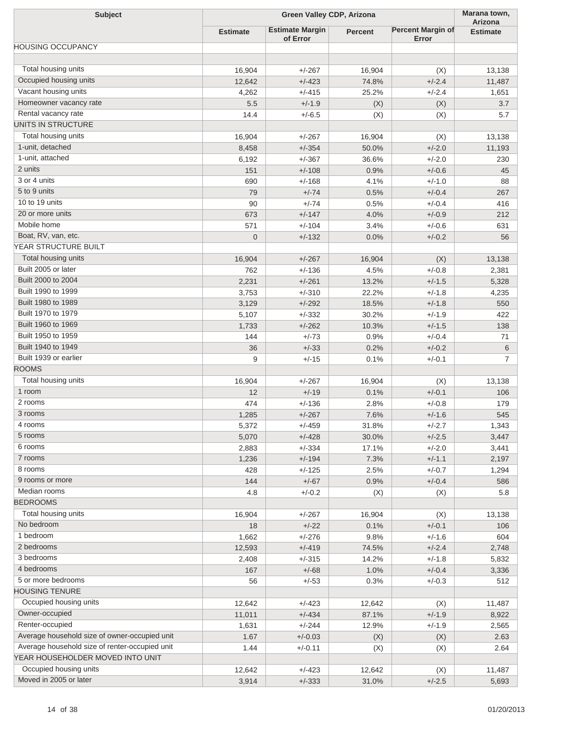| <b>Subject</b>                                 | <b>Green Valley CDP, Arizona</b> |                                    |                |                                   | Marana town,               |
|------------------------------------------------|----------------------------------|------------------------------------|----------------|-----------------------------------|----------------------------|
|                                                | <b>Estimate</b>                  | <b>Estimate Margin</b><br>of Error | <b>Percent</b> | <b>Percent Margin of</b><br>Error | Arizona<br><b>Estimate</b> |
| <b>HOUSING OCCUPANCY</b>                       |                                  |                                    |                |                                   |                            |
|                                                |                                  |                                    |                |                                   |                            |
| Total housing units                            | 16,904                           | $+/-267$                           | 16,904         | (X)                               | 13,138                     |
| Occupied housing units                         | 12,642                           | $+/-423$                           | 74.8%          | $+/-2.4$                          | 11,487                     |
| Vacant housing units                           | 4,262                            | $+/-415$                           | 25.2%          | $+/-2.4$                          | 1,651                      |
| Homeowner vacancy rate                         | 5.5                              | $+/-1.9$                           | (X)            | (X)                               | 3.7                        |
| Rental vacancy rate                            | 14.4                             | $+/-6.5$                           | (X)            | (X)                               | 5.7                        |
| UNITS IN STRUCTURE                             |                                  |                                    |                |                                   |                            |
| Total housing units                            | 16,904                           | $+/-267$                           | 16,904         | (X)                               | 13,138                     |
| 1-unit, detached                               | 8,458                            | $+/-354$                           | 50.0%          | $+/-2.0$                          | 11,193                     |
| 1-unit, attached                               | 6,192                            | $+/-367$                           | 36.6%          | $+/-2.0$                          | 230                        |
| 2 units                                        | 151                              | $+/-108$                           | 0.9%           | $+/-0.6$                          | 45                         |
| 3 or 4 units                                   | 690                              | $+/-168$                           | 4.1%           | $+/-1.0$                          | 88                         |
| 5 to 9 units                                   | 79                               | $+/-74$                            | 0.5%           | $+/-0.4$                          | 267                        |
| 10 to 19 units                                 | 90                               | $+/-74$                            | 0.5%           | $+/-0.4$                          | 416                        |
| 20 or more units                               | 673                              | $+/-147$                           | 4.0%           | $+/-0.9$                          | 212                        |
| Mobile home                                    | 571                              | $+/-104$                           | 3.4%           | $+/-0.6$                          | 631                        |
| Boat, RV, van, etc.                            | $\overline{0}$                   | $+/-132$                           | 0.0%           | $+/-0.2$                          | 56                         |
| YEAR STRUCTURE BUILT                           |                                  |                                    |                |                                   |                            |
| Total housing units                            | 16,904                           | $+/-267$                           | 16,904         | (X)                               | 13,138                     |
| Built 2005 or later                            | 762                              | $+/-136$                           | 4.5%           | $+/-0.8$                          | 2,381                      |
| Built 2000 to 2004                             | 2,231                            | $+/-261$                           | 13.2%          | $+/-1.5$                          | 5,328                      |
| Built 1990 to 1999                             | 3,753                            | $+/-310$                           | 22.2%          | $+/-1.8$                          | 4,235                      |
| Built 1980 to 1989                             | 3,129                            | $+/-292$                           | 18.5%          | $+/-1.8$                          | 550                        |
| Built 1970 to 1979                             | 5,107                            | $+/-332$                           | 30.2%          | $+/-1.9$                          | 422                        |
| Built 1960 to 1969                             | 1,733                            | $+/-262$                           | 10.3%          | $+/-1.5$                          | 138                        |
| Built 1950 to 1959                             | 144                              | $+/-73$                            | 0.9%           | $+/-0.4$                          | 71                         |
| Built 1940 to 1949                             | 36                               | $+/-33$                            | 0.2%           | $+/-0.2$                          | 6                          |
| Built 1939 or earlier                          | 9                                | $+/-15$                            | 0.1%           | $+/-0.1$                          | $\overline{7}$             |
| <b>ROOMS</b>                                   |                                  |                                    |                |                                   |                            |
| Total housing units                            | 16,904                           | $+/-267$                           | 16,904         | (X)                               | 13,138                     |
| 1 room                                         | 12                               | $+/-19$                            | 0.1%           | $+/-0.1$                          | 106                        |
| 2 rooms                                        | 474                              | $+/-136$                           | 2.8%           | $+/-0.8$                          | 179                        |
| 3 rooms                                        | 1,285                            | $+/-267$                           | 7.6%           | $+/-1.6$                          | 545                        |
| 4 rooms                                        | 5,372                            | $+/-459$                           | 31.8%          | +/-2.7                            | 1,343                      |
| 5 rooms                                        | 5,070                            | $+/-428$                           | 30.0%          | $+/-2.5$                          | 3,447                      |
| 6 rooms                                        | 2,883                            | $+/-334$                           | 17.1%          | $+/-2.0$                          | 3,441                      |
| 7 rooms                                        | 1,236                            | $+/-194$                           | 7.3%           | $+/-1.1$                          | 2,197                      |
| 8 rooms                                        | 428                              | $+/-125$                           | 2.5%           | $+/-0.7$                          | 1,294                      |
| 9 rooms or more                                | 144                              | $+/-67$                            | 0.9%           | $+/-0.4$                          | 586                        |
| Median rooms                                   | 4.8                              | $+/-0.2$                           | (X)            | (X)                               | 5.8                        |
| <b>BEDROOMS</b>                                |                                  |                                    |                |                                   |                            |
| Total housing units                            | 16,904                           | $+/-267$                           | 16,904         | (X)                               | 13,138                     |
| No bedroom                                     | 18                               | $+/-22$                            | 0.1%           | $+/-0.1$                          | 106                        |
| 1 bedroom                                      | 1,662                            | $+/-276$                           | 9.8%           | $+/-1.6$                          | 604                        |
| 2 bedrooms                                     | 12,593                           | $+/-419$                           | 74.5%          | $+/-2.4$                          | 2,748                      |
| 3 bedrooms                                     | 2,408                            | $+/-315$                           | 14.2%          | $+/-1.8$                          | 5,832                      |
| 4 bedrooms                                     | 167                              | $+/-68$                            | 1.0%           | $+/-0.4$                          | 3,336                      |
| 5 or more bedrooms                             | 56                               | $+/-53$                            | 0.3%           | $+/-0.3$                          | 512                        |
| <b>HOUSING TENURE</b>                          |                                  |                                    |                |                                   |                            |
| Occupied housing units                         | 12,642                           | $+/-423$                           | 12,642         | (X)                               | 11,487                     |
| Owner-occupied                                 | 11,011                           | $+/-434$                           | 87.1%          | $+/-1.9$                          | 8,922                      |
| Renter-occupied                                | 1,631                            | $+/-244$                           | 12.9%          | $+/-1.9$                          | 2,565                      |
| Average household size of owner-occupied unit  | 1.67                             | $+/-0.03$                          | (X)            | (X)                               | 2.63                       |
| Average household size of renter-occupied unit | 1.44                             | $+/-0.11$                          | (X)            | (X)                               | 2.64                       |
| YEAR HOUSEHOLDER MOVED INTO UNIT               |                                  |                                    |                |                                   |                            |
| Occupied housing units                         | 12,642                           | $+/-423$                           | 12,642         | (X)                               | 11,487                     |
| Moved in 2005 or later                         | 3,914                            | $+/-333$                           | 31.0%          | $+/-2.5$                          | 5,693                      |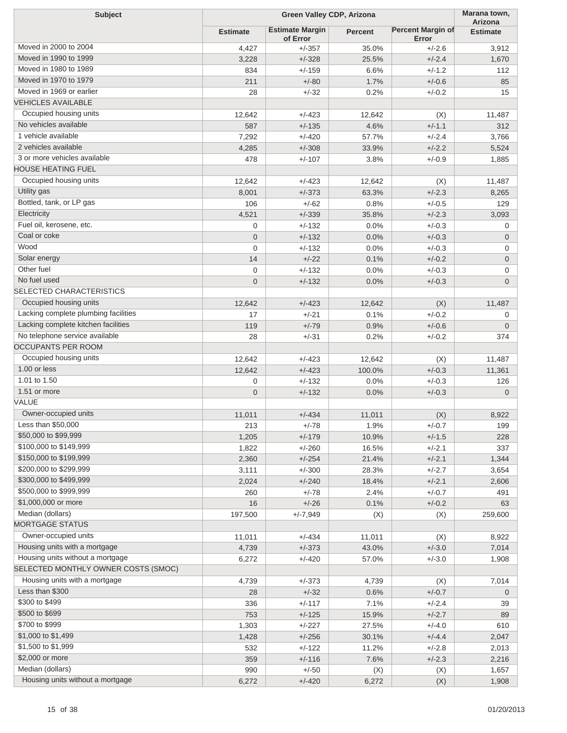| <b>Subject</b>                                                        | <b>Green Valley CDP, Arizona</b> |                                    |         | Marana town,<br>Arizona           |                 |
|-----------------------------------------------------------------------|----------------------------------|------------------------------------|---------|-----------------------------------|-----------------|
|                                                                       | <b>Estimate</b>                  | <b>Estimate Margin</b><br>of Error | Percent | <b>Percent Margin of</b><br>Error | <b>Estimate</b> |
| Moved in 2000 to 2004                                                 | 4,427                            | $+/-357$                           | 35.0%   | $+/-2.6$                          | 3,912           |
| Moved in 1990 to 1999                                                 | 3,228                            | $+/-328$                           | 25.5%   | $+/-2.4$                          | 1,670           |
| Moved in 1980 to 1989                                                 | 834                              | $+/-159$                           | 6.6%    | $+/-1.2$                          | 112             |
| Moved in 1970 to 1979                                                 | 211                              | $+/-80$                            | 1.7%    | $+/-0.6$                          | 85              |
| Moved in 1969 or earlier                                              | 28                               | $+/-32$                            | 0.2%    | $+/-0.2$                          | 15              |
| <b>VEHICLES AVAILABLE</b>                                             |                                  |                                    |         |                                   |                 |
| Occupied housing units                                                | 12,642                           | $+/-423$                           | 12,642  | (X)                               | 11,487          |
| No vehicles available                                                 | 587                              | $+/-135$                           | 4.6%    | $+/-1.1$                          | 312             |
| 1 vehicle available                                                   | 7,292                            | $+/-420$                           | 57.7%   | $+/-2.4$                          | 3,766           |
| 2 vehicles available                                                  | 4,285                            | $+/-308$                           | 33.9%   | $+/-2.2$                          | 5,524           |
| 3 or more vehicles available                                          | 478                              | $+/-107$                           | 3.8%    | $+/-0.9$                          | 1,885           |
| <b>HOUSE HEATING FUEL</b>                                             |                                  |                                    |         |                                   |                 |
| Occupied housing units                                                | 12,642                           | $+/-423$                           | 12,642  | (X)                               | 11,487          |
| Utility gas                                                           | 8,001                            | $+/-373$                           | 63.3%   | $+/-2.3$                          | 8,265           |
| Bottled, tank, or LP gas                                              | 106                              | $+/-62$                            | 0.8%    | $+/-0.5$                          | 129             |
| Electricity                                                           | 4,521                            | $+/-339$                           | 35.8%   | $+/-2.3$                          | 3,093           |
| Fuel oil, kerosene, etc.                                              | 0                                | $+/-132$                           | 0.0%    | $+/-0.3$                          | 0               |
| Coal or coke                                                          | 0                                | $+/-132$                           | 0.0%    | $+/-0.3$                          | $\mathbf 0$     |
| Wood                                                                  | 0                                | $+/-132$                           | 0.0%    | $+/-0.3$                          | 0               |
| Solar energy                                                          | 14                               | $+/-22$                            | 0.1%    | $+/-0.2$                          |                 |
| Other fuel                                                            |                                  |                                    |         |                                   | $\overline{0}$  |
| No fuel used                                                          | 0                                | $+/-132$                           | 0.0%    | $+/-0.3$                          | 0               |
| <b>SELECTED CHARACTERISTICS</b>                                       | $\overline{0}$                   | $+/-132$                           | 0.0%    | $+/-0.3$                          | $\overline{0}$  |
| Occupied housing units                                                |                                  |                                    |         |                                   |                 |
|                                                                       | 12,642                           | $+/-423$                           | 12,642  | (X)                               | 11,487          |
| Lacking complete plumbing facilities                                  | 17                               | $+/-21$                            | 0.1%    | $+/-0.2$                          | 0               |
| Lacking complete kitchen facilities<br>No telephone service available | 119                              | $+/-79$                            | 0.9%    | $+/-0.6$                          | $\mathbf 0$     |
| <b>OCCUPANTS PER ROOM</b>                                             | 28                               | $+/-31$                            | 0.2%    | $+/-0.2$                          | 374             |
| Occupied housing units                                                |                                  |                                    |         |                                   |                 |
|                                                                       | 12,642                           | $+/-423$                           | 12,642  | (X)                               | 11,487          |
| 1.00 or less<br>1.01 to 1.50                                          | 12,642                           | $+/-423$                           | 100.0%  | $+/-0.3$                          | 11,361          |
|                                                                       | 0                                | $+/-132$                           | 0.0%    | $+/-0.3$                          | 126             |
| 1.51 or more                                                          | 0                                | $+/-132$                           | 0.0%    | $+/-0.3$                          | $\mathbf 0$     |
| VALUE                                                                 |                                  |                                    |         |                                   |                 |
| Owner-occupied units                                                  | 11,011                           | $+/-434$                           | 11,011  | (X)                               | 8,922           |
| Less than \$50,000                                                    | 213                              | +/-78                              | 1.9%    | +/-0.7                            | 199             |
| \$50,000 to \$99,999                                                  | 1,205                            | $+/-179$                           | 10.9%   | $+/-1.5$                          | 228             |
| \$100,000 to \$149,999                                                | 1,822                            | $+/-260$                           | 16.5%   | $+/-2.1$                          | 337             |
| \$150,000 to \$199,999                                                | 2,360                            | $+/-254$                           | 21.4%   | $+/-2.1$                          | 1,344           |
| \$200,000 to \$299,999                                                | 3,111                            | $+/-300$                           | 28.3%   | $+/-2.7$                          | 3,654           |
| \$300,000 to \$499,999                                                | 2,024                            | $+/-240$                           | 18.4%   | $+/-2.1$                          | 2,606           |
| \$500,000 to \$999,999                                                | 260                              | $+/-78$                            | 2.4%    | $+/-0.7$                          | 491             |
| \$1,000,000 or more                                                   | 16                               | $+/-26$                            | 0.1%    | $+/-0.2$                          | 63              |
| Median (dollars)                                                      | 197,500                          | $+/-7,949$                         | (X)     | (X)                               | 259,600         |
| <b>MORTGAGE STATUS</b>                                                |                                  |                                    |         |                                   |                 |
| Owner-occupied units                                                  | 11,011                           | $+/-434$                           | 11,011  | (X)                               | 8,922           |
| Housing units with a mortgage                                         | 4,739                            | $+/-373$                           | 43.0%   | $+/-3.0$                          | 7,014           |
| Housing units without a mortgage                                      | 6,272                            | $+/-420$                           | 57.0%   | $+/-3.0$                          | 1,908           |
| SELECTED MONTHLY OWNER COSTS (SMOC)                                   |                                  |                                    |         |                                   |                 |
| Housing units with a mortgage                                         | 4,739                            | $+/-373$                           | 4,739   | (X)                               | 7,014           |
| Less than \$300                                                       | 28                               | $+/-32$                            | 0.6%    | $+/-0.7$                          | $\mathbf 0$     |
| \$300 to \$499                                                        | 336                              | $+/-117$                           | 7.1%    | $+/-2.4$                          | 39              |
| \$500 to \$699                                                        | 753                              | $+/-125$                           | 15.9%   | $+/-2.7$                          | 89              |
| \$700 to \$999                                                        | 1,303                            | $+/-227$                           | 27.5%   | $+/-4.0$                          | 610             |
| \$1,000 to \$1,499                                                    | 1,428                            | $+/-256$                           | 30.1%   | $+/-4.4$                          | 2,047           |
| \$1,500 to \$1,999                                                    | 532                              | $+/-122$                           | 11.2%   | $+/-2.8$                          | 2,013           |
| \$2,000 or more                                                       | 359                              | $+/-116$                           | 7.6%    | $+/-2.3$                          | 2,216           |
| Median (dollars)                                                      | 990                              | $+/-50$                            | (X)     | (X)                               | 1,657           |
| Housing units without a mortgage                                      | 6,272                            | $+/-420$                           | 6,272   | (X)                               | 1,908           |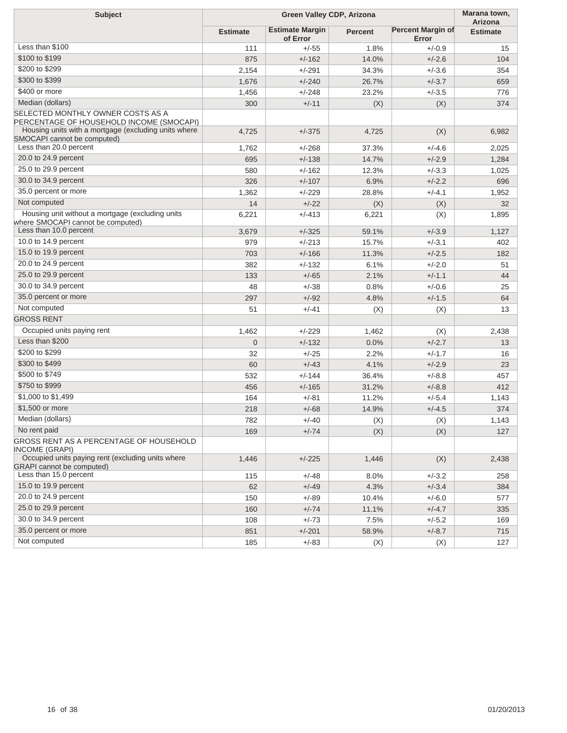| <b>Subject</b>                                                                        | Green Valley CDP, Arizona |                                    |                |                                   | Marana town,<br>Arizona |
|---------------------------------------------------------------------------------------|---------------------------|------------------------------------|----------------|-----------------------------------|-------------------------|
|                                                                                       | <b>Estimate</b>           | <b>Estimate Margin</b><br>of Error | <b>Percent</b> | <b>Percent Margin of</b><br>Error | <b>Estimate</b>         |
| Less than \$100                                                                       | 111                       | $+/-55$                            | 1.8%           | $+/-0.9$                          | 15                      |
| \$100 to \$199                                                                        | 875                       | $+/-162$                           | 14.0%          | $+/-2.6$                          | 104                     |
| \$200 to \$299                                                                        | 2,154                     | $+/-291$                           | 34.3%          | $+/-3.6$                          | 354                     |
| \$300 to \$399                                                                        | 1,676                     | $+/-240$                           | 26.7%          | $+/-3.7$                          | 659                     |
| \$400 or more                                                                         | 1,456                     | $+/-248$                           | 23.2%          | $+/-3.5$                          | 776                     |
| Median (dollars)                                                                      | 300                       | $+/-11$                            | (X)            | (X)                               | 374                     |
| SELECTED MONTHLY OWNER COSTS AS A<br>PERCENTAGE OF HOUSEHOLD INCOME (SMOCAPI)         |                           |                                    |                |                                   |                         |
| Housing units with a mortgage (excluding units where<br>SMOCAPI cannot be computed)   | 4,725                     | $+/-375$                           | 4,725          | (X)                               | 6,982                   |
| Less than 20.0 percent                                                                | 1,762                     | $+/-268$                           | 37.3%          | $+/-4.6$                          | 2,025                   |
| 20.0 to 24.9 percent                                                                  | 695                       | $+/-138$                           | 14.7%          | $+/-2.9$                          | 1,284                   |
| 25.0 to 29.9 percent                                                                  | 580                       | $+/-162$                           | 12.3%          | $+/-3.3$                          | 1,025                   |
| 30.0 to 34.9 percent                                                                  | 326                       | $+/-107$                           | 6.9%           | $+/-2.2$                          | 696                     |
| 35.0 percent or more                                                                  | 1,362                     | $+/-229$                           | 28.8%          | $+/-4.1$                          | 1,952                   |
| Not computed                                                                          | 14                        | $+/-22$                            | (X)            | (X)                               | 32                      |
| Housing unit without a mortgage (excluding units<br>where SMOCAPI cannot be computed) | 6,221                     | $+/-413$                           | 6,221          | (X)                               | 1,895                   |
| Less than 10.0 percent                                                                | 3,679                     | $+/-325$                           | 59.1%          | $+/-3.9$                          | 1,127                   |
| 10.0 to 14.9 percent                                                                  | 979                       | $+/-213$                           | 15.7%          | $+/-3.1$                          | 402                     |
| 15.0 to 19.9 percent                                                                  | 703                       | $+/-166$                           | 11.3%          | $+/-2.5$                          | 182                     |
| 20.0 to 24.9 percent                                                                  | 382                       | $+/-132$                           | 6.1%           | $+/-2.0$                          | 51                      |
| 25.0 to 29.9 percent                                                                  | 133                       | $+/-65$                            | 2.1%           | $+/-1.1$                          | 44                      |
| 30.0 to 34.9 percent                                                                  | 48                        | $+/-38$                            | 0.8%           | $+/-0.6$                          | 25                      |
| 35.0 percent or more                                                                  | 297                       | $+/-92$                            | 4.8%           | $+/-1.5$                          | 64                      |
| Not computed                                                                          | 51                        | $+/-41$                            | (X)            | (X)                               | 13                      |
| <b>GROSS RENT</b>                                                                     |                           |                                    |                |                                   |                         |
| Occupied units paying rent                                                            | 1,462                     | $+/-229$                           | 1,462          | (X)                               | 2,438                   |
| Less than \$200                                                                       | $\overline{0}$            | $+/-132$                           | 0.0%           | $+/-2.7$                          | 13                      |
| \$200 to \$299                                                                        | 32                        | $+/-25$                            | 2.2%           | $+/-1.7$                          | 16                      |
| \$300 to \$499                                                                        | 60                        | $+/-43$                            | 4.1%           | $+/-2.9$                          | 23                      |
| \$500 to \$749                                                                        | 532                       | $+/-144$                           | 36.4%          | $+/-8.8$                          | 457                     |
| \$750 to \$999                                                                        | 456                       | $+/-165$                           | 31.2%          | $+/-8.8$                          | 412                     |
| \$1,000 to \$1,499                                                                    | 164                       | $+/-81$                            | 11.2%          | $+/-5.4$                          | 1,143                   |
| \$1,500 or more                                                                       | 218                       | $+/-68$                            | 14.9%          | $+/-4.5$                          | 374                     |
| Median (dollars)                                                                      | 782                       | $+/-40$                            | (X)            | (X)                               | 1,143                   |
| No rent paid                                                                          | 169                       | $+/-74$                            | (X)            | (X)                               | 127                     |
| GROSS RENT AS A PERCENTAGE OF HOUSEHOLD<br>INCOME (GRAPI)                             |                           |                                    |                |                                   |                         |
| Occupied units paying rent (excluding units where<br><b>GRAPI</b> cannot be computed) | 1,446                     | $+/-225$                           | 1,446          | (X)                               | 2,438                   |
| Less than 15.0 percent                                                                | 115                       | $+/-48$                            | 8.0%           | $+/-3.2$                          | 258                     |
| 15.0 to 19.9 percent                                                                  | 62                        | $+/-49$                            | 4.3%           | $+/-3.4$                          | 384                     |
| 20.0 to 24.9 percent                                                                  | 150                       | $+/-89$                            | 10.4%          | $+/-6.0$                          | 577                     |
| 25.0 to 29.9 percent                                                                  | 160                       | $+/-74$                            | 11.1%          | $+/-4.7$                          | 335                     |
| 30.0 to 34.9 percent                                                                  | 108                       | $+/-73$                            | 7.5%           | $+/-5.2$                          | 169                     |
| 35.0 percent or more                                                                  | 851                       | $+/-201$                           | 58.9%          | $+/-8.7$                          | 715                     |
| Not computed                                                                          | 185                       | $+/-83$                            | (X)            | (X)                               | 127                     |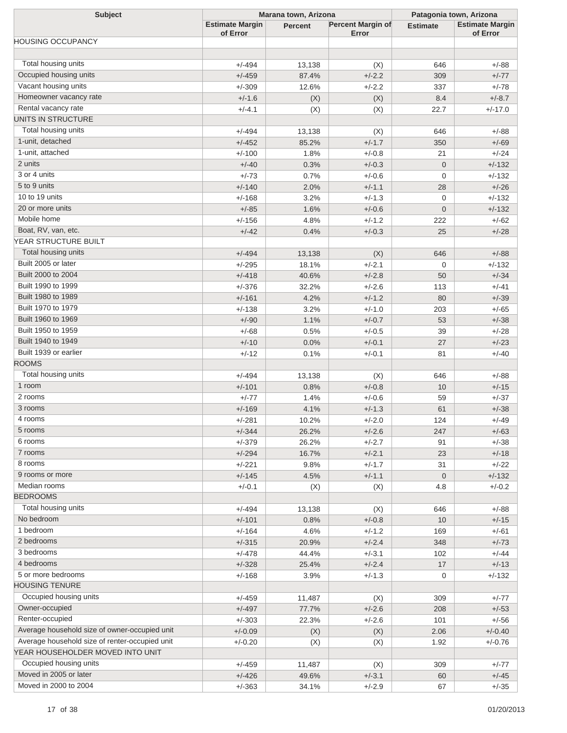| <b>Subject</b>                                 | Marana town, Arizona               |                |                                   | Patagonia town, Arizona |                                    |  |
|------------------------------------------------|------------------------------------|----------------|-----------------------------------|-------------------------|------------------------------------|--|
|                                                | <b>Estimate Margin</b><br>of Error | <b>Percent</b> | <b>Percent Margin of</b><br>Error | <b>Estimate</b>         | <b>Estimate Margin</b><br>of Error |  |
| <b>HOUSING OCCUPANCY</b>                       |                                    |                |                                   |                         |                                    |  |
|                                                |                                    |                |                                   |                         |                                    |  |
| Total housing units                            | $+/-494$                           | 13,138         | (X)                               | 646                     | $+/-88$                            |  |
| Occupied housing units                         | $+/-459$                           | 87.4%          | $+/-2.2$                          | 309                     | $+/-77$                            |  |
| Vacant housing units                           | $+/-309$                           | 12.6%          | $+/-2.2$                          | 337                     | $+/-78$                            |  |
| Homeowner vacancy rate                         | $+/-1.6$                           | (X)            | (X)                               | 8.4                     | $+/-8.7$                           |  |
| Rental vacancy rate                            | $+/-4.1$                           | (X)            | (X)                               | 22.7                    | $+/-17.0$                          |  |
| UNITS IN STRUCTURE                             |                                    |                |                                   |                         |                                    |  |
| Total housing units                            | $+/-494$                           | 13,138         | (X)                               | 646                     | $+/-88$                            |  |
| 1-unit, detached                               | $+/-452$                           | 85.2%          | $+/-1.7$                          | 350                     | $+/-69$                            |  |
| 1-unit, attached                               | $+/-100$                           | 1.8%           | $+/-0.8$                          | 21                      | $+/-24$                            |  |
| 2 units                                        | $+/-40$                            | 0.3%           | $+/-0.3$                          | $\mathbf 0$             | $+/-132$                           |  |
| 3 or 4 units                                   | $+/-73$                            | 0.7%           | $+/-0.6$                          | 0                       | $+/-132$                           |  |
| 5 to 9 units                                   | $+/-140$                           | 2.0%           | $+/-1.1$                          | 28                      | $+/-26$                            |  |
| 10 to 19 units                                 | $+/-168$                           | 3.2%           | $+/-1.3$                          | 0                       | $+/-132$                           |  |
| 20 or more units                               | $+/-85$                            | 1.6%           | $+/-0.6$                          | $\overline{0}$          | $+/-132$                           |  |
| Mobile home                                    | $+/-156$                           | 4.8%           | $+/-1.2$                          | 222                     | $+/-62$                            |  |
| Boat, RV, van, etc.                            | $+/-42$                            | 0.4%           | $+/-0.3$                          | 25                      | $+/-28$                            |  |
| YEAR STRUCTURE BUILT                           |                                    |                |                                   |                         |                                    |  |
| Total housing units                            |                                    |                |                                   |                         |                                    |  |
| Built 2005 or later                            | $+/-494$                           | 13,138         | (X)                               | 646                     | $+/-88$                            |  |
| Built 2000 to 2004                             | $+/-295$                           | 18.1%          | $+/-2.1$                          | $\mathbf 0$             | $+/-132$                           |  |
| Built 1990 to 1999                             | $+/-418$                           | 40.6%          | $+/-2.8$                          | 50                      | $+/-34$                            |  |
| Built 1980 to 1989                             | $+/-376$                           | 32.2%          | $+/-2.6$                          | 113                     | $+/-41$                            |  |
|                                                | $+/-161$                           | 4.2%           | $+/-1.2$                          | 80                      | $+/-39$                            |  |
| Built 1970 to 1979                             | $+/-138$                           | 3.2%           | $+/-1.0$                          | 203                     | $+/-65$                            |  |
| Built 1960 to 1969                             | $+/-90$                            | 1.1%           | $+/-0.7$                          | 53                      | $+/-38$                            |  |
| Built 1950 to 1959                             | $+/-68$                            | 0.5%           | $+/-0.5$                          | 39                      | $+/-28$                            |  |
| Built 1940 to 1949                             | $+/-10$                            | 0.0%           | $+/-0.1$                          | 27                      | $+/-23$                            |  |
| Built 1939 or earlier                          | $+/-12$                            | 0.1%           | $+/-0.1$                          | 81                      | $+/-40$                            |  |
| <b>ROOMS</b>                                   |                                    |                |                                   |                         |                                    |  |
| Total housing units                            | $+/-494$                           | 13,138         | (X)                               | 646                     | $+/-88$                            |  |
| 1 room                                         | $+/-101$                           | 0.8%           | $+/-0.8$                          | 10                      | $+/-15$                            |  |
| 2 rooms                                        | $+/-77$                            | 1.4%           | $+/-0.6$                          | 59                      | $+/-37$                            |  |
| 3 rooms                                        | $+/-169$                           | 4.1%           | $+/-1.3$                          | 61                      | $+/-38$                            |  |
| 4 rooms                                        | $+/-281$                           | 10.2%          | $+/-2.0$                          | 124                     | $+/-49$                            |  |
| 5 rooms                                        | $+/-344$                           | 26.2%          | $+/-2.6$                          | 247                     | $+/-63$                            |  |
| 6 rooms                                        | $+/-379$                           | 26.2%          | $+/-2.7$                          | 91                      | $+/-38$                            |  |
| 7 rooms                                        | $+/-294$                           | 16.7%          | $+/-2.1$                          | 23                      | $+/-18$                            |  |
| 8 rooms                                        | $+/-221$                           | 9.8%           | $+/-1.7$                          | 31                      | $+/-22$                            |  |
| 9 rooms or more                                | $+/-145$                           | 4.5%           | $+/-1.1$                          | $\mathbf 0$             | $+/-132$                           |  |
| Median rooms                                   | $+/-0.1$                           | (X)            | (X)                               | 4.8                     | $+/-0.2$                           |  |
| <b>BEDROOMS</b>                                |                                    |                |                                   |                         |                                    |  |
| Total housing units                            | $+/-494$                           | 13,138         | (X)                               | 646                     | $+/-88$                            |  |
| No bedroom                                     | $+/-101$                           | 0.8%           | $+/-0.8$                          | 10                      | $+/-15$                            |  |
| 1 bedroom                                      | $+/-164$                           | 4.6%           | $+/-1.2$                          | 169                     | $+/-61$                            |  |
| 2 bedrooms                                     | $+/-315$                           | 20.9%          | $+/-2.4$                          | 348                     | $+/-73$                            |  |
| 3 bedrooms                                     | $+/-478$                           | 44.4%          | $+/-3.1$                          | 102                     | $+/-44$                            |  |
| 4 bedrooms                                     | $+/-328$                           | 25.4%          | $+/-2.4$                          | 17                      | $+/-13$                            |  |
| 5 or more bedrooms                             | $+/-168$                           | 3.9%           | $+/-1.3$                          | 0                       | $+/-132$                           |  |
| <b>HOUSING TENURE</b>                          |                                    |                |                                   |                         |                                    |  |
| Occupied housing units                         | $+/-459$                           | 11,487         | (X)                               | 309                     | $+/-77$                            |  |
| Owner-occupied                                 | $+/-497$                           | 77.7%          | $+/-2.6$                          | 208                     | $+/-53$                            |  |
| Renter-occupied                                | $+/-303$                           | 22.3%          | $+/-2.6$                          | 101                     | $+/-56$                            |  |
| Average household size of owner-occupied unit  | $+/-0.09$                          | (X)            | (X)                               | 2.06                    | $+/-0.40$                          |  |
| Average household size of renter-occupied unit | $+/-0.20$                          | (X)            | (X)                               | 1.92                    | $+/-0.76$                          |  |
| YEAR HOUSEHOLDER MOVED INTO UNIT               |                                    |                |                                   |                         |                                    |  |
| Occupied housing units                         | $+/-459$                           | 11,487         | (X)                               | 309                     | $+/-77$                            |  |
| Moved in 2005 or later                         | $+/-426$                           | 49.6%          | $+/-3.1$                          | 60                      | $+/-45$                            |  |
| Moved in 2000 to 2004                          | $+/-363$                           | 34.1%          | $+/-2.9$                          | 67                      | $+/-35$                            |  |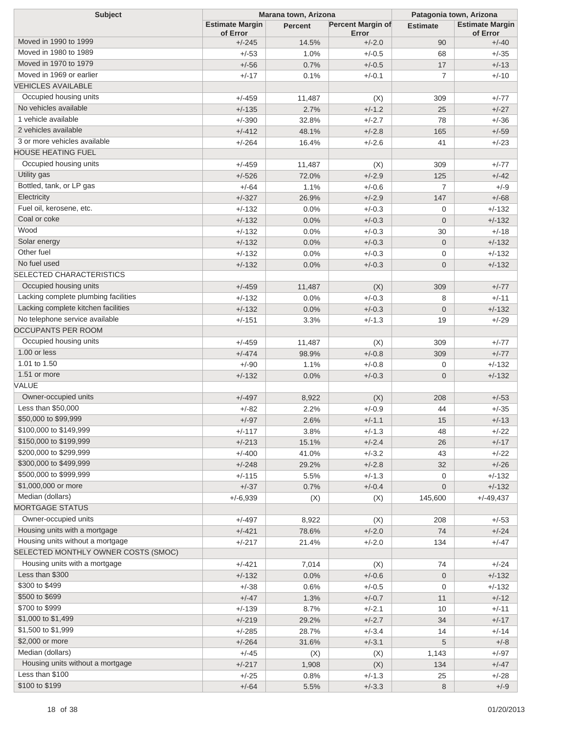| <b>Subject</b>                       | Marana town, Arizona               |                 |                            | Patagonia town, Arizona |                                    |  |
|--------------------------------------|------------------------------------|-----------------|----------------------------|-------------------------|------------------------------------|--|
|                                      | <b>Estimate Margin</b><br>of Error | Percent         | Percent Margin of<br>Error | <b>Estimate</b>         | <b>Estimate Margin</b><br>of Error |  |
| Moved in 1990 to 1999                | $+/-245$                           | 14.5%           | $+/-2.0$                   | 90                      | $+/-40$                            |  |
| Moved in 1980 to 1989                | $+/-53$                            | 1.0%            | $+/-0.5$                   | 68                      | $+/-35$                            |  |
| Moved in 1970 to 1979                | $+/-56$                            | 0.7%            | $+/-0.5$                   | 17                      | $+/-13$                            |  |
| Moved in 1969 or earlier             | $+/-17$                            | 0.1%            | $+/-0.1$                   | $\overline{7}$          | $+/-10$                            |  |
| <b>VEHICLES AVAILABLE</b>            |                                    |                 |                            |                         |                                    |  |
| Occupied housing units               | $+/-459$                           | 11,487          | (X)                        | 309                     | $+/-77$                            |  |
| No vehicles available                | $+/-135$                           | 2.7%            | $+/-1.2$                   | 25                      | $+/-27$                            |  |
| 1 vehicle available                  | $+/-390$                           | 32.8%           | $+/-2.7$                   | 78                      | $+/-36$                            |  |
| 2 vehicles available                 | $+/-412$                           | 48.1%           | $+/-2.8$                   | 165                     | $+/-59$                            |  |
| 3 or more vehicles available         | $+/-264$                           | 16.4%           | $+/-2.6$                   | 41                      | $+/-23$                            |  |
| <b>HOUSE HEATING FUEL</b>            |                                    |                 |                            |                         |                                    |  |
| Occupied housing units               | $+/-459$                           | 11,487          | (X)                        | 309                     | $+/-77$                            |  |
| Utility gas                          | $+/-526$                           | 72.0%           | $+/-2.9$                   | 125                     | $+/-42$                            |  |
| Bottled, tank, or LP gas             | $+/-64$                            | 1.1%            | $+/-0.6$                   | $\overline{7}$          | $+/-9$                             |  |
| Electricity                          | $+/-327$                           | 26.9%           | $+/-2.9$                   | 147                     | $+/-68$                            |  |
| Fuel oil, kerosene, etc.             | $+/-132$                           | 0.0%            | $+/-0.3$                   | $\mathbf{0}$            | $+/-132$                           |  |
| Coal or coke                         | $+/-132$                           | 0.0%            | $+/-0.3$                   | $\overline{0}$          | $+/-132$                           |  |
| Wood                                 | $+/-132$                           | 0.0%            | $+/-0.3$                   | 30                      | $+/-18$                            |  |
| Solar energy                         | $+/-132$                           | 0.0%            | $+/-0.3$                   | $\overline{0}$          | $+/-132$                           |  |
| Other fuel                           | $+/-132$                           | 0.0%            | $+/-0.3$                   | $\mathbf{0}$            | $+/-132$                           |  |
| No fuel used                         | $+/-132$                           | 0.0%            | $+/-0.3$                   | $\overline{0}$          | $+/-132$                           |  |
| <b>SELECTED CHARACTERISTICS</b>      |                                    |                 |                            |                         |                                    |  |
| Occupied housing units               | $+/-459$                           | 11,487          | (X)                        | 309                     | $+/-77$                            |  |
| Lacking complete plumbing facilities | $+/-132$                           | 0.0%            | $+/-0.3$                   | 8                       | $+/-11$                            |  |
| Lacking complete kitchen facilities  | $+/-132$                           | 0.0%            | $+/-0.3$                   | $\overline{0}$          | $+/-132$                           |  |
| No telephone service available       | $+/-151$                           | 3.3%            | $+/-1.3$                   | 19                      | $+/-29$                            |  |
| <b>OCCUPANTS PER ROOM</b>            |                                    |                 |                            |                         |                                    |  |
| Occupied housing units               | $+/-459$                           |                 |                            | 309                     | $+/-77$                            |  |
| 1.00 or less                         | $+/-474$                           | 11,487<br>98.9% | (X)<br>$+/-0.8$            | 309                     | $+/-77$                            |  |
| 1.01 to 1.50                         | $+/-90$                            | 1.1%            | $+/-0.8$                   | 0                       | $+/-132$                           |  |
| 1.51 or more                         |                                    |                 | $+/-0.3$                   | $\overline{0}$          |                                    |  |
| VALUE                                | $+/-132$                           | 0.0%            |                            |                         | $+/-132$                           |  |
| Owner-occupied units                 |                                    |                 |                            |                         |                                    |  |
| Less than \$50,000                   | $+/-497$                           | 8,922           | (X)<br>$+/-0.9$            | 208                     | $+/-53$<br>$+/-35$                 |  |
| \$50,000 to \$99,999                 | $+/-82$<br>$+/-97$                 | 2.2%            | $+/-1.1$                   | 44<br>15                | $+/-13$                            |  |
| \$100,000 to \$149,999               | $+/-117$                           | 2.6%            |                            | 48                      | $+/-22$                            |  |
| \$150,000 to \$199,999               |                                    | 3.8%            | $+/-1.3$                   |                         |                                    |  |
| \$200,000 to \$299,999               | $+/-213$                           | 15.1%           | $+/-2.4$                   | 26                      | $+/-17$                            |  |
| \$300,000 to \$499,999               | $+/-400$<br>$+/-248$               | 41.0%<br>29.2%  | $+/-3.2$<br>$+/-2.8$       | 43<br>32                | $+/-22$<br>$+/-26$                 |  |
| \$500,000 to \$999,999               |                                    |                 |                            |                         |                                    |  |
| \$1,000,000 or more                  | $+/-115$                           | 5.5%            | $+/-1.3$<br>$+/-0.4$       | 0<br>$\mathbf 0$        | $+/-132$                           |  |
| Median (dollars)                     | $+/-37$                            | 0.7%            |                            |                         | $+/-132$                           |  |
| <b>MORTGAGE STATUS</b>               | $+/-6,939$                         | (X)             | (X)                        | 145,600                 | $+/-49,437$                        |  |
| Owner-occupied units                 |                                    |                 |                            |                         |                                    |  |
| Housing units with a mortgage        | $+/-497$                           | 8,922           | (X)                        | 208                     | $+/-53$                            |  |
| Housing units without a mortgage     | $+/-421$                           | 78.6%           | $+/-2.0$                   | 74                      | $+/-24$                            |  |
| SELECTED MONTHLY OWNER COSTS (SMOC)  | $+/-217$                           | 21.4%           | $+/-2.0$                   | 134                     | $+/-47$                            |  |
| Housing units with a mortgage        |                                    |                 |                            |                         |                                    |  |
| Less than \$300                      | $+/-421$                           | 7,014           | (X)                        | 74                      | $+/-24$                            |  |
|                                      | $+/-132$                           | 0.0%            | $+/-0.6$                   | $\mathbf 0$             | $+/-132$                           |  |
| \$300 to \$499<br>\$500 to \$699     | $+/-38$                            | 0.6%            | $+/-0.5$                   | 0                       | $+/-132$                           |  |
|                                      | $+/-47$                            | 1.3%            | $+/-0.7$                   | 11                      | $+/-12$                            |  |
| \$700 to \$999                       | $+/-139$                           | 8.7%            | $+/-2.1$                   | 10                      | $+/-11$                            |  |
| \$1,000 to \$1,499                   | $+/-219$                           | 29.2%           | $+/-2.7$                   | 34                      | $+/-17$                            |  |
| \$1,500 to \$1,999                   | $+/-285$                           | 28.7%           | $+/-3.4$                   | 14                      | $+/-14$                            |  |
| \$2,000 or more                      | $+/-264$                           | 31.6%           | $+/-3.1$                   | 5                       | $+/-8$                             |  |
| Median (dollars)                     | $+/-45$                            | (X)             | (X)                        | 1,143                   | $+/-97$                            |  |
| Housing units without a mortgage     | $+/-217$                           | 1,908           | (X)                        | 134                     | $+/-47$                            |  |
| Less than \$100                      | $+/-25$                            | 0.8%            | $+/-1.3$                   | 25                      | $+/-28$                            |  |
| \$100 to \$199                       | $+/-64$                            | 5.5%            | $+/-3.3$                   | 8                       | $+/-9$                             |  |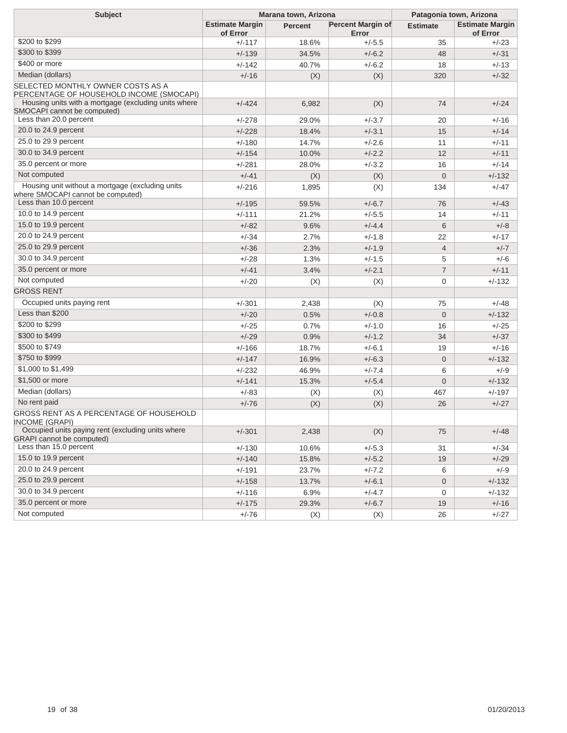| <b>Subject</b>                                                                        | Marana town, Arizona               |         |                            | Patagonia town, Arizona |                                    |  |
|---------------------------------------------------------------------------------------|------------------------------------|---------|----------------------------|-------------------------|------------------------------------|--|
|                                                                                       | <b>Estimate Margin</b><br>of Error | Percent | Percent Margin of<br>Error | <b>Estimate</b>         | <b>Estimate Margin</b><br>of Error |  |
| \$200 to \$299                                                                        | $+/-117$                           | 18.6%   | $+/-5.5$                   | 35                      | $+/-23$                            |  |
| \$300 to \$399                                                                        | $+/-139$                           | 34.5%   | $+/-6.2$                   | 48                      | $+/-31$                            |  |
| \$400 or more                                                                         | +/-142                             | 40.7%   | $+/-6.2$                   | 18                      | $+/-13$                            |  |
| Median (dollars)                                                                      | $+/-16$                            | (X)     | (X)                        | 320                     | $+/-32$                            |  |
| SELECTED MONTHLY OWNER COSTS AS A<br>PERCENTAGE OF HOUSEHOLD INCOME (SMOCAPI)         |                                    |         |                            |                         |                                    |  |
| Housing units with a mortgage (excluding units where<br>SMOCAPI cannot be computed)   | $+/-424$                           | 6,982   | (X)                        | 74                      | $+/-24$                            |  |
| Less than 20.0 percent                                                                | $+/-278$                           | 29.0%   | $+/-3.7$                   | 20                      | $+/-16$                            |  |
| 20.0 to 24.9 percent                                                                  | $+/-228$                           | 18.4%   | $+/-3.1$                   | 15                      | $+/-14$                            |  |
| 25.0 to 29.9 percent                                                                  | $+/-180$                           | 14.7%   | $+/-2.6$                   | 11                      | $+/-11$                            |  |
| 30.0 to 34.9 percent                                                                  | $+/-154$                           | 10.0%   | $+/-2.2$                   | 12                      | $+/-11$                            |  |
| 35.0 percent or more                                                                  | $+/-281$                           | 28.0%   | $+/-3.2$                   | 16                      | $+/-14$                            |  |
| Not computed                                                                          | $+/-41$                            | (X)     | (X)                        | $\overline{0}$          | $+/-132$                           |  |
| Housing unit without a mortgage (excluding units<br>where SMOCAPI cannot be computed) | $+/-216$                           | 1,895   | (X)                        | 134                     | $+/-47$                            |  |
| Less than 10.0 percent                                                                | $+/-195$                           | 59.5%   | $+/-6.7$                   | 76                      | $+/-43$                            |  |
| 10.0 to 14.9 percent                                                                  | $+/-111$                           | 21.2%   | $+/-5.5$                   | 14                      | $+/-11$                            |  |
| 15.0 to 19.9 percent                                                                  | $+/-82$                            | 9.6%    | $+/-4.4$                   | 6                       | $+/-8$                             |  |
| 20.0 to 24.9 percent                                                                  | $+/-34$                            | 2.7%    | $+/-1.8$                   | 22                      | $+/-17$                            |  |
| 25.0 to 29.9 percent                                                                  | $+/-36$                            | 2.3%    | $+/-1.9$                   | $\overline{4}$          | $+/-7$                             |  |
| 30.0 to 34.9 percent                                                                  | $+/-28$                            | 1.3%    | $+/-1.5$                   | 5                       | $+/-6$                             |  |
| 35.0 percent or more                                                                  | $+/-41$                            | 3.4%    | $+/-2.1$                   | $\overline{7}$          | $+/-11$                            |  |
| Not computed                                                                          | $+/-20$                            | (X)     | (X)                        | $\mathbf 0$             | $+/-132$                           |  |
| <b>GROSS RENT</b>                                                                     |                                    |         |                            |                         |                                    |  |
| Occupied units paying rent                                                            | $+/-301$                           | 2,438   | (X)                        | 75                      | $+/-48$                            |  |
| Less than \$200                                                                       | $+/-20$                            | 0.5%    | $+/-0.8$                   | $\overline{0}$          | $+/-132$                           |  |
| \$200 to \$299                                                                        | $+/-25$                            | 0.7%    | $+/-1.0$                   | 16                      | $+/-25$                            |  |
| \$300 to \$499                                                                        | $+/-29$                            | 0.9%    | $+/-1.2$                   | 34                      | $+/-37$                            |  |
| \$500 to \$749                                                                        | $+/-166$                           | 18.7%   | $+/-6.1$                   | 19                      | $+/-16$                            |  |
| \$750 to \$999                                                                        | $+/-147$                           | 16.9%   | $+/-6.3$                   | $\mathbf 0$             | $+/-132$                           |  |
| \$1,000 to \$1,499                                                                    | $+/-232$                           | 46.9%   | $+/-7.4$                   | 6                       | $+/-9$                             |  |
| \$1,500 or more                                                                       | $+/-141$                           | 15.3%   | $+/-5.4$                   | $\overline{0}$          | $+/-132$                           |  |
| Median (dollars)                                                                      | $+/-83$                            | (X)     | (X)                        | 467                     | $+/-197$                           |  |
| No rent paid                                                                          | $+/-76$                            | (X)     | (X)                        | 26                      | $+/-27$                            |  |
| GROSS RENT AS A PERCENTAGE OF HOUSEHOLD<br><b>INCOME (GRAPI)</b>                      |                                    |         |                            |                         |                                    |  |
| Occupied units paying rent (excluding units where<br><b>GRAPI</b> cannot be computed) | $+/-301$                           | 2,438   | (X)                        | 75                      | $+/-48$                            |  |
| Less than 15.0 percent                                                                | $+/-130$                           | 10.6%   | $+/-5.3$                   | 31                      | $+/-34$                            |  |
| 15.0 to 19.9 percent                                                                  | $+/-140$                           | 15.8%   | $+/-5.2$                   | 19                      | $+/-29$                            |  |
| 20.0 to 24.9 percent                                                                  | $+/-191$                           | 23.7%   | $+/-7.2$                   | 6                       | $+/-9$                             |  |
| 25.0 to 29.9 percent                                                                  | $+/-158$                           | 13.7%   | $+/-6.1$                   | $\mathbf 0$             | $+/-132$                           |  |
| 30.0 to 34.9 percent                                                                  | $+/-116$                           | 6.9%    | $+/-4.7$                   | 0                       | $+/-132$                           |  |
| 35.0 percent or more                                                                  | $+/-175$                           | 29.3%   | $+/-6.7$                   | 19                      | $+/-16$                            |  |
| Not computed                                                                          | $+/-76$                            | (X)     | (X)                        | 26                      | $+/-27$                            |  |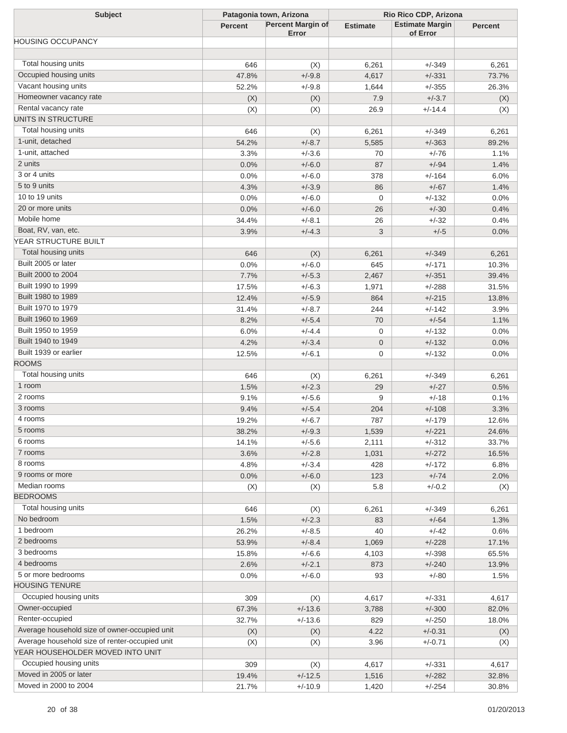| <b>Subject</b>                                 | Patagonia town, Arizona |                                   | Rio Rico CDP, Arizona |                                    |                |
|------------------------------------------------|-------------------------|-----------------------------------|-----------------------|------------------------------------|----------------|
|                                                | <b>Percent</b>          | <b>Percent Margin of</b><br>Error | <b>Estimate</b>       | <b>Estimate Margin</b><br>of Error | <b>Percent</b> |
| <b>HOUSING OCCUPANCY</b>                       |                         |                                   |                       |                                    |                |
|                                                |                         |                                   |                       |                                    |                |
| Total housing units                            | 646                     | (X)                               | 6,261                 | $+/-349$                           | 6,261          |
| Occupied housing units                         | 47.8%                   | $+/-9.8$                          | 4,617                 | $+/-331$                           | 73.7%          |
| Vacant housing units                           | 52.2%                   | $+/-9.8$                          | 1,644                 | $+/-355$                           | 26.3%          |
| Homeowner vacancy rate                         | (X)                     | (X)                               | 7.9                   | $+/-3.7$                           | (X)            |
| Rental vacancy rate                            | (X)                     | (X)                               | 26.9                  | $+/-14.4$                          | (X)            |
| UNITS IN STRUCTURE                             |                         |                                   |                       |                                    |                |
| Total housing units                            | 646                     | (X)                               | 6,261                 | $+/-349$                           | 6,261          |
| 1-unit, detached                               | 54.2%                   | $+/-8.7$                          | 5,585                 | $+/-363$                           | 89.2%          |
| 1-unit, attached                               | 3.3%                    | $+/-3.6$                          | 70                    | $+/-76$                            | 1.1%           |
| 2 units                                        | 0.0%                    | $+/-6.0$                          | 87                    | $+/-94$                            | 1.4%           |
| 3 or 4 units                                   | 0.0%                    | $+/-6.0$                          | 378                   | $+/-164$                           | 6.0%           |
| 5 to 9 units                                   | 4.3%                    | $+/-3.9$                          | 86                    | $+/-67$                            | 1.4%           |
| 10 to 19 units                                 | 0.0%                    | $+/-6.0$                          | $\mathbf 0$           | $+/-132$                           | 0.0%           |
| 20 or more units                               | 0.0%                    | $+/-6.0$                          | 26                    | $+/-30$                            | 0.4%           |
| Mobile home                                    | 34.4%                   | $+/-8.1$                          | 26                    | $+/-32$                            | 0.4%           |
| Boat, RV, van, etc.                            | 3.9%                    | $+/-4.3$                          | 3                     | $+/-5$                             | 0.0%           |
| YEAR STRUCTURE BUILT                           |                         |                                   |                       |                                    |                |
| Total housing units                            | 646                     | (X)                               | 6,261                 | $+/-349$                           | 6,261          |
| Built 2005 or later                            | 0.0%                    | $+/-6.0$                          | 645                   | $+/-171$                           | 10.3%          |
| Built 2000 to 2004                             | 7.7%                    | $+/-5.3$                          | 2,467                 | $+/-351$                           | 39.4%          |
| Built 1990 to 1999                             | 17.5%                   | $+/-6.3$                          | 1,971                 | $+/-288$                           | 31.5%          |
| Built 1980 to 1989                             | 12.4%                   | $+/-5.9$                          | 864                   | $+/-215$                           | 13.8%          |
| Built 1970 to 1979                             | 31.4%                   | $+/-8.7$                          | 244                   | $+/-142$                           | 3.9%           |
| Built 1960 to 1969                             | 8.2%                    | $+/-5.4$                          | 70                    | $+/-54$                            | 1.1%           |
| Built 1950 to 1959                             | 6.0%                    | $+/-4.4$                          | 0                     | $+/-132$                           | 0.0%           |
| Built 1940 to 1949                             | 4.2%                    | $+/-3.4$                          | $\mathbf{0}$          | $+/-132$                           | 0.0%           |
| Built 1939 or earlier                          | 12.5%                   | $+/-6.1$                          | 0                     | $+/-132$                           | 0.0%           |
| <b>ROOMS</b>                                   |                         |                                   |                       |                                    |                |
| Total housing units                            | 646                     | (X)                               | 6,261                 | $+/-349$                           | 6,261          |
| 1 room                                         | 1.5%                    | $+/-2.3$                          | 29                    | $+/-27$                            | 0.5%           |
| 2 rooms                                        | 9.1%                    | $+/-5.6$                          | 9                     | $+/-18$                            | 0.1%           |
| 3 rooms                                        | 9.4%                    | $+/-5.4$                          | 204                   | $+/-108$                           | 3.3%           |
| 4 rooms                                        | 19.2%                   | $+/-6.7$                          | 787                   | $+/-179$                           | 12.6%          |
| 5 rooms                                        | 38.2%                   | $+/-9.3$                          | 1,539                 | $+/-221$                           | 24.6%          |
| 6 rooms                                        | 14.1%                   | $+/-5.6$                          | 2,111                 | $+/-312$                           | 33.7%          |
| 7 rooms                                        | 3.6%                    | $+/-2.8$                          | 1,031                 | $+/-272$                           | 16.5%          |
| 8 rooms                                        | 4.8%                    | $+/-3.4$                          | 428                   | $+/-172$                           | 6.8%           |
| 9 rooms or more                                | 0.0%                    | $+/-6.0$                          | 123                   | $+/-74$                            | 2.0%           |
| Median rooms                                   | (X)                     | (X)                               | 5.8                   | $+/-0.2$                           | (X)            |
| <b>BEDROOMS</b>                                |                         |                                   |                       |                                    |                |
| Total housing units                            | 646                     | (X)                               | 6,261                 | $+/-349$                           | 6,261          |
| No bedroom                                     | 1.5%                    | $+/-2.3$                          | 83                    | $+/-64$                            | 1.3%           |
| 1 bedroom                                      | 26.2%                   | $+/-8.5$                          | 40                    | $+/-42$                            | 0.6%           |
| 2 bedrooms                                     | 53.9%                   | $+/-8.4$                          | 1,069                 | $+/-228$                           | 17.1%          |
| 3 bedrooms                                     | 15.8%                   | $+/-6.6$                          | 4,103                 | $+/-398$                           | 65.5%          |
| 4 bedrooms                                     | 2.6%                    | $+/-2.1$                          | 873                   | $+/-240$                           | 13.9%          |
| 5 or more bedrooms                             | 0.0%                    | $+/-6.0$                          | 93                    | $+/-80$                            | 1.5%           |
| <b>HOUSING TENURE</b>                          |                         |                                   |                       |                                    |                |
| Occupied housing units                         | 309                     | (X)                               | 4,617                 | $+/-331$                           | 4,617          |
| Owner-occupied                                 | 67.3%                   | $+/-13.6$                         | 3,788                 | $+/-300$                           | 82.0%          |
| Renter-occupied                                | 32.7%                   | $+/-13.6$                         | 829                   | $+/-250$                           | 18.0%          |
| Average household size of owner-occupied unit  | (X)                     | (X)                               | 4.22                  | $+/-0.31$                          | (X)            |
| Average household size of renter-occupied unit | (X)                     | (X)                               | 3.96                  | $+/-0.71$                          | (X)            |
| YEAR HOUSEHOLDER MOVED INTO UNIT               |                         |                                   |                       |                                    |                |
| Occupied housing units                         | 309                     | (X)                               | 4,617                 | $+/-331$                           | 4,617          |
| Moved in 2005 or later                         | 19.4%                   | $+/-12.5$                         | 1,516                 | $+/-282$                           | 32.8%          |
| Moved in 2000 to 2004                          | 21.7%                   | $+/-10.9$                         | 1,420                 | $+/-254$                           | 30.8%          |
|                                                |                         |                                   |                       |                                    |                |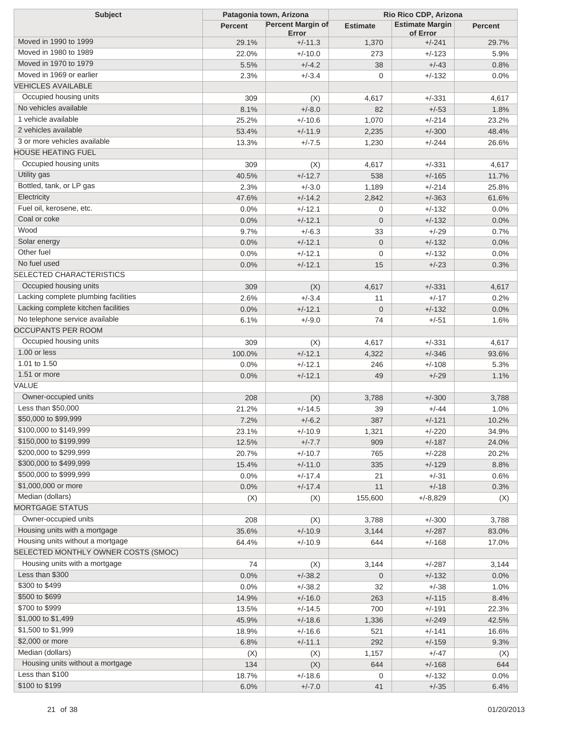| <b>Subject</b>                                        | Patagonia town, Arizona |                                   | Rio Rico CDP, Arizona |                                    |                |
|-------------------------------------------------------|-------------------------|-----------------------------------|-----------------------|------------------------------------|----------------|
|                                                       | <b>Percent</b>          | <b>Percent Margin of</b><br>Error | <b>Estimate</b>       | <b>Estimate Margin</b><br>of Error | <b>Percent</b> |
| Moved in 1990 to 1999                                 | 29.1%                   | $+/-11.3$                         | 1,370                 | $+/-241$                           | 29.7%          |
| Moved in 1980 to 1989                                 | 22.0%                   | $+/-10.0$                         | 273                   | $+/-123$                           | 5.9%           |
| Moved in 1970 to 1979                                 | 5.5%                    | $+/-4.2$                          | 38                    | $+/-43$                            | 0.8%           |
| Moved in 1969 or earlier                              | 2.3%                    | $+/-3.4$                          | 0                     | $+/-132$                           | 0.0%           |
| <b>VEHICLES AVAILABLE</b>                             |                         |                                   |                       |                                    |                |
| Occupied housing units                                | 309                     | (X)                               | 4,617                 | $+/-331$                           | 4,617          |
| No vehicles available                                 | 8.1%                    | $+/-8.0$                          | 82                    | $+/-53$                            | 1.8%           |
| 1 vehicle available                                   | 25.2%                   | $+/-10.6$                         | 1,070                 | $+/-214$                           | 23.2%          |
| 2 vehicles available                                  | 53.4%                   | $+/-11.9$                         | 2,235                 | $+/-300$                           | 48.4%          |
| 3 or more vehicles available                          | 13.3%                   | $+/-7.5$                          | 1,230                 | $+/-244$                           | 26.6%          |
| <b>HOUSE HEATING FUEL</b>                             |                         |                                   |                       |                                    |                |
| Occupied housing units                                | 309                     | (X)                               | 4,617                 | $+/-331$                           | 4,617          |
| Utility gas                                           | 40.5%                   | $+/-12.7$                         | 538                   | $+/-165$                           | 11.7%          |
| Bottled, tank, or LP gas                              | 2.3%                    | $+/-3.0$                          | 1,189                 | $+/-214$                           | 25.8%          |
| Electricity                                           | 47.6%                   | $+/-14.2$                         | 2,842                 | $+/-363$                           | 61.6%          |
| Fuel oil, kerosene, etc.                              | 0.0%                    | $+/-12.1$                         | 0                     | $+/-132$                           | 0.0%           |
| Coal or coke                                          | 0.0%                    | $+/-12.1$                         | $\overline{0}$        | $+/-132$                           | 0.0%           |
| Wood                                                  | 9.7%                    | $+/-6.3$                          | 33                    | $+/-29$                            | 0.7%           |
| Solar energy                                          |                         | $+/-12.1$                         | $\overline{0}$        |                                    |                |
| Other fuel                                            | 0.0%<br>0.0%            | $+/-12.1$                         | $\mathbf 0$           | $+/-132$<br>$+/-132$               | 0.0%<br>0.0%   |
| No fuel used                                          |                         |                                   |                       |                                    |                |
| <b>SELECTED CHARACTERISTICS</b>                       | 0.0%                    | $+/-12.1$                         | 15                    | $+/-23$                            | 0.3%           |
| Occupied housing units                                |                         |                                   |                       |                                    |                |
| Lacking complete plumbing facilities                  | 309                     | (X)                               | 4,617                 | $+/-331$                           | 4,617          |
| Lacking complete kitchen facilities                   | 2.6%                    | $+/-3.4$                          | 11                    | $+/-17$                            | 0.2%           |
| No telephone service available                        | 0.0%                    | $+/-12.1$                         | $\overline{0}$        | $+/-132$                           | 0.0%           |
| <b>OCCUPANTS PER ROOM</b>                             | 6.1%                    | $+/-9.0$                          | 74                    | $+/-51$                            | 1.6%           |
| Occupied housing units                                |                         |                                   |                       |                                    |                |
| 1.00 or less                                          | 309                     | (X)                               | 4,617                 | $+/-331$                           | 4,617          |
| 1.01 to 1.50                                          | 100.0%                  | $+/-12.1$                         | 4,322                 | $+/-346$                           | 93.6%          |
| 1.51 or more                                          | 0.0%                    | $+/-12.1$                         | 246                   | $+/-108$                           | 5.3%           |
| VALUE                                                 | 0.0%                    | $+/-12.1$                         | 49                    | $+/-29$                            | 1.1%           |
|                                                       |                         |                                   |                       |                                    |                |
| Owner-occupied units<br>Less than \$50,000            | 208                     | (X)                               | 3,788                 | $+/-300$                           | 3,788          |
|                                                       | 21.2%                   | $+/-14.5$                         | 39                    | $+/-44$                            | 1.0%           |
| \$50,000 to \$99,999<br>\$100,000 to \$149,999        | 7.2%                    | $+/-6.2$                          | 387                   | $+/-121$                           | 10.2%          |
| \$150,000 to \$199,999                                | 23.1%                   | $+/-10.9$                         | 1,321                 | $+/-220$                           | 34.9%          |
| \$200,000 to \$299,999                                | 12.5%                   | $+/-7.7$                          | 909                   | $+/-187$                           | 24.0%          |
| \$300,000 to \$499,999                                | 20.7%                   | $+/-10.7$                         | 765                   | $+/-228$                           | 20.2%          |
|                                                       | 15.4%                   | $+/-11.0$                         | 335                   | $+/-129$                           | 8.8%           |
| \$500,000 to \$999,999<br>\$1,000,000 or more         | 0.0%                    | $+/-17.4$                         | 21                    | $+/-31$                            | 0.6%           |
|                                                       | 0.0%                    | $+/-17.4$                         | 11                    | $+/-18$                            | 0.3%           |
| Median (dollars)<br><b>MORTGAGE STATUS</b>            | (X)                     | (X)                               | 155,600               | $+/-8,829$                         | (X)            |
|                                                       |                         |                                   |                       |                                    |                |
| Owner-occupied units<br>Housing units with a mortgage | 208                     | (X)                               | 3,788                 | $+/-300$                           | 3,788          |
|                                                       | 35.6%                   | $+/-10.9$                         | 3,144                 | $+/-287$                           | 83.0%          |
| Housing units without a mortgage                      | 64.4%                   | $+/-10.9$                         | 644                   | $+/-168$                           | 17.0%          |
| SELECTED MONTHLY OWNER COSTS (SMOC)                   |                         |                                   |                       |                                    |                |
| Housing units with a mortgage                         | 74                      | (X)                               | 3,144                 | $+/-287$                           | 3,144          |
| Less than \$300                                       | 0.0%                    | $+/-38.2$                         | $\mathbf 0$           | $+/-132$                           | 0.0%           |
| \$300 to \$499                                        | 0.0%                    | $+/-38.2$                         | 32                    | $+/-38$                            | 1.0%           |
| \$500 to \$699                                        | 14.9%                   | $+/-16.0$                         | 263                   | $+/-115$                           | 8.4%           |
| \$700 to \$999                                        | 13.5%                   | $+/-14.5$                         | 700                   | $+/-191$                           | 22.3%          |
| \$1,000 to \$1,499                                    | 45.9%                   | $+/-18.6$                         | 1,336                 | $+/-249$                           | 42.5%          |
| \$1,500 to \$1,999                                    | 18.9%                   | $+/-16.6$                         | 521                   | $+/-141$                           | 16.6%          |
| \$2,000 or more                                       | 6.8%                    | $+/-11.1$                         | 292                   | $+/-159$                           | 9.3%           |
| Median (dollars)                                      | (X)                     | (X)                               | 1,157                 | $+/-47$                            | (X)            |
| Housing units without a mortgage                      | 134                     | (X)                               | 644                   | $+/-168$                           | 644            |
| Less than \$100                                       | 18.7%                   | $+/-18.6$                         | 0                     | $+/-132$                           | 0.0%           |
| \$100 to \$199                                        | 6.0%                    | $+/-7.0$                          | 41                    | $+/-35$                            | 6.4%           |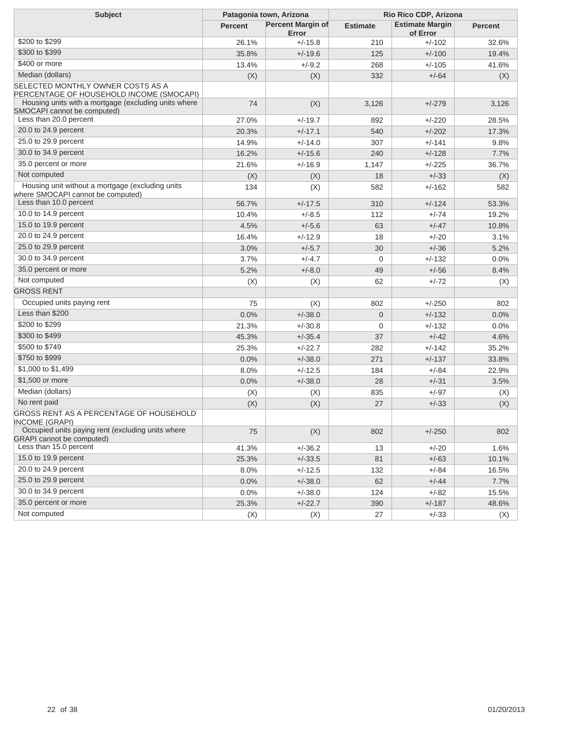| <b>Subject</b>                                                                        | Patagonia town, Arizona |                                   | Rio Rico CDP, Arizona |                                    |                |
|---------------------------------------------------------------------------------------|-------------------------|-----------------------------------|-----------------------|------------------------------------|----------------|
|                                                                                       | <b>Percent</b>          | <b>Percent Margin of</b><br>Error | <b>Estimate</b>       | <b>Estimate Margin</b><br>of Error | <b>Percent</b> |
| \$200 to \$299                                                                        | 26.1%                   | $+/-15.8$                         | 210                   | $+/-102$                           | 32.6%          |
| \$300 to \$399                                                                        | 35.8%                   | $+/-19.6$                         | 125                   | $+/-100$                           | 19.4%          |
| \$400 or more                                                                         | 13.4%                   | $+/-9.2$                          | 268                   | $+/-105$                           | 41.6%          |
| Median (dollars)                                                                      | (X)                     | (X)                               | 332                   | $+/-64$                            | (X)            |
| SELECTED MONTHLY OWNER COSTS AS A<br>PERCENTAGE OF HOUSEHOLD INCOME (SMOCAPI)         |                         |                                   |                       |                                    |                |
| Housing units with a mortgage (excluding units where<br>SMOCAPI cannot be computed)   | 74                      | (X)                               | 3,126                 | $+/-279$                           | 3,126          |
| Less than 20.0 percent                                                                | 27.0%                   | $+/-19.7$                         | 892                   | $+/-220$                           | 28.5%          |
| 20.0 to 24.9 percent                                                                  | 20.3%                   | $+/-17.1$                         | 540                   | $+/-202$                           | 17.3%          |
| 25.0 to 29.9 percent                                                                  | 14.9%                   | $+/-14.0$                         | 307                   | $+/-141$                           | 9.8%           |
| 30.0 to 34.9 percent                                                                  | 16.2%                   | $+/-15.6$                         | 240                   | $+/-128$                           | 7.7%           |
| 35.0 percent or more                                                                  | 21.6%                   | $+/-16.9$                         | 1,147                 | $+/-225$                           | 36.7%          |
| Not computed                                                                          | (X)                     | (X)                               | 18                    | $+/-33$                            | (X)            |
| Housing unit without a mortgage (excluding units<br>where SMOCAPI cannot be computed) | 134                     | (X)                               | 582                   | $+/-162$                           | 582            |
| Less than 10.0 percent                                                                | 56.7%                   | $+/-17.5$                         | 310                   | $+/-124$                           | 53.3%          |
| 10.0 to 14.9 percent                                                                  | 10.4%                   | $+/-8.5$                          | 112                   | +/-74                              | 19.2%          |
| 15.0 to 19.9 percent                                                                  | 4.5%                    | $+/-5.6$                          | 63                    | $+/-47$                            | 10.8%          |
| 20.0 to 24.9 percent                                                                  | 16.4%                   | $+/-12.9$                         | 18                    | $+/-20$                            | 3.1%           |
| 25.0 to 29.9 percent                                                                  | 3.0%                    | $+/-5.7$                          | 30                    | $+/-36$                            | 5.2%           |
| 30.0 to 34.9 percent                                                                  | 3.7%                    | $+/-4.7$                          | $\mathbf 0$           | $+/-132$                           | 0.0%           |
| 35.0 percent or more                                                                  | 5.2%                    | $+/-8.0$                          | 49                    | $+/-56$                            | 8.4%           |
| Not computed                                                                          | (X)                     | (X)                               | 62                    | +/-72                              | (X)            |
| <b>GROSS RENT</b>                                                                     |                         |                                   |                       |                                    |                |
| Occupied units paying rent                                                            | 75                      | (X)                               | 802                   | $+/-250$                           | 802            |
| Less than \$200                                                                       | 0.0%                    | $+/-38.0$                         | $\mathbf{0}$          | $+/-132$                           | 0.0%           |
| \$200 to \$299                                                                        | 21.3%                   | $+/-30.8$                         | $\mathbf 0$           | $+/-132$                           | 0.0%           |
| \$300 to \$499                                                                        | 45.3%                   | $+/-35.4$                         | 37                    | $+/-42$                            | 4.6%           |
| \$500 to \$749                                                                        | 25.3%                   | $+/-22.7$                         | 282                   | $+/-142$                           | 35.2%          |
| \$750 to \$999                                                                        | 0.0%                    | $+/-38.0$                         | 271                   | $+/-137$                           | 33.8%          |
| \$1,000 to \$1,499                                                                    | 8.0%                    | $+/-12.5$                         | 184                   | +/-84                              | 22.9%          |
| \$1,500 or more                                                                       | 0.0%                    | $+/-38.0$                         | 28                    | $+/-31$                            | 3.5%           |
| Median (dollars)                                                                      | (X)                     | (X)                               | 835                   | $+/-97$                            | (X)            |
| No rent paid                                                                          | (X)                     | (X)                               | 27                    | $+/-33$                            | (X)            |
| GROSS RENT AS A PERCENTAGE OF HOUSEHOLD<br>INCOME (GRAPI)                             |                         |                                   |                       |                                    |                |
| Occupied units paying rent (excluding units where<br><b>GRAPI</b> cannot be computed) | 75                      | (X)                               | 802                   | $+/-250$                           | 802            |
| Less than 15.0 percent                                                                | 41.3%                   | $+/-36.2$                         | 13                    | $+/-20$                            | 1.6%           |
| 15.0 to 19.9 percent                                                                  | 25.3%                   | $+/-33.5$                         | 81                    | $+/-63$                            | 10.1%          |
| 20.0 to 24.9 percent                                                                  | 8.0%                    | $+/-12.5$                         | 132                   | $+/-84$                            | 16.5%          |
| 25.0 to 29.9 percent                                                                  | 0.0%                    | $+/-38.0$                         | 62                    | $+/-44$                            | 7.7%           |
| 30.0 to 34.9 percent                                                                  | 0.0%                    | $+/-38.0$                         | 124                   | $+/-82$                            | 15.5%          |
| 35.0 percent or more                                                                  | 25.3%                   | $+/-22.7$                         | 390                   | $+/-187$                           | 48.6%          |
| Not computed                                                                          | (X)                     | (X)                               | 27                    | $+/-33$                            | (X)            |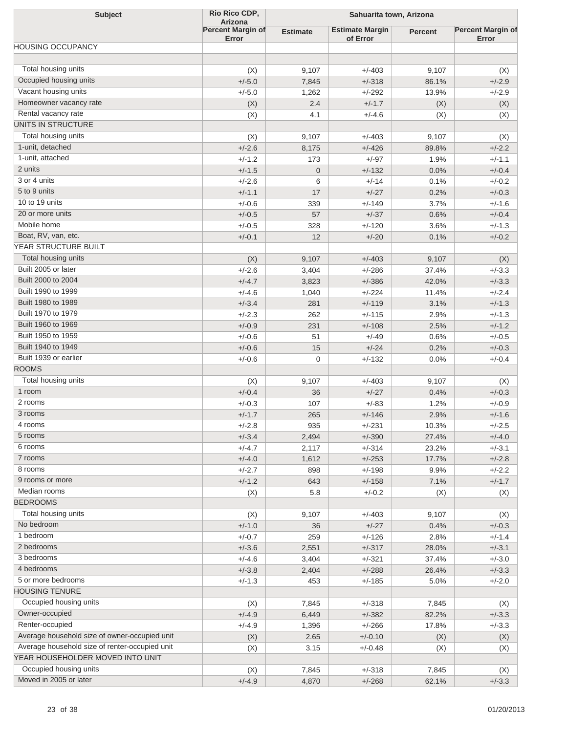| <b>Subject</b>                                 | Rio Rico CDP,<br><b>Arizona</b>   | Sahuarita town, Arizona |                                    |                |                                   |
|------------------------------------------------|-----------------------------------|-------------------------|------------------------------------|----------------|-----------------------------------|
|                                                | <b>Percent Margin of</b><br>Error | <b>Estimate</b>         | <b>Estimate Margin</b><br>of Error | <b>Percent</b> | <b>Percent Margin of</b><br>Error |
| <b>HOUSING OCCUPANCY</b>                       |                                   |                         |                                    |                |                                   |
| Total housing units                            | (X)                               | 9,107                   | $+/-403$                           | 9,107          | (X)                               |
| Occupied housing units                         | $+/-5.0$                          | 7,845                   | $+/-318$                           | 86.1%          | $+/-2.9$                          |
| Vacant housing units                           | $+/-5.0$                          | 1,262                   | $+/-292$                           | 13.9%          | $+/-2.9$                          |
| Homeowner vacancy rate                         | (X)                               | 2.4                     | $+/-1.7$                           | (X)            | (X)                               |
| Rental vacancy rate                            | (X)                               | 4.1                     | $+/-4.6$                           | (X)            | (X)                               |
| UNITS IN STRUCTURE                             |                                   |                         |                                    |                |                                   |
| Total housing units                            | (X)                               | 9,107                   | $+/-403$                           | 9,107          | (X)                               |
| 1-unit, detached                               | $+/-2.6$                          | 8,175                   | $+/-426$                           | 89.8%          | $+/-2.2$                          |
| 1-unit, attached                               | $+/-1.2$                          | 173                     | $+/-97$                            | 1.9%           | $+/-1.1$                          |
| 2 units                                        | $+/-1.5$                          | $\mathbf 0$             | $+/-132$                           | 0.0%           | $+/-0.4$                          |
| 3 or 4 units                                   | $+/-2.6$                          | 6                       | $+/-14$                            | 0.1%           | $+/-0.2$                          |
| 5 to 9 units                                   | $+/-1.1$                          | 17                      | $+/-27$                            | 0.2%           | $+/-0.3$                          |
| 10 to 19 units                                 | $+/-0.6$                          | 339                     | $+/-149$                           | 3.7%           | $+/-1.6$                          |
| 20 or more units                               | $+/-0.5$                          | 57                      | $+/-37$                            |                | $+/-0.4$                          |
| Mobile home                                    | $+/-0.5$                          |                         | $+/-120$                           | 0.6%           | $+/-1.3$                          |
| Boat, RV, van, etc.                            |                                   | 328                     |                                    | 3.6%           |                                   |
| YEAR STRUCTURE BUILT                           | $+/-0.1$                          | 12                      | $+/-20$                            | 0.1%           | $+/-0.2$                          |
| Total housing units                            |                                   |                         |                                    |                |                                   |
| Built 2005 or later                            | (X)                               | 9,107                   | $+/-403$                           | 9,107          | (X)                               |
|                                                | $+/-2.6$                          | 3,404                   | $+/-286$                           | 37.4%          | $+/-3.3$                          |
| Built 2000 to 2004                             | $+/-4.7$                          | 3,823                   | $+/-386$                           | 42.0%          | $+/-3.3$                          |
| Built 1990 to 1999                             | $+/-4.6$                          | 1,040                   | $+/-224$                           | 11.4%          | $+/-2.4$                          |
| Built 1980 to 1989                             | $+/-3.4$                          | 281                     | $+/-119$                           | 3.1%           | $+/-1.3$                          |
| Built 1970 to 1979                             | $+/-2.3$                          | 262                     | $+/-115$                           | 2.9%           | $+/-1.3$                          |
| Built 1960 to 1969                             | $+/-0.9$                          | 231                     | $+/-108$                           | 2.5%           | $+/-1.2$                          |
| Built 1950 to 1959                             | $+/-0.6$                          | 51                      | $+/-49$                            | 0.6%           | $+/-0.5$                          |
| Built 1940 to 1949                             | $+/-0.6$                          | 15                      | $+/-24$                            | 0.2%           | $+/-0.3$                          |
| Built 1939 or earlier                          | $+/-0.6$                          | 0                       | $+/-132$                           | $0.0\%$        | $+/-0.4$                          |
| <b>ROOMS</b>                                   |                                   |                         |                                    |                |                                   |
| Total housing units                            | (X)                               | 9,107                   | $+/-403$                           | 9,107          | (X)                               |
| 1 room                                         | $+/-0.4$                          | 36                      | $+/-27$                            | 0.4%           | $+/-0.3$                          |
| 2 rooms                                        | $+/-0.3$                          | 107                     | $+/-83$                            | 1.2%           | $+/-0.9$                          |
| 3 rooms                                        | $+/-1.7$                          | 265                     | $+/-146$                           | 2.9%           | $+/-1.6$                          |
| 4 rooms                                        | $+/-2.8$                          | 935                     | $+/-231$                           | 10.3%          | $+/-2.5$                          |
| 5 rooms                                        | $+/-3.4$                          | 2,494                   | $+/-390$                           | 27.4%          | $+/-4.0$                          |
| 6 rooms                                        | $+/-4.7$                          | 2,117                   | $+/-314$                           | 23.2%          | $+/-3.1$                          |
| 7 rooms                                        | $+/-4.0$                          | 1,612                   | $+/-253$                           | 17.7%          | $+/-2.8$                          |
| 8 rooms                                        | $+/-2.7$                          | 898                     | $+/-198$                           | 9.9%           | $+/-2.2$                          |
| 9 rooms or more                                | $+/-1.2$                          | 643                     | $+/-158$                           | 7.1%           | $+/-1.7$                          |
| Median rooms                                   | (X)                               | 5.8                     | $+/-0.2$                           | (X)            | (X)                               |
| <b>BEDROOMS</b>                                |                                   |                         |                                    |                |                                   |
| Total housing units                            | (X)                               | 9,107                   | $+/-403$                           | 9,107          | (X)                               |
| No bedroom                                     | $+/-1.0$                          | 36                      | $+/-27$                            | 0.4%           | $+/-0.3$                          |
| 1 bedroom                                      | $+/-0.7$                          | 259                     | $+/-126$                           | 2.8%           | $+/-1.4$                          |
| 2 bedrooms                                     | $+/-3.6$                          | 2,551                   | $+/-317$                           | 28.0%          | $+/-3.1$                          |
| 3 bedrooms                                     | $+/-4.6$                          | 3,404                   | $+/-321$                           | 37.4%          | $+/-3.0$                          |
| 4 bedrooms                                     | $+/-3.8$                          | 2,404                   | $+/-288$                           | 26.4%          | $+/-3.3$                          |
| 5 or more bedrooms                             | $+/-1.3$                          | 453                     | $+/-185$                           | 5.0%           | $+/-2.0$                          |
| <b>HOUSING TENURE</b>                          |                                   |                         |                                    |                |                                   |
| Occupied housing units                         | (X)                               | 7,845                   | $+/-318$                           | 7,845          | (X)                               |
| Owner-occupied                                 | $+/-4.9$                          | 6,449                   | $+/-382$                           | 82.2%          | $+/-3.3$                          |
| Renter-occupied                                | $+/-4.9$                          | 1,396                   | $+/-266$                           | 17.8%          | $+/-3.3$                          |
| Average household size of owner-occupied unit  | (X)                               | 2.65                    | $+/-0.10$                          | (X)            | (X)                               |
| Average household size of renter-occupied unit | (X)                               | 3.15                    | $+/-0.48$                          | (X)            | (X)                               |
| YEAR HOUSEHOLDER MOVED INTO UNIT               |                                   |                         |                                    |                |                                   |
| Occupied housing units                         | (X)                               | 7,845                   | $+/-318$                           | 7,845          | (X)                               |
| Moved in 2005 or later                         | $+/-4.9$                          | 4,870                   | $+/-268$                           | 62.1%          | $+/-3.3$                          |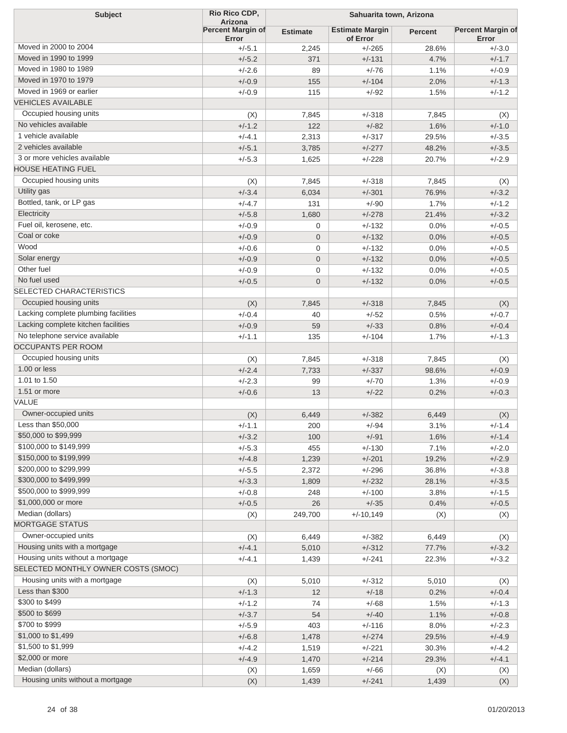| <b>Subject</b>                       | Rio Rico CDP,<br><b>Arizona</b>   | Sahuarita town, Arizona |                                    |                |                                   |
|--------------------------------------|-----------------------------------|-------------------------|------------------------------------|----------------|-----------------------------------|
|                                      | <b>Percent Margin of</b><br>Error | <b>Estimate</b>         | <b>Estimate Margin</b><br>of Error | <b>Percent</b> | <b>Percent Margin of</b><br>Error |
| Moved in 2000 to 2004                | $+/-5.1$                          | 2,245                   | $+/-265$                           | 28.6%          | $+/-3.0$                          |
| Moved in 1990 to 1999                | $+/-5.2$                          | 371                     | $+/-131$                           | 4.7%           | $+/-1.7$                          |
| Moved in 1980 to 1989                | $+/-2.6$                          | 89                      | $+/-76$                            | 1.1%           | $+/-0.9$                          |
| Moved in 1970 to 1979                | $+/-0.9$                          | 155                     | $+/-104$                           | 2.0%           | $+/-1.3$                          |
| Moved in 1969 or earlier             | $+/-0.9$                          | 115                     | $+/-92$                            | 1.5%           | $+/-1.2$                          |
| <b>VEHICLES AVAILABLE</b>            |                                   |                         |                                    |                |                                   |
| Occupied housing units               | (X)                               | 7,845                   | $+/-318$                           | 7,845          | (X)                               |
| No vehicles available                | $+/-1.2$                          | 122                     | $+/-82$                            | 1.6%           | $+/-1.0$                          |
| 1 vehicle available                  | $+/-4.1$                          | 2,313                   | $+/-317$                           | 29.5%          | $+/-3.5$                          |
| 2 vehicles available                 | $+/-5.1$                          | 3,785                   | $+/-277$                           | 48.2%          | $+/-3.5$                          |
| 3 or more vehicles available         | $+/-5.3$                          | 1,625                   | $+/-228$                           | 20.7%          | $+/-2.9$                          |
| <b>HOUSE HEATING FUEL</b>            |                                   |                         |                                    |                |                                   |
| Occupied housing units               |                                   |                         |                                    |                |                                   |
| Utility gas                          | (X)                               | 7,845                   | $+/-318$                           | 7,845          | (X)                               |
|                                      | $+/-3.4$                          | 6,034                   | $+/-301$                           | 76.9%          | $+/-3.2$                          |
| Bottled, tank, or LP gas             | $+/-4.7$                          | 131                     | $+/-90$                            | 1.7%           | $+/-1.2$                          |
| Electricity                          | $+/-5.8$                          | 1,680                   | $+/-278$                           | 21.4%          | $+/-3.2$                          |
| Fuel oil, kerosene, etc.             | $+/-0.9$                          | 0                       | $+/-132$                           | 0.0%           | $+/-0.5$                          |
| Coal or coke                         | $+/-0.9$                          | $\mathbf 0$             | $+/-132$                           | 0.0%           | $+/-0.5$                          |
| Wood                                 | $+/-0.6$                          | 0                       | $+/-132$                           | 0.0%           | $+/-0.5$                          |
| Solar energy                         | $+/-0.9$                          | $\overline{0}$          | $+/-132$                           | 0.0%           | $+/-0.5$                          |
| Other fuel                           | $+/-0.9$                          | 0                       | $+/-132$                           | 0.0%           | $+/-0.5$                          |
| No fuel used                         | $+/-0.5$                          | $\overline{0}$          | $+/-132$                           | 0.0%           | $+/-0.5$                          |
| <b>SELECTED CHARACTERISTICS</b>      |                                   |                         |                                    |                |                                   |
| Occupied housing units               | (X)                               | 7,845                   | $+/-318$                           | 7,845          | (X)                               |
| Lacking complete plumbing facilities | $+/-0.4$                          | 40                      | $+/-52$                            | 0.5%           | $+/-0.7$                          |
| Lacking complete kitchen facilities  | $+/-0.9$                          | 59                      | $+/-33$                            | 0.8%           | $+/-0.4$                          |
| No telephone service available       | $+/-1.1$                          | 135                     | $+/-104$                           | 1.7%           | $+/-1.3$                          |
| <b>OCCUPANTS PER ROOM</b>            |                                   |                         |                                    |                |                                   |
| Occupied housing units               | (X)                               | 7,845                   | $+/-318$                           | 7,845          | (X)                               |
| 1.00 or less                         | $+/-2.4$                          | 7,733                   | $+/-337$                           | 98.6%          | $+/-0.9$                          |
| 1.01 to 1.50                         | $+/-2.3$                          | 99                      | $+/-70$                            | 1.3%           | $+/-0.9$                          |
| 1.51 or more                         | $+/-0.6$                          | 13                      | $+/-22$                            | 0.2%           | $+/-0.3$                          |
| VALUE                                |                                   |                         |                                    |                |                                   |
| Owner-occupied units                 | (X)                               | 6,449                   | $+/-382$                           | 6,449          | (X)                               |
| Less than \$50,000                   | +/-1.1                            | 200                     | +/-94                              | 3.1%           | $+/-1.4$                          |
| \$50,000 to \$99,999                 | $+/-3.2$                          | 100                     | $+/-91$                            | 1.6%           | $+/-1.4$                          |
| \$100,000 to \$149,999               | $+/-5.3$                          | 455                     | $+/-130$                           | 7.1%           | $+/-2.0$                          |
| \$150,000 to \$199,999               | $+/-4.8$                          | 1,239                   | $+/-201$                           | 19.2%          | $+/-2.9$                          |
| \$200,000 to \$299,999               | $+/-5.5$                          | 2,372                   | $+/-296$                           | 36.8%          | $+/-3.8$                          |
| \$300,000 to \$499,999               | $+/-3.3$                          |                         | $+/-232$                           | 28.1%          | $+/-3.5$                          |
| \$500,000 to \$999,999               |                                   | 1,809                   |                                    |                |                                   |
| \$1,000,000 or more                  | $+/-0.8$                          | 248                     | $+/-100$                           | 3.8%           | $+/-1.5$                          |
| Median (dollars)                     | $+/-0.5$                          | 26                      | $+/-35$                            | 0.4%           | $+/-0.5$                          |
| <b>MORTGAGE STATUS</b>               | (X)                               | 249,700                 | $+/-10,149$                        | (X)            | (X)                               |
|                                      |                                   |                         |                                    |                |                                   |
| Owner-occupied units                 | (X)                               | 6,449                   | $+/-382$                           | 6,449          | (X)                               |
| Housing units with a mortgage        | $+/-4.1$                          | 5,010                   | $+/-312$                           | 77.7%          | $+/-3.2$                          |
| Housing units without a mortgage     | $+/-4.1$                          | 1,439                   | $+/-241$                           | 22.3%          | $+/-3.2$                          |
| SELECTED MONTHLY OWNER COSTS (SMOC)  |                                   |                         |                                    |                |                                   |
| Housing units with a mortgage        | (X)                               | 5,010                   | $+/-312$                           | 5,010          | (X)                               |
| Less than \$300                      | $+/-1.3$                          | 12                      | $+/-18$                            | 0.2%           | $+/-0.4$                          |
| \$300 to \$499                       | $+/-1.2$                          | 74                      | $+/-68$                            | 1.5%           | $+/-1.3$                          |
| \$500 to \$699                       | $+/-3.7$                          | 54                      | $+/-40$                            | 1.1%           | $+/-0.8$                          |
| \$700 to \$999                       | $+/-5.9$                          | 403                     | $+/-116$                           | 8.0%           | $+/-2.3$                          |
| \$1,000 to \$1,499                   | $+/-6.8$                          | 1,478                   | $+/-274$                           | 29.5%          | $+/-4.9$                          |
| \$1,500 to \$1,999                   | $+/-4.2$                          | 1,519                   | $+/-221$                           | 30.3%          | $+/-4.2$                          |
| \$2,000 or more                      | $+/-4.9$                          | 1,470                   | $+/-214$                           | 29.3%          | $+/-4.1$                          |
| Median (dollars)                     | (X)                               | 1,659                   | $+/-66$                            | (X)            | (X)                               |
| Housing units without a mortgage     | (X)                               | 1,439                   | $+/-241$                           | 1,439          | (X)                               |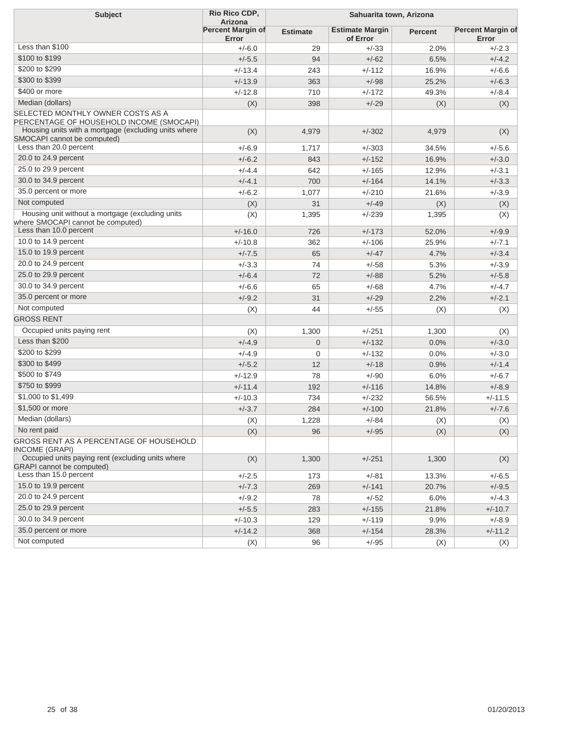| <b>Subject</b>                                                                        | Rio Rico CDP,<br>Arizona          | Sahuarita town, Arizona |                                    |                |                                   |  |
|---------------------------------------------------------------------------------------|-----------------------------------|-------------------------|------------------------------------|----------------|-----------------------------------|--|
|                                                                                       | <b>Percent Margin of</b><br>Error | <b>Estimate</b>         | <b>Estimate Margin</b><br>of Error | <b>Percent</b> | <b>Percent Margin of</b><br>Error |  |
| Less than \$100                                                                       | $+/-6.0$                          | 29                      | $+/-33$                            | 2.0%           | $+/-2.3$                          |  |
| \$100 to \$199                                                                        | $+/-5.5$                          | 94                      | $+/-62$                            | 6.5%           | $+/-4.2$                          |  |
| \$200 to \$299                                                                        | $+/-13.4$                         | 243                     | $+/-112$                           | 16.9%          | $+/-6.6$                          |  |
| \$300 to \$399                                                                        | $+/-13.9$                         | 363                     | $+/-98$                            | 25.2%          | $+/-6.3$                          |  |
| \$400 or more                                                                         | $+/-12.8$                         | 710                     | $+/-172$                           | 49.3%          | $+/-8.4$                          |  |
| Median (dollars)                                                                      | (X)                               | 398                     | $+/-29$                            | (X)            | (X)                               |  |
| SELECTED MONTHLY OWNER COSTS AS A<br>PERCENTAGE OF HOUSEHOLD INCOME (SMOCAPI)         |                                   |                         |                                    |                |                                   |  |
| Housing units with a mortgage (excluding units where<br>SMOCAPI cannot be computed)   | (X)                               | 4,979                   | $+/-302$                           | 4,979          | (X)                               |  |
| Less than 20.0 percent                                                                | $+/-6.9$                          | 1,717                   | $+/-303$                           | 34.5%          | $+/-5.6$                          |  |
| 20.0 to 24.9 percent                                                                  | $+/-6.2$                          | 843                     | $+/-152$                           | 16.9%          | $+/-3.0$                          |  |
| 25.0 to 29.9 percent                                                                  | $+/-4.4$                          | 642                     | $+/-165$                           | 12.9%          | $+/-3.1$                          |  |
| 30.0 to 34.9 percent                                                                  | $+/-4.1$                          | 700                     | $+/-164$                           | 14.1%          | $+/-3.3$                          |  |
| 35.0 percent or more                                                                  | $+/-6.2$                          | 1,077                   | $+/-210$                           | 21.6%          | $+/-3.9$                          |  |
| Not computed                                                                          | (X)                               | 31                      | $+/-49$                            | (X)            | (X)                               |  |
| Housing unit without a mortgage (excluding units<br>where SMOCAPI cannot be computed) | (X)                               | 1,395                   | $+/-239$                           | 1,395          | (X)                               |  |
| Less than 10.0 percent                                                                | $+/-16.0$                         | 726                     | $+/-173$                           | 52.0%          | $+/-9.9$                          |  |
| 10.0 to 14.9 percent                                                                  | $+/-10.8$                         | 362                     | $+/-106$                           | 25.9%          | $+/-7.1$                          |  |
| 15.0 to 19.9 percent                                                                  | $+/-7.5$                          | 65                      | $+/-47$                            | 4.7%           | $+/-3.4$                          |  |
| 20.0 to 24.9 percent                                                                  | $+/-3.3$                          | 74                      | $+/-58$                            | 5.3%           | $+/-3.9$                          |  |
| 25.0 to 29.9 percent                                                                  | $+/-6.4$                          | 72                      | $+/-88$                            | 5.2%           | $+/-5.8$                          |  |
| 30.0 to 34.9 percent                                                                  | $+/-6.6$                          | 65                      | $+/-68$                            | 4.7%           | $+/-4.7$                          |  |
| 35.0 percent or more                                                                  | $+/-9.2$                          | 31                      | $+/-29$                            | 2.2%           | $+/-2.1$                          |  |
| Not computed                                                                          | (X)                               | 44                      | $+/-55$                            | (X)            | (X)                               |  |
| <b>GROSS RENT</b>                                                                     |                                   |                         |                                    |                |                                   |  |
| Occupied units paying rent                                                            | (X)                               | 1,300                   | $+/-251$                           | 1,300          | (X)                               |  |
| Less than \$200                                                                       | $+/-4.9$                          | $\mathbf 0$             | $+/-132$                           | 0.0%           | $+/-3.0$                          |  |
| \$200 to \$299                                                                        | $+/-4.9$                          | 0                       | $+/-132$                           | 0.0%           | $+/-3.0$                          |  |
| \$300 to \$499                                                                        | $+/-5.2$                          | 12                      | $+/-18$                            | 0.9%           | $+/-1.4$                          |  |
| \$500 to \$749                                                                        | $+/-12.9$                         | 78                      | $+/-90$                            | 6.0%           | $+/-6.7$                          |  |
| \$750 to \$999                                                                        | $+/-11.4$                         | 192                     | $+/-116$                           | 14.8%          | $+/-8.9$                          |  |
| \$1,000 to \$1,499                                                                    | $+/-10.3$                         | 734                     | $+/-232$                           | 56.5%          | $+/-11.5$                         |  |
| \$1,500 or more                                                                       | $+/-3.7$                          | 284                     | $+/-100$                           | 21.8%          | $+/-7.6$                          |  |
| Median (dollars)                                                                      | (X)                               | 1,228                   | $+/-84$                            | (X)            | (X)                               |  |
| No rent paid                                                                          | (X)                               | 96                      | $+/-95$                            | (X)            | (X)                               |  |
| GROSS RENT AS A PERCENTAGE OF HOUSEHOLD<br><b>INCOME (GRAPI)</b>                      |                                   |                         |                                    |                |                                   |  |
| Occupied units paying rent (excluding units where<br><b>GRAPI</b> cannot be computed) | (X)                               | 1,300                   | $+/-251$                           | 1,300          | (X)                               |  |
| Less than 15.0 percent                                                                | $+/-2.5$                          | 173                     | $+/-81$                            | 13.3%          | $+/-6.5$                          |  |
| 15.0 to 19.9 percent                                                                  | $+/-7.3$                          | 269                     | $+/-141$                           | 20.7%          | $+/-9.5$                          |  |
| 20.0 to 24.9 percent                                                                  | $+/-9.2$                          | 78                      | $+/-52$                            | 6.0%           | $+/-4.3$                          |  |
| 25.0 to 29.9 percent                                                                  | $+/-5.5$                          | 283                     | $+/-155$                           | 21.8%          | $+/-10.7$                         |  |
| 30.0 to 34.9 percent                                                                  | $+/-10.3$                         | 129                     | $+/-119$                           | 9.9%           | $+/-8.9$                          |  |
| 35.0 percent or more                                                                  | $+/-14.2$                         | 368                     | $+/-154$                           | 28.3%          | $+/-11.2$                         |  |
| Not computed                                                                          | (X)                               | 96                      | $+/-95$                            | (X)            | (X)                               |  |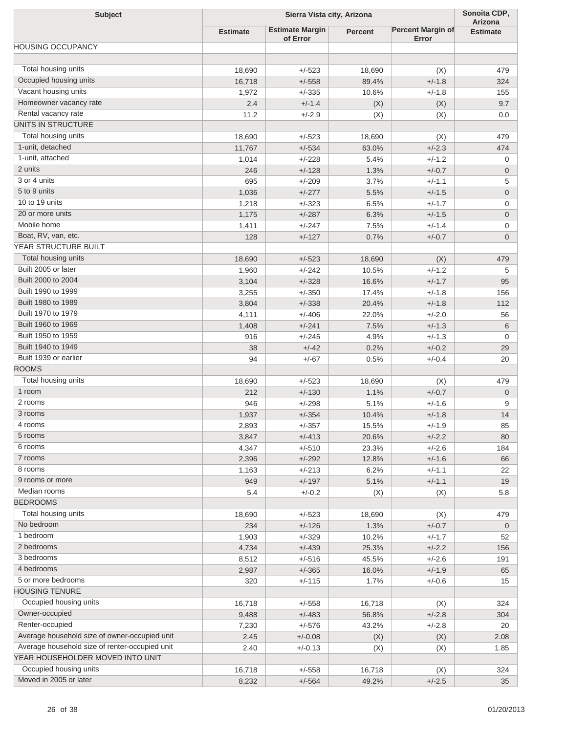| <b>Subject</b>                                 | Sierra Vista city, Arizona |                                    |                |                                   | Sonoita CDP,               |
|------------------------------------------------|----------------------------|------------------------------------|----------------|-----------------------------------|----------------------------|
|                                                | <b>Estimate</b>            | <b>Estimate Margin</b><br>of Error | <b>Percent</b> | <b>Percent Margin of</b><br>Error | Arizona<br><b>Estimate</b> |
| <b>HOUSING OCCUPANCY</b>                       |                            |                                    |                |                                   |                            |
|                                                |                            |                                    |                |                                   |                            |
| Total housing units                            | 18,690                     | $+/-523$                           | 18,690         | (X)                               | 479                        |
| Occupied housing units<br>Vacant housing units | 16,718                     | $+/-558$                           | 89.4%          | $+/-1.8$                          | 324                        |
| Homeowner vacancy rate                         | 1,972                      | $+/-335$                           | 10.6%          | $+/-1.8$                          | 155                        |
| Rental vacancy rate                            | 2.4                        | $+/-1.4$                           | (X)            | (X)                               | 9.7                        |
| UNITS IN STRUCTURE                             | 11.2                       | $+/-2.9$                           | (X)            | (X)                               | 0.0                        |
| Total housing units                            |                            |                                    |                |                                   |                            |
| 1-unit, detached                               | 18,690                     | $+/-523$                           | 18,690         | (X)                               | 479                        |
| 1-unit, attached                               | 11,767                     | $+/-534$<br>$+/-228$               | 63.0%<br>5.4%  | $+/-2.3$<br>$+/-1.2$              | 474                        |
| 2 units                                        | 1,014<br>246               | $+/-128$                           | 1.3%           | $+/-0.7$                          | 0<br>$\overline{0}$        |
| 3 or 4 units                                   | 695                        | $+/-209$                           | 3.7%           | $+/-1.1$                          | 5                          |
| 5 to 9 units                                   | 1,036                      | $+/-277$                           | 5.5%           | $+/-1.5$                          | $\overline{0}$             |
| 10 to 19 units                                 | 1,218                      | $+/-323$                           | 6.5%           | $+/-1.7$                          | 0                          |
| 20 or more units                               | 1,175                      | $+/-287$                           | 6.3%           | $+/-1.5$                          | $\overline{0}$             |
| Mobile home                                    | 1,411                      | $+/-247$                           | 7.5%           | $+/-1.4$                          | 0                          |
| Boat, RV, van, etc.                            | 128                        | $+/-127$                           | 0.7%           | $+/-0.7$                          | $\overline{0}$             |
| YEAR STRUCTURE BUILT                           |                            |                                    |                |                                   |                            |
| Total housing units                            | 18,690                     | $+/-523$                           | 18,690         | (X)                               | 479                        |
| Built 2005 or later                            | 1,960                      | $+/-242$                           | 10.5%          | $+/-1.2$                          | 5                          |
| Built 2000 to 2004                             | 3,104                      | $+/-328$                           | 16.6%          | $+/-1.7$                          | 95                         |
| Built 1990 to 1999                             | 3,255                      | $+/-350$                           | 17.4%          | $+/-1.8$                          | 156                        |
| Built 1980 to 1989                             | 3,804                      | $+/-338$                           | 20.4%          | $+/-1.8$                          | 112                        |
| Built 1970 to 1979                             |                            |                                    |                |                                   |                            |
| Built 1960 to 1969                             | 4,111                      | $+/-406$                           | 22.0%          | $+/-2.0$                          | 56                         |
| Built 1950 to 1959                             | 1,408                      | $+/-241$                           | 7.5%           | $+/-1.3$                          | 6                          |
| Built 1940 to 1949                             | 916                        | $+/-245$                           | 4.9%           | $+/-1.3$                          | 0                          |
| Built 1939 or earlier                          | 38<br>94                   | $+/-42$                            | 0.2%           | $+/-0.2$                          | 29                         |
| <b>ROOMS</b>                                   |                            | $+/-67$                            | 0.5%           | $+/-0.4$                          | 20                         |
| Total housing units                            |                            |                                    |                |                                   |                            |
| 1 room                                         | 18,690<br>212              | $+/-523$                           | 18,690         | (X)<br>$+/-0.7$                   | 479                        |
| 2 rooms                                        | 946                        | $+/-130$<br>$+/-298$               | 1.1%<br>5.1%   | $+/-1.6$                          | $\mathbf 0$<br>9           |
| 3 rooms                                        |                            |                                    |                |                                   |                            |
| 4 rooms                                        | 1,937                      | $+/-354$                           | 10.4%          | $+/-1.8$                          | 14                         |
| 5 rooms                                        | 2,893                      | $+/-357$<br>$+/-413$               | 15.5%<br>20.6% | +/-1.9<br>$+/-2.2$                | 85<br>80                   |
| 6 rooms                                        | 3,847<br>4,347             | $+/-510$                           | 23.3%          | $+/-2.6$                          | 184                        |
| 7 rooms                                        |                            |                                    | 12.8%          | $+/-1.6$                          |                            |
| 8 rooms                                        | 2,396                      | $+/-292$<br>$+/-213$               | 6.2%           | $+/-1.1$                          | 66<br>22                   |
| 9 rooms or more                                | 1,163<br>949               | $+/-197$                           | 5.1%           | $+/-1.1$                          |                            |
| Median rooms                                   | 5.4                        | $+/-0.2$                           |                |                                   | 19<br>5.8                  |
| <b>BEDROOMS</b>                                |                            |                                    | (X)            | (X)                               |                            |
| Total housing units                            | 18,690                     | $+/-523$                           | 18,690         |                                   | 479                        |
| No bedroom                                     | 234                        | $+/-126$                           | 1.3%           | (X)<br>$+/-0.7$                   | $\overline{0}$             |
| 1 bedroom                                      | 1,903                      | $+/-329$                           | 10.2%          | $+/-1.7$                          | 52                         |
| 2 bedrooms                                     | 4,734                      | $+/-439$                           | 25.3%          | $+/-2.2$                          | 156                        |
| 3 bedrooms                                     | 8,512                      | $+/-516$                           | 45.5%          | $+/-2.6$                          | 191                        |
| 4 bedrooms                                     | 2,987                      | $+/-365$                           | 16.0%          | $+/-1.9$                          | 65                         |
| 5 or more bedrooms                             | 320                        | $+/-115$                           | 1.7%           | $+/-0.6$                          | 15                         |
| <b>HOUSING TENURE</b>                          |                            |                                    |                |                                   |                            |
| Occupied housing units                         | 16,718                     | $+/-558$                           |                |                                   |                            |
| Owner-occupied                                 |                            | $+/-483$                           | 16,718         | (X)<br>$+/-2.8$                   | 324<br>304                 |
| Renter-occupied                                | 9,488                      |                                    | 56.8%          |                                   |                            |
| Average household size of owner-occupied unit  | 7,230                      | $+/-576$                           | 43.2%          | $+/-2.8$                          | 20                         |
| Average household size of renter-occupied unit | 2.45                       | $+/-0.08$                          | (X)            | (X)                               | 2.08                       |
| YEAR HOUSEHOLDER MOVED INTO UNIT               | 2.40                       | $+/-0.13$                          | (X)            | (X)                               | 1.85                       |
| Occupied housing units                         |                            |                                    |                |                                   |                            |
| Moved in 2005 or later                         | 16,718                     | $+/-558$                           | 16,718         | (X)                               | 324                        |
|                                                | 8,232                      | $+/-564$                           | 49.2%          | $+/-2.5$                          | 35                         |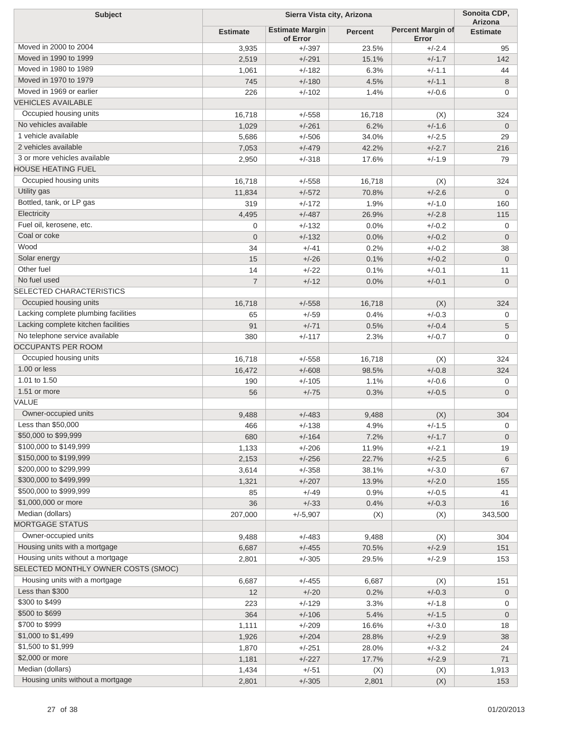| <b>Subject</b>                           |                 | Sierra Vista city, Arizona         | Sonoita CDP,<br>Arizona |                                   |                 |
|------------------------------------------|-----------------|------------------------------------|-------------------------|-----------------------------------|-----------------|
|                                          | <b>Estimate</b> | <b>Estimate Margin</b><br>of Error | <b>Percent</b>          | <b>Percent Margin of</b><br>Error | <b>Estimate</b> |
| Moved in 2000 to 2004                    | 3,935           | $+/-397$                           | 23.5%                   | $+/-2.4$                          | 95              |
| Moved in 1990 to 1999                    | 2,519           | $+/-291$                           | 15.1%                   | $+/-1.7$                          | 142             |
| Moved in 1980 to 1989                    | 1,061           | $+/-182$                           | 6.3%                    | $+/-1.1$                          | 44              |
| Moved in 1970 to 1979                    | 745             | $+/-180$                           | 4.5%                    | $+/-1.1$                          | 8               |
| Moved in 1969 or earlier                 | 226             | $+/-102$                           | 1.4%                    | $+/-0.6$                          | $\mathbf 0$     |
| <b>VEHICLES AVAILABLE</b>                |                 |                                    |                         |                                   |                 |
| Occupied housing units                   | 16,718          | $+/-558$                           | 16,718                  | (X)                               | 324             |
| No vehicles available                    | 1,029           | $+/-261$                           | 6.2%                    | $+/-1.6$                          | $\overline{0}$  |
| 1 vehicle available                      | 5,686           | $+/-506$                           | 34.0%                   | $+/-2.5$                          | 29              |
| 2 vehicles available                     | 7,053           | $+/-479$                           | 42.2%                   | $+/-2.7$                          | 216             |
| 3 or more vehicles available             | 2,950           | $+/-318$                           | 17.6%                   | $+/-1.9$                          | 79              |
| <b>HOUSE HEATING FUEL</b>                |                 |                                    |                         |                                   |                 |
| Occupied housing units                   | 16,718          | $+/-558$                           | 16,718                  | (X)                               | 324             |
| Utility gas                              | 11,834          | $+/-572$                           | 70.8%                   | $+/-2.6$                          | $\overline{0}$  |
| Bottled, tank, or LP gas                 | 319             | $+/-172$                           | 1.9%                    | $+/-1.0$                          | 160             |
| Electricity                              | 4,495           | $+/-487$                           | 26.9%                   | $+/-2.8$                          | 115             |
| Fuel oil, kerosene, etc.                 | 0               | $+/-132$                           | 0.0%                    | $+/-0.2$                          | 0               |
| Coal or coke                             | $\overline{0}$  | $+/-132$                           | 0.0%                    | $+/-0.2$                          | $\mathbf 0$     |
| Wood                                     | 34              | $+/-41$                            | 0.2%                    | $+/-0.2$                          | 38              |
| Solar energy                             | 15              | $+/-26$                            | 0.1%                    | $+/-0.2$                          | $\overline{0}$  |
| Other fuel                               | 14              | $+/-22$                            | 0.1%                    | $+/-0.1$                          | 11              |
| No fuel used                             | $\overline{7}$  | $+/-12$                            | 0.0%                    | $+/-0.1$                          | $\overline{0}$  |
| <b>SELECTED CHARACTERISTICS</b>          |                 |                                    |                         |                                   |                 |
| Occupied housing units                   | 16,718          | $+/-558$                           | 16,718                  | (X)                               | 324             |
| Lacking complete plumbing facilities     | 65              | $+/-59$                            | 0.4%                    | $+/-0.3$                          | 0               |
| Lacking complete kitchen facilities      | 91              | $+/-71$                            | 0.5%                    | $+/-0.4$                          | 5               |
| No telephone service available           | 380             | $+/-117$                           | 2.3%                    | $+/-0.7$                          | $\mathbf 0$     |
| <b>OCCUPANTS PER ROOM</b>                |                 |                                    |                         |                                   |                 |
| Occupied housing units                   | 16,718          | $+/-558$                           | 16,718                  | (X)                               | 324             |
| 1.00 or less                             | 16,472          | $+/-608$                           | 98.5%                   | $+/-0.8$                          | 324             |
| 1.01 to 1.50                             | 190             | $+/-105$                           | 1.1%                    | $+/-0.6$                          | 0               |
| 1.51 or more                             | 56              | $+/-75$                            | 0.3%                    | $+/-0.5$                          | $\overline{0}$  |
| VALUE                                    |                 |                                    |                         |                                   |                 |
| Owner-occupied units                     | 9,488           | $+/-483$                           | 9,488                   | (X)                               | 304             |
| Less than \$50,000                       |                 |                                    |                         | +/-1.5                            | 0               |
| \$50,000 to \$99,999                     | 466<br>680      | +/-138<br>$+/-164$                 | 4.9%<br>7.2%            | $+/-1.7$                          | $\overline{0}$  |
| \$100,000 to \$149,999                   | 1,133           | $+/-206$                           | 11.9%                   | $+/-2.1$                          | 19              |
| \$150,000 to \$199,999                   | 2,153           | $+/-256$                           | 22.7%                   | $+/-2.5$                          | 6               |
| \$200,000 to \$299,999                   | 3,614           | $+/-358$                           | 38.1%                   | $+/-3.0$                          | 67              |
| \$300,000 to \$499,999                   | 1,321           | $+/-207$                           | 13.9%                   | $+/-2.0$                          | 155             |
| \$500,000 to \$999,999                   | 85              | $+/-49$                            | 0.9%                    | $+/-0.5$                          | 41              |
| \$1,000,000 or more                      | 36              | $+/-33$                            | 0.4%                    | $+/-0.3$                          | 16              |
| Median (dollars)                         | 207,000         | $+/-5,907$                         |                         |                                   | 343,500         |
| <b>MORTGAGE STATUS</b>                   |                 |                                    | (X)                     | (X)                               |                 |
| Owner-occupied units                     |                 | $+/-483$                           |                         |                                   |                 |
| Housing units with a mortgage            | 9,488           |                                    | 9,488                   | (X)                               | 304             |
| Housing units without a mortgage         | 6,687           | $+/-455$                           | 70.5%                   | $+/-2.9$                          | 151             |
| SELECTED MONTHLY OWNER COSTS (SMOC)      | 2,801           | $+/-305$                           | 29.5%                   | $+/-2.9$                          | 153             |
| Housing units with a mortgage            |                 |                                    |                         |                                   |                 |
| Less than \$300                          | 6,687           | $+/-455$                           | 6,687                   | (X)                               | 151             |
| \$300 to \$499                           | 12              | $+/-20$                            | 0.2%                    | $+/-0.3$                          | $\mathbf 0$     |
| \$500 to \$699                           | 223             | $+/-129$                           | 3.3%                    | $+/-1.8$                          | 0               |
| \$700 to \$999                           | 364             | $+/-106$                           | 5.4%                    | $+/-1.5$                          | $\overline{0}$  |
|                                          | 1,111           | $+/-209$                           | 16.6%                   | $+/-3.0$                          | 18              |
| \$1,000 to \$1,499<br>\$1,500 to \$1,999 | 1,926           | $+/-204$                           | 28.8%                   | $+/-2.9$                          | 38              |
|                                          | 1,870           | $+/-251$                           | 28.0%                   | $+/-3.2$                          | 24              |
| \$2,000 or more<br>Median (dollars)      | 1,181           | $+/-227$                           | 17.7%                   | $+/-2.9$                          | 71              |
|                                          | 1,434           | $+/-51$                            | (X)                     | (X)                               | 1,913           |
| Housing units without a mortgage         | 2,801           | $+/-305$                           | 2,801                   | (X)                               | 153             |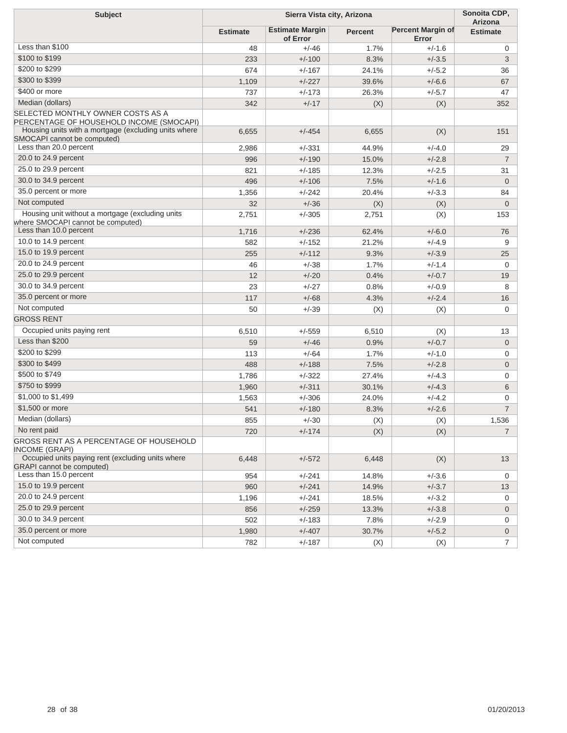| <b>Subject</b>                                                                        | Sierra Vista city, Arizona |                                    |                |                                   | Sonoita CDP,<br>Arizona |
|---------------------------------------------------------------------------------------|----------------------------|------------------------------------|----------------|-----------------------------------|-------------------------|
|                                                                                       | <b>Estimate</b>            | <b>Estimate Margin</b><br>of Error | <b>Percent</b> | <b>Percent Margin of</b><br>Error | <b>Estimate</b>         |
| Less than \$100                                                                       | 48                         | $+/-46$                            | 1.7%           | $+/-1.6$                          | 0                       |
| \$100 to \$199                                                                        | 233                        | $+/-100$                           | 8.3%           | $+/-3.5$                          | 3                       |
| \$200 to \$299                                                                        | 674                        | $+/-167$                           | 24.1%          | $+/-5.2$                          | 36                      |
| \$300 to \$399                                                                        | 1,109                      | $+/-227$                           | 39.6%          | $+/-6.6$                          | 67                      |
| \$400 or more                                                                         | 737                        | $+/-173$                           | 26.3%          | $+/-5.7$                          | 47                      |
| Median (dollars)                                                                      | 342                        | $+/-17$                            | (X)            | (X)                               | 352                     |
| SELECTED MONTHLY OWNER COSTS AS A<br>PERCENTAGE OF HOUSEHOLD INCOME (SMOCAPI)         |                            |                                    |                |                                   |                         |
| Housing units with a mortgage (excluding units where<br>SMOCAPI cannot be computed)   | 6,655                      | $+/-454$                           | 6,655          | (X)                               | 151                     |
| Less than 20.0 percent                                                                | 2,986                      | $+/-331$                           | 44.9%          | $+/-4.0$                          | 29                      |
| 20.0 to 24.9 percent                                                                  | 996                        | $+/-190$                           | 15.0%          | $+/-2.8$                          | $\overline{7}$          |
| 25.0 to 29.9 percent                                                                  | 821                        | $+/-185$                           | 12.3%          | $+/-2.5$                          | 31                      |
| 30.0 to 34.9 percent                                                                  | 496                        | $+/-106$                           | 7.5%           | $+/-1.6$                          | $\overline{0}$          |
| 35.0 percent or more                                                                  | 1,356                      | $+/-242$                           | 20.4%          | $+/-3.3$                          | 84                      |
| Not computed                                                                          | 32                         | $+/-36$                            | (X)            | (X)                               | $\overline{0}$          |
| Housing unit without a mortgage (excluding units<br>where SMOCAPI cannot be computed) | 2,751                      | $+/-305$                           | 2,751          | (X)                               | 153                     |
| Less than 10.0 percent                                                                | 1,716                      | $+/-236$                           | 62.4%          | $+/-6.0$                          | 76                      |
| 10.0 to 14.9 percent                                                                  | 582                        | $+/-152$                           | 21.2%          | $+/-4.9$                          | 9                       |
| 15.0 to 19.9 percent                                                                  | 255                        | $+/-112$                           | 9.3%           | $+/-3.9$                          | 25                      |
| 20.0 to 24.9 percent                                                                  | 46                         | $+/-38$                            | 1.7%           | $+/-1.4$                          | $\mathbf 0$             |
| 25.0 to 29.9 percent                                                                  | 12                         | $+/-20$                            | 0.4%           | $+/-0.7$                          | 19                      |
| 30.0 to 34.9 percent                                                                  | 23                         | $+/-27$                            | 0.8%           | $+/-0.9$                          | 8                       |
| 35.0 percent or more                                                                  | 117                        | $+/-68$                            | 4.3%           | $+/-2.4$                          | 16                      |
| Not computed                                                                          | 50                         | $+/-39$                            | (X)            | (X)                               | $\mathbf 0$             |
| <b>GROSS RENT</b>                                                                     |                            |                                    |                |                                   |                         |
| Occupied units paying rent                                                            | 6,510                      | $+/-559$                           | 6,510          | (X)                               | 13                      |
| Less than \$200                                                                       | 59                         | $+/-46$                            | 0.9%           | $+/-0.7$                          | $\mathbf 0$             |
| \$200 to \$299                                                                        | 113                        | $+/-64$                            | 1.7%           | $+/-1.0$                          | 0                       |
| \$300 to \$499                                                                        | 488                        | $+/-188$                           | 7.5%           | $+/-2.8$                          | 0                       |
| \$500 to \$749                                                                        | 1,786                      | $+/-322$                           | 27.4%          | $+/-4.3$                          | 0                       |
| \$750 to \$999                                                                        | 1,960                      | $+/-311$                           | 30.1%          | $+/-4.3$                          | 6                       |
| \$1,000 to \$1,499                                                                    | 1,563                      | $+/-306$                           | 24.0%          | $+/-4.2$                          | 0                       |
| \$1,500 or more                                                                       | 541                        | $+/-180$                           | 8.3%           | $+/-2.6$                          | $\overline{7}$          |
| Median (dollars)                                                                      | 855                        | $+/-30$                            | (X)            | (X)                               | 1,536                   |
| No rent paid                                                                          | 720                        | $+/-174$                           | (X)            | (X)                               | $\overline{7}$          |
| GROSS RENT AS A PERCENTAGE OF HOUSEHOLD<br>INCOME (GRAPI)                             |                            |                                    |                |                                   |                         |
| Occupied units paying rent (excluding units where<br><b>GRAPI</b> cannot be computed) | 6,448                      | $+/-572$                           | 6,448          | (X)                               | 13                      |
| Less than 15.0 percent                                                                | 954                        | $+/-241$                           | 14.8%          | $+/-3.6$                          | 0                       |
| 15.0 to 19.9 percent                                                                  | 960                        | $+/-241$                           | 14.9%          | $+/-3.7$                          | 13                      |
| 20.0 to 24.9 percent                                                                  | 1,196                      | $+/-241$                           | 18.5%          | $+/-3.2$                          | 0                       |
| 25.0 to 29.9 percent                                                                  | 856                        | $+/-259$                           | 13.3%          | $+/-3.8$                          | $\mathbf 0$             |
| 30.0 to 34.9 percent                                                                  | 502                        | $+/-183$                           | 7.8%           | $+/-2.9$                          | 0                       |
| 35.0 percent or more                                                                  | 1,980                      | $+/-407$                           | 30.7%          | $+/-5.2$                          | 0                       |
| Not computed                                                                          | 782                        | $+/-187$                           | (X)            | (X)                               | $\overline{7}$          |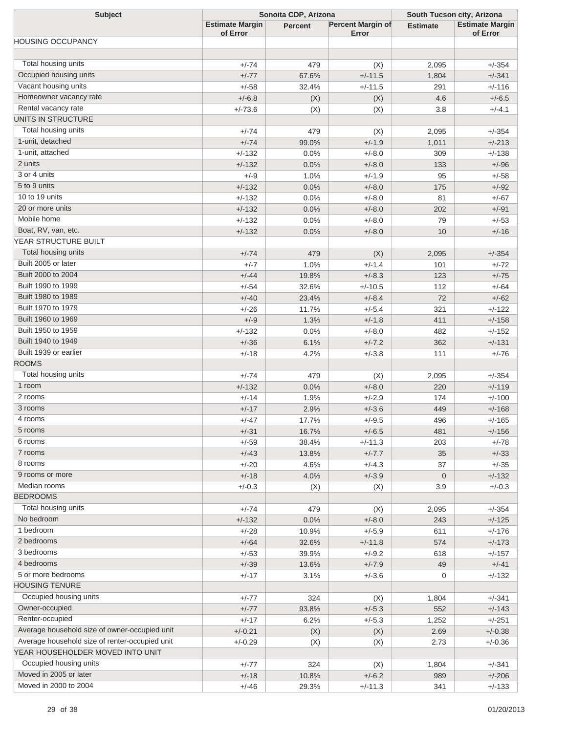| <b>Subject</b>                                 | Sonoita CDP, Arizona               |                |                            | South Tucson city, Arizona |                                    |  |
|------------------------------------------------|------------------------------------|----------------|----------------------------|----------------------------|------------------------------------|--|
|                                                | <b>Estimate Margin</b><br>of Error | <b>Percent</b> | Percent Margin of<br>Error | <b>Estimate</b>            | <b>Estimate Margin</b><br>of Error |  |
| <b>HOUSING OCCUPANCY</b>                       |                                    |                |                            |                            |                                    |  |
|                                                |                                    |                |                            |                            |                                    |  |
| Total housing units                            | $+/-74$                            | 479            | (X)                        | 2,095                      | $+/-354$                           |  |
| Occupied housing units                         | $+/-77$                            | 67.6%          | $+/-11.5$                  | 1,804                      | $+/-341$                           |  |
| Vacant housing units                           | $+/-58$                            | 32.4%          | $+/-11.5$                  | 291                        | $+/-116$                           |  |
| Homeowner vacancy rate                         | $+/-6.8$                           | (X)            | (X)                        | 4.6                        | $+/-6.5$                           |  |
| Rental vacancy rate                            | $+/-73.6$                          | (X)            | (X)                        | 3.8                        | $+/-4.1$                           |  |
| UNITS IN STRUCTURE                             |                                    |                |                            |                            |                                    |  |
| Total housing units                            | $+/-74$                            | 479            | (X)                        | 2,095                      | $+/-354$                           |  |
| 1-unit, detached                               | $+/-74$                            | 99.0%          | $+/-1.9$                   | 1,011                      | $+/-213$                           |  |
| 1-unit, attached                               | $+/-132$                           | 0.0%           | $+/-8.0$                   | 309                        | $+/-138$                           |  |
| 2 units                                        | $+/-132$                           | 0.0%           | $+/-8.0$                   | 133                        | $+/-96$                            |  |
| 3 or 4 units                                   | $+/-9$                             | 1.0%           | $+/-1.9$                   | 95                         | $+/-58$                            |  |
| 5 to 9 units                                   | $+/-132$                           | 0.0%           | $+/-8.0$                   | 175                        | $+/-92$                            |  |
| 10 to 19 units                                 | $+/-132$                           | 0.0%           | $+/-8.0$                   | 81                         | $+/-67$                            |  |
| 20 or more units                               | $+/-132$                           | 0.0%           | $+/-8.0$                   | 202                        | $+/-91$                            |  |
| Mobile home                                    | $+/-132$                           | 0.0%           | $+/-8.0$                   | 79                         | $+/-53$                            |  |
| Boat, RV, van, etc.                            | $+/-132$                           | 0.0%           | $+/-8.0$                   | 10                         | $+/-16$                            |  |
| YEAR STRUCTURE BUILT                           |                                    |                |                            |                            |                                    |  |
| Total housing units                            | $+/-74$                            | 479            | (X)                        | 2,095                      | $+/-354$                           |  |
| Built 2005 or later                            | $+/-7$                             | 1.0%           | $+/-1.4$                   | 101                        | $+/-72$                            |  |
| Built 2000 to 2004                             | $+/-44$                            | 19.8%          | $+/-8.3$                   | 123                        | $+/-75$                            |  |
| Built 1990 to 1999                             | $+/-54$                            | 32.6%          | $+/-10.5$                  | 112                        | $+/-64$                            |  |
| Built 1980 to 1989                             | $+/-40$                            | 23.4%          | $+/-8.4$                   | 72                         | $+/-62$                            |  |
| Built 1970 to 1979                             | $+/-26$                            | 11.7%          | $+/-5.4$                   | 321                        | $+/-122$                           |  |
| Built 1960 to 1969                             | $+/-9$                             | 1.3%           | $+/-1.8$                   | 411                        | $+/-158$                           |  |
| Built 1950 to 1959                             | $+/-132$                           | 0.0%           | $+/-8.0$                   | 482                        | $+/-152$                           |  |
| Built 1940 to 1949                             | $+/-36$                            | 6.1%           | $+/-7.2$                   | 362                        | $+/-131$                           |  |
| Built 1939 or earlier                          | $+/-18$                            | 4.2%           | $+/-3.8$                   | 111                        | $+/-76$                            |  |
| <b>ROOMS</b>                                   |                                    |                |                            |                            |                                    |  |
| Total housing units                            | $+/-74$                            | 479            | (X)                        | 2,095                      | $+/-354$                           |  |
| 1 room                                         | $+/-132$                           | 0.0%           | $+/-8.0$                   | 220                        | $+/-119$                           |  |
| 2 rooms                                        | $+/-14$                            | 1.9%           | $+/-2.9$                   | 174                        | $+/-100$                           |  |
| 3 rooms                                        | $+/-17$                            | 2.9%           | $+/-3.6$                   | 449                        | $+/-168$                           |  |
| 4 rooms                                        | $+/-47$                            | 17.7%          | $+/-9.5$                   | 496                        | $+/-165$                           |  |
| 5 rooms                                        | $+/-31$                            | 16.7%          | $+/-6.5$                   | 481                        | $+/-156$                           |  |
| 6 rooms                                        | $+/-59$                            | 38.4%          | $+/-11.3$                  | 203                        | $+/-78$                            |  |
| 7 rooms                                        | $+/-43$                            | 13.8%          | $+/-7.7$                   | 35                         | $+/-33$                            |  |
| 8 rooms                                        | $+/-20$                            | 4.6%           | $+/-4.3$                   | 37                         | $+/-35$                            |  |
| 9 rooms or more                                | $+/-18$                            | 4.0%           | $+/-3.9$                   | $\mathbf 0$                | $+/-132$                           |  |
| Median rooms                                   | $+/-0.3$                           | (X)            | (X)                        | 3.9                        | $+/-0.3$                           |  |
| <b>BEDROOMS</b>                                |                                    |                |                            |                            |                                    |  |
| Total housing units                            | $+/-74$                            | 479            | (X)                        | 2,095                      | $+/-354$                           |  |
| No bedroom                                     | $+/-132$                           | 0.0%           | $+/-8.0$                   | 243                        | $+/-125$                           |  |
| 1 bedroom                                      | $+/-28$                            | 10.9%          | $+/-5.9$                   | 611                        | $+/-176$                           |  |
| 2 bedrooms                                     | $+/-64$                            | 32.6%          | $+/-11.8$                  | 574                        | $+/-173$                           |  |
| 3 bedrooms                                     | $+/-53$                            | 39.9%          | $+/-9.2$                   | 618                        | $+/-157$                           |  |
| 4 bedrooms                                     | $+/-39$                            | 13.6%          | $+/-7.9$                   | 49                         | $+/-41$                            |  |
| 5 or more bedrooms                             | $+/-17$                            | 3.1%           | $+/-3.6$                   | 0                          | $+/-132$                           |  |
| <b>HOUSING TENURE</b>                          |                                    |                |                            |                            |                                    |  |
| Occupied housing units                         | $+/-77$                            | 324            | (X)                        | 1,804                      | $+/-341$                           |  |
| Owner-occupied                                 | $+/-77$                            | 93.8%          | $+/-5.3$                   | 552                        | $+/-143$                           |  |
| Renter-occupied                                | $+/-17$                            | 6.2%           | $+/-5.3$                   | 1,252                      | $+/-251$                           |  |
| Average household size of owner-occupied unit  | $+/-0.21$                          | (X)            | (X)                        | 2.69                       | $+/-0.38$                          |  |
| Average household size of renter-occupied unit | $+/-0.29$                          | (X)            | (X)                        | 2.73                       | $+/-0.36$                          |  |
| YEAR HOUSEHOLDER MOVED INTO UNIT               |                                    |                |                            |                            |                                    |  |
| Occupied housing units                         | $+/-77$                            | 324            | (X)                        | 1,804                      | $+/-341$                           |  |
| Moved in 2005 or later                         | $+/-18$                            | 10.8%          | $+/-6.2$                   | 989                        | $+/-206$                           |  |
| Moved in 2000 to 2004                          | $+/-46$                            | 29.3%          | $+/-11.3$                  | 341                        | $+/-133$                           |  |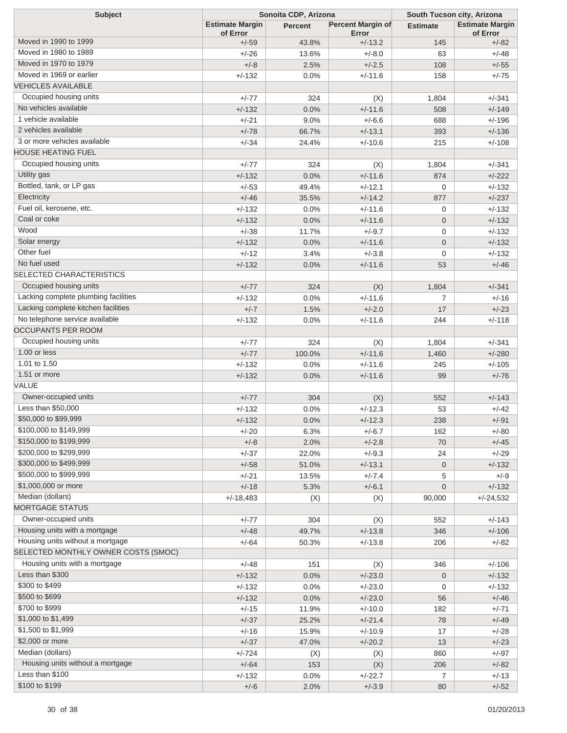| <b>Subject</b>                       | Sonoita CDP, Arizona               |                |                            | South Tucson city, Arizona |                                    |  |
|--------------------------------------|------------------------------------|----------------|----------------------------|----------------------------|------------------------------------|--|
|                                      | <b>Estimate Margin</b><br>of Error | <b>Percent</b> | Percent Margin of<br>Error | <b>Estimate</b>            | <b>Estimate Margin</b><br>of Error |  |
| Moved in 1990 to 1999                | $+/-59$                            | 43.8%          | $+/-13.2$                  | 145                        | $+/-82$                            |  |
| Moved in 1980 to 1989                | $+/-26$                            | 13.6%          | $+/-8.0$                   | 63                         | $+/-48$                            |  |
| Moved in 1970 to 1979                | $+/-8$                             | 2.5%           | $+/-2.5$                   | 108                        | $+/-55$                            |  |
| Moved in 1969 or earlier             | $+/-132$                           | 0.0%           | $+/-11.6$                  | 158                        | $+/-75$                            |  |
| <b>VEHICLES AVAILABLE</b>            |                                    |                |                            |                            |                                    |  |
| Occupied housing units               | $+/-77$                            | 324            | (X)                        | 1,804                      | $+/-341$                           |  |
| No vehicles available                | $+/-132$                           | 0.0%           | $+/-11.6$                  | 508                        | $+/-149$                           |  |
| 1 vehicle available                  | $+/-21$                            | 9.0%           | $+/-6.6$                   | 688                        | $+/-196$                           |  |
| 2 vehicles available                 | $+/-78$                            | 66.7%          | $+/-13.1$                  | 393                        | $+/-136$                           |  |
| 3 or more vehicles available         | $+/-34$                            | 24.4%          | $+/-10.6$                  | 215                        | $+/-108$                           |  |
| <b>HOUSE HEATING FUEL</b>            |                                    |                |                            |                            |                                    |  |
| Occupied housing units               | $+/-77$                            | 324            | (X)                        | 1,804                      | $+/-341$                           |  |
| Utility gas                          | $+/-132$                           | 0.0%           | $+/-11.6$                  | 874                        | $+/-222$                           |  |
| Bottled, tank, or LP gas             | $+/-53$                            | 49.4%          | $+/-12.1$                  | $\mathbf 0$                | $+/-132$                           |  |
| Electricity                          | $+/-46$                            | 35.5%          | $+/-14.2$                  | 877                        | $+/-237$                           |  |
| Fuel oil, kerosene, etc.             | $+/-132$                           | 0.0%           | $+/-11.6$                  | 0                          | $+/-132$                           |  |
| Coal or coke                         | $+/-132$                           | 0.0%           | $+/-11.6$                  | $\overline{0}$             | $+/-132$                           |  |
| Wood                                 | $+/-38$                            | 11.7%          | $+/-9.7$                   | $\mathbf{0}$               | $+/-132$                           |  |
| Solar energy                         | $+/-132$                           | 0.0%           | $+/-11.6$                  | $\overline{0}$             | $+/-132$                           |  |
| Other fuel                           | $+/-12$                            | 3.4%           | $+/-3.8$                   | $\mathbf{0}$               | $+/-132$                           |  |
| No fuel used                         | $+/-132$                           | 0.0%           | $+/-11.6$                  | 53                         | $+/-46$                            |  |
| SELECTED CHARACTERISTICS             |                                    |                |                            |                            |                                    |  |
| Occupied housing units               | $+/-77$                            | 324            | (X)                        | 1,804                      | $+/-341$                           |  |
| Lacking complete plumbing facilities | $+/-132$                           | 0.0%           | $+/-11.6$                  | $\overline{7}$             | $+/-16$                            |  |
| Lacking complete kitchen facilities  | $+/-7$                             | 1.5%           | $+/-2.0$                   | 17                         | $+/-23$                            |  |
| No telephone service available       | $+/-132$                           | 0.0%           | $+/-11.6$                  | 244                        | $+/-118$                           |  |
| <b>OCCUPANTS PER ROOM</b>            |                                    |                |                            |                            |                                    |  |
| Occupied housing units               | $+/-77$                            | 324            | (X)                        | 1,804                      | $+/-341$                           |  |
| 1.00 or less                         | $+/-77$                            | 100.0%         | $+/-11.6$                  | 1,460                      | $+/-280$                           |  |
| 1.01 to 1.50                         | $+/-132$                           | 0.0%           | $+/-11.6$                  | 245                        | $+/-105$                           |  |
| 1.51 or more                         | $+/-132$                           | 0.0%           | $+/-11.6$                  | 99                         | $+/-76$                            |  |
| VALUE                                |                                    |                |                            |                            |                                    |  |
| Owner-occupied units                 | $+/-77$                            | 304            | (X)                        | 552                        | $+/-143$                           |  |
| Less than \$50,000                   | $+/-132$                           | 0.0%           | $+/-12.3$                  | 53                         | $+/-42$                            |  |
| \$50,000 to \$99,999                 | $+/-132$                           | 0.0%           | $+/-12.3$                  | 238                        | $+/-91$                            |  |
| \$100,000 to \$149,999               | $+/-20$                            | 6.3%           | $+/-6.7$                   | 162                        | $+/-80$                            |  |
| \$150,000 to \$199,999               | $+/-8$                             | 2.0%           | $+/-2.8$                   | 70                         | $+/-45$                            |  |
| \$200,000 to \$299,999               | $+/-37$                            | 22.0%          | $+/-9.3$                   | 24                         | $+/-29$                            |  |
| \$300,000 to \$499,999               | $+/-58$                            | 51.0%          | $+/-13.1$                  | $\mathbf 0$                | $+/-132$                           |  |
| \$500,000 to \$999,999               | $+/-21$                            | 13.5%          | $+/-7.4$                   | 5                          | $+/-9$                             |  |
| \$1,000,000 or more                  | $+/-18$                            | 5.3%           | $+/-6.1$                   | $\overline{0}$             | $+/-132$                           |  |
| Median (dollars)                     | $+/-18,483$                        | (X)            | (X)                        | 90,000                     | $+/-24,532$                        |  |
| <b>MORTGAGE STATUS</b>               |                                    |                |                            |                            |                                    |  |
| Owner-occupied units                 | $+/-77$                            | 304            | (X)                        | 552                        | $+/-143$                           |  |
| Housing units with a mortgage        | $+/-48$                            | 49.7%          | $+/-13.8$                  | 346                        | $+/-106$                           |  |
| Housing units without a mortgage     | $+/-64$                            | 50.3%          | $+/-13.8$                  | 206                        | $+/-82$                            |  |
| SELECTED MONTHLY OWNER COSTS (SMOC)  |                                    |                |                            |                            |                                    |  |
| Housing units with a mortgage        | $+/-48$                            | 151            | (X)                        | 346                        | $+/-106$                           |  |
| Less than \$300                      | $+/-132$                           | 0.0%           | $+/-23.0$                  | $\mathbf 0$                | $+/-132$                           |  |
| \$300 to \$499<br>\$500 to \$699     | $+/-132$                           | 0.0%           | $+/-23.0$                  | 0                          | $+/-132$                           |  |
| \$700 to \$999                       | $+/-132$                           | 0.0%           | $+/-23.0$                  | 56                         | $+/-46$                            |  |
| \$1,000 to \$1,499                   | $+/-15$                            | 11.9%          | $+/-10.0$                  | 182                        | $+/-71$                            |  |
| \$1,500 to \$1,999                   | $+/-37$                            | 25.2%          | $+/-21.4$                  | 78                         | $+/-49$                            |  |
| \$2,000 or more                      | $+/-16$                            | 15.9%          | $+/-10.9$                  | 17                         | $+/-28$                            |  |
| Median (dollars)                     | $+/-37$                            | 47.0%          | $+/-20.2$                  | 13                         | $+/-23$                            |  |
| Housing units without a mortgage     | $+/-724$                           | (X)            | (X)                        | 860                        | $+/-97$                            |  |
| Less than \$100                      | $+/-64$                            | 153            | (X)                        | 206                        | $+/-82$                            |  |
| \$100 to \$199                       | $+/-132$                           | 0.0%           | $+/-22.7$                  | 7                          | $+/-13$                            |  |
|                                      | $+/-6$                             | 2.0%           | $+/-3.9$                   | $80\,$                     | $+/-52$                            |  |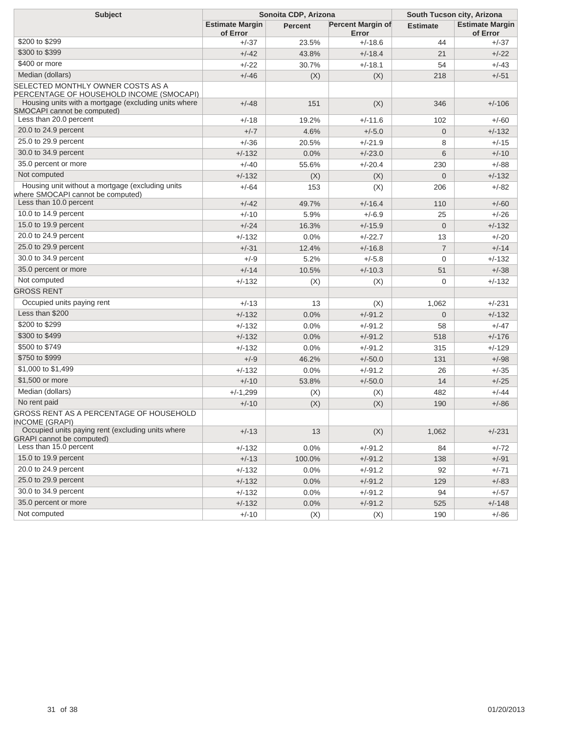| <b>Subject</b>                                                                        | Sonoita CDP, Arizona               |         |                            | South Tucson city, Arizona |                                    |  |
|---------------------------------------------------------------------------------------|------------------------------------|---------|----------------------------|----------------------------|------------------------------------|--|
|                                                                                       | <b>Estimate Margin</b><br>of Error | Percent | Percent Margin of<br>Error | <b>Estimate</b>            | <b>Estimate Margin</b><br>of Error |  |
| \$200 to \$299                                                                        | $+/-37$                            | 23.5%   | $+/-18.6$                  | 44                         | +/-37                              |  |
| \$300 to \$399                                                                        | $+/-42$                            | 43.8%   | $+/-18.4$                  | 21                         | $+/-22$                            |  |
| \$400 or more                                                                         | $+/-22$                            | 30.7%   | $+/-18.1$                  | 54                         | $+/-43$                            |  |
| Median (dollars)                                                                      | $+/-46$                            | (X)     | (X)                        | 218                        | $+/-51$                            |  |
| SELECTED MONTHLY OWNER COSTS AS A<br>PERCENTAGE OF HOUSEHOLD INCOME (SMOCAPI)         |                                    |         |                            |                            |                                    |  |
| Housing units with a mortgage (excluding units where<br>SMOCAPI cannot be computed)   | $+/-48$                            | 151     | (X)                        | 346                        | $+/-106$                           |  |
| Less than 20.0 percent                                                                | $+/-18$                            | 19.2%   | $+/-11.6$                  | 102                        | $+/-60$                            |  |
| 20.0 to 24.9 percent                                                                  | $+/-7$                             | 4.6%    | $+/-5.0$                   | $\mathbf 0$                | $+/-132$                           |  |
| 25.0 to 29.9 percent                                                                  | $+/-36$                            | 20.5%   | $+/-21.9$                  | 8                          | $+/-15$                            |  |
| 30.0 to 34.9 percent                                                                  | $+/-132$                           | 0.0%    | $+/-23.0$                  | 6                          | $+/-10$                            |  |
| 35.0 percent or more                                                                  | $+/-40$                            | 55.6%   | $+/-20.4$                  | 230                        | $+/-88$                            |  |
| Not computed                                                                          | $+/-132$                           | (X)     | (X)                        | $\overline{0}$             | $+/-132$                           |  |
| Housing unit without a mortgage (excluding units<br>where SMOCAPI cannot be computed) | $+/-64$                            | 153     | (X)                        | 206                        | $+/-82$                            |  |
| Less than 10.0 percent                                                                | $+/-42$                            | 49.7%   | $+/-16.4$                  | 110                        | $+/-60$                            |  |
| 10.0 to 14.9 percent                                                                  | $+/-10$                            | 5.9%    | $+/-6.9$                   | 25                         | $+/-26$                            |  |
| 15.0 to 19.9 percent                                                                  | $+/-24$                            | 16.3%   | $+/-15.9$                  | $\mathbf{0}$               | $+/-132$                           |  |
| 20.0 to 24.9 percent                                                                  | $+/-132$                           | 0.0%    | $+/-22.7$                  | 13                         | $+/-20$                            |  |
| 25.0 to 29.9 percent                                                                  | $+/-31$                            | 12.4%   | $+/-16.8$                  | $\overline{7}$             | $+/-14$                            |  |
| 30.0 to 34.9 percent                                                                  | $+/-9$                             | 5.2%    | $+/-5.8$                   | $\mathbf 0$                | $+/-132$                           |  |
| 35.0 percent or more                                                                  | $+/-14$                            | 10.5%   | $+/-10.3$                  | 51                         | $+/-38$                            |  |
| Not computed                                                                          | $+/-132$                           | (X)     | (X)                        | $\mathbf 0$                | $+/-132$                           |  |
| <b>GROSS RENT</b>                                                                     |                                    |         |                            |                            |                                    |  |
| Occupied units paying rent                                                            | $+/-13$                            | 13      | (X)                        | 1,062                      | $+/-231$                           |  |
| Less than \$200                                                                       | $+/-132$                           | 0.0%    | $+/-91.2$                  | $\mathbf{0}$               | $+/-132$                           |  |
| \$200 to \$299                                                                        | $+/-132$                           | 0.0%    | $+/-91.2$                  | 58                         | $+/-47$                            |  |
| \$300 to \$499                                                                        | $+/-132$                           | 0.0%    | $+/-91.2$                  | 518                        | $+/-176$                           |  |
| \$500 to \$749                                                                        | $+/-132$                           | 0.0%    | $+/-91.2$                  | 315                        | $+/-129$                           |  |
| \$750 to \$999                                                                        | $+/-9$                             | 46.2%   | $+/-50.0$                  | 131                        | $+/-98$                            |  |
| \$1,000 to \$1,499                                                                    | $+/-132$                           | 0.0%    | $+/-91.2$                  | 26                         | $+/-35$                            |  |
| \$1,500 or more                                                                       | $+/-10$                            | 53.8%   | $+/-50.0$                  | 14                         | $+/-25$                            |  |
| Median (dollars)                                                                      | $+/-1,299$                         | (X)     | (X)                        | 482                        | $+/-44$                            |  |
| No rent paid                                                                          | $+/-10$                            | (X)     | (X)                        | 190                        | $+/-86$                            |  |
| GROSS RENT AS A PERCENTAGE OF HOUSEHOLD<br>INCOME (GRAPI)                             |                                    |         |                            |                            |                                    |  |
| Occupied units paying rent (excluding units where<br><b>GRAPI</b> cannot be computed) | $+/-13$                            | 13      | (X)                        | 1,062                      | $+/-231$                           |  |
| Less than 15.0 percent                                                                | $+/-132$                           | 0.0%    | $+/-91.2$                  | 84                         | $+/-72$                            |  |
| 15.0 to 19.9 percent                                                                  | $+/-13$                            | 100.0%  | $+/-91.2$                  | 138                        | $+/-91$                            |  |
| 20.0 to 24.9 percent                                                                  | $+/-132$                           | 0.0%    | $+/-91.2$                  | 92                         | $+/-71$                            |  |
| 25.0 to 29.9 percent                                                                  | $+/-132$                           | 0.0%    | $+/-91.2$                  | 129                        | $+/-83$                            |  |
| 30.0 to 34.9 percent                                                                  | $+/-132$                           | 0.0%    | $+/-91.2$                  | 94                         | $+/-57$                            |  |
| 35.0 percent or more                                                                  | $+/-132$                           | 0.0%    | $+/-91.2$                  | 525                        | $+/-148$                           |  |
| Not computed                                                                          | $+/-10$                            | (X)     | (X)                        | 190                        | $+/-86$                            |  |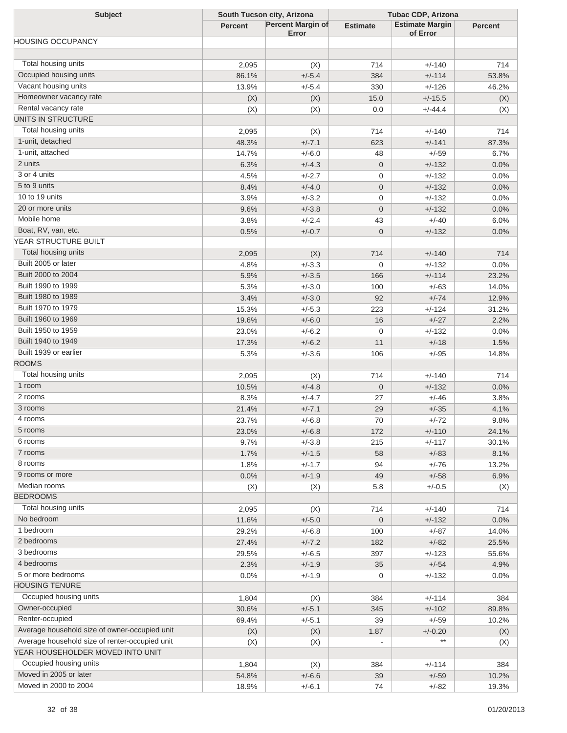| <b>Subject</b>                                 | South Tucson city, Arizona |                                   | <b>Tubac CDP, Arizona</b> |                                    |                |
|------------------------------------------------|----------------------------|-----------------------------------|---------------------------|------------------------------------|----------------|
|                                                | <b>Percent</b>             | <b>Percent Margin of</b><br>Error | <b>Estimate</b>           | <b>Estimate Margin</b><br>of Error | <b>Percent</b> |
| HOUSING OCCUPANCY                              |                            |                                   |                           |                                    |                |
|                                                |                            |                                   |                           |                                    |                |
| Total housing units                            | 2,095                      | (X)                               | 714                       | $+/-140$                           | 714            |
| Occupied housing units                         | 86.1%                      | $+/-5.4$                          | 384                       | $+/-114$                           | 53.8%          |
| Vacant housing units                           | 13.9%                      | $+/-5.4$                          | 330                       | $+/-126$                           | 46.2%          |
| Homeowner vacancy rate                         | (X)                        | (X)                               | 15.0                      | $+/-15.5$                          | (X)            |
| Rental vacancy rate                            | (X)                        | (X)                               | 0.0                       | $+/-44.4$                          | (X)            |
| UNITS IN STRUCTURE                             |                            |                                   |                           |                                    |                |
| Total housing units                            | 2,095                      | (X)                               | 714                       | $+/-140$                           | 714            |
| 1-unit, detached                               | 48.3%                      | $+/-7.1$                          | 623                       | $+/-141$                           | 87.3%          |
| 1-unit, attached                               | 14.7%                      | $+/-6.0$                          | 48                        | $+/-59$                            | 6.7%           |
| 2 units                                        | 6.3%                       | $+/-4.3$                          | $\mathbf 0$               | $+/-132$                           | 0.0%           |
| 3 or 4 units                                   | 4.5%                       | $+/-2.7$                          | 0                         | $+/-132$                           | 0.0%           |
| 5 to 9 units                                   | 8.4%                       | $+/-4.0$                          | $\mathbf 0$               | $+/-132$                           | 0.0%           |
| 10 to 19 units                                 | 3.9%                       | $+/-3.2$                          | 0                         | $+/-132$                           | 0.0%           |
| 20 or more units                               | 9.6%                       | $+/-3.8$                          | $\mathbf 0$               | $+/-132$                           | 0.0%           |
| Mobile home                                    | 3.8%                       | $+/-2.4$                          | 43                        | $+/-40$                            | 6.0%           |
| Boat, RV, van, etc.                            | 0.5%                       | $+/-0.7$                          | $\mathbf{0}$              | $+/-132$                           | 0.0%           |
| YEAR STRUCTURE BUILT                           |                            |                                   |                           |                                    |                |
| Total housing units                            | 2,095                      | (X)                               | 714                       | $+/-140$                           | 714            |
| Built 2005 or later                            | 4.8%                       | $+/-3.3$                          | 0                         | $+/-132$                           | 0.0%           |
| Built 2000 to 2004                             | 5.9%                       | $+/-3.5$                          | 166                       | $+/-114$                           | 23.2%          |
| Built 1990 to 1999                             | 5.3%                       | $+/-3.0$                          | 100                       | $+/-63$                            | 14.0%          |
| Built 1980 to 1989                             | 3.4%                       | $+/-3.0$                          | 92                        | $+/-74$                            | 12.9%          |
| Built 1970 to 1979                             | 15.3%                      | $+/-5.3$                          | 223                       | $+/-124$                           | 31.2%          |
| Built 1960 to 1969                             | 19.6%                      | $+/-6.0$                          | 16                        | $+/-27$                            | 2.2%           |
| Built 1950 to 1959                             | 23.0%                      | $+/-6.2$                          | $\mathbf 0$               | $+/-132$                           | 0.0%           |
| Built 1940 to 1949                             | 17.3%                      | $+/-6.2$                          | 11                        | $+/-18$                            | 1.5%           |
| Built 1939 or earlier                          | 5.3%                       | $+/-3.6$                          | 106                       | $+/-95$                            | 14.8%          |
| <b>ROOMS</b>                                   |                            |                                   |                           |                                    |                |
| Total housing units                            | 2,095                      | (X)                               | 714                       | $+/-140$                           | 714            |
| 1 room                                         | 10.5%                      | $+/-4.8$                          | $\mathbf 0$               | $+/-132$                           | 0.0%           |
| 2 rooms                                        | 8.3%                       | $+/-4.7$                          | 27                        | $+/-46$                            | 3.8%           |
| 3 rooms                                        | 21.4%                      | $+/-7.1$                          | 29                        | $+/-35$                            | 4.1%           |
| 4 rooms                                        | 23.7%                      | $+/-6.8$                          | 70                        | $+/-72$                            | 9.8%           |
| 5 rooms                                        | 23.0%                      | $+/-6.8$                          | 172                       | $+/-110$                           | 24.1%          |
| 6 rooms                                        | 9.7%                       | $+/-3.8$                          | 215                       | $+/-117$                           | 30.1%          |
| 7 rooms                                        | 1.7%                       | $+/-1.5$                          | 58                        | $+/-83$                            | 8.1%           |
| 8 rooms                                        | 1.8%                       | $+/-1.7$                          | 94                        | $+/-76$                            | 13.2%          |
| 9 rooms or more                                | 0.0%                       | $+/-1.9$                          | 49                        | $+/-58$                            | 6.9%           |
| Median rooms                                   | (X)                        | (X)                               | 5.8                       | $+/-0.5$                           | (X)            |
| <b>BEDROOMS</b>                                |                            |                                   |                           |                                    |                |
| Total housing units                            | 2,095                      | (X)                               | 714                       | $+/-140$                           | 714            |
| No bedroom                                     | 11.6%                      | $+/-5.0$                          | $\mathbf 0$               | $+/-132$                           | 0.0%           |
| 1 bedroom                                      | 29.2%                      | $+/-6.8$                          | 100                       | $+/-87$                            | 14.0%          |
| 2 bedrooms                                     | 27.4%                      | $+/-7.2$                          | 182                       | $+/-82$                            | 25.5%          |
| 3 bedrooms                                     | 29.5%                      | $+/-6.5$                          | 397                       | $+/-123$                           | 55.6%          |
| 4 bedrooms                                     | 2.3%                       | $+/-1.9$                          | 35                        | $+/-54$                            | 4.9%           |
| 5 or more bedrooms                             | 0.0%                       | $+/-1.9$                          | $\mathbf 0$               | $+/-132$                           | 0.0%           |
| <b>HOUSING TENURE</b>                          |                            |                                   |                           |                                    |                |
| Occupied housing units                         | 1,804                      | (X)                               | 384                       | $+/-114$                           | 384            |
| Owner-occupied                                 | 30.6%                      | $+/-5.1$                          | 345                       | $+/-102$                           | 89.8%          |
| Renter-occupied                                | 69.4%                      | $+/-5.1$                          | 39                        | $+/-59$                            | 10.2%          |
| Average household size of owner-occupied unit  | (X)                        | (X)                               | 1.87                      | $+/-0.20$                          | (X)            |
| Average household size of renter-occupied unit | (X)                        | (X)                               | $\sim$                    |                                    | (X)            |
| YEAR HOUSEHOLDER MOVED INTO UNIT               |                            |                                   |                           |                                    |                |
| Occupied housing units                         | 1,804                      | (X)                               | 384                       | $+/-114$                           | 384            |
| Moved in 2005 or later                         | 54.8%                      | $+/-6.6$                          | 39                        | $+/-59$                            | 10.2%          |
| Moved in 2000 to 2004                          | 18.9%                      | $+/-6.1$                          | 74                        | $+/-82$                            | 19.3%          |
|                                                |                            |                                   |                           |                                    |                |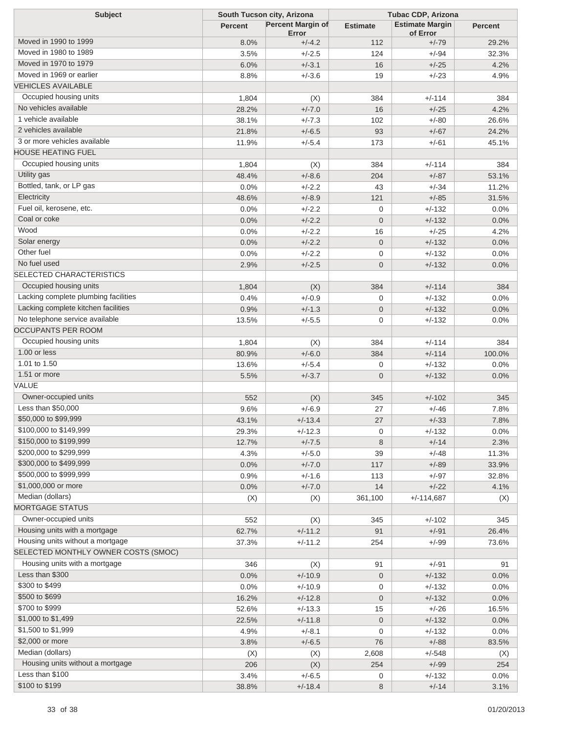| <b>Subject</b>                       | South Tucson city, Arizona |                                   | <b>Tubac CDP, Arizona</b> |                                    |                |
|--------------------------------------|----------------------------|-----------------------------------|---------------------------|------------------------------------|----------------|
|                                      | <b>Percent</b>             | <b>Percent Margin of</b><br>Error | <b>Estimate</b>           | <b>Estimate Margin</b><br>of Error | <b>Percent</b> |
| Moved in 1990 to 1999                | 8.0%                       | $+/-4.2$                          | 112                       | $+/-79$                            | 29.2%          |
| Moved in 1980 to 1989                | 3.5%                       | $+/-2.5$                          | 124                       | $+/-94$                            | 32.3%          |
| Moved in 1970 to 1979                | 6.0%                       | $+/-3.1$                          | 16                        | $+/-25$                            | 4.2%           |
| Moved in 1969 or earlier             | 8.8%                       | $+/-3.6$                          | 19                        | $+/-23$                            | 4.9%           |
| <b>VEHICLES AVAILABLE</b>            |                            |                                   |                           |                                    |                |
| Occupied housing units               | 1,804                      | (X)                               | 384                       | $+/-114$                           | 384            |
| No vehicles available                | 28.2%                      | $+/-7.0$                          | 16                        | $+/-25$                            | 4.2%           |
| 1 vehicle available                  | 38.1%                      | $+/-7.3$                          | 102                       | $+/-80$                            | 26.6%          |
| 2 vehicles available                 | 21.8%                      | $+/-6.5$                          | 93                        | $+/-67$                            | 24.2%          |
| 3 or more vehicles available         | 11.9%                      | $+/-5.4$                          | 173                       | $+/-61$                            | 45.1%          |
| <b>HOUSE HEATING FUEL</b>            |                            |                                   |                           |                                    |                |
| Occupied housing units               | 1,804                      | (X)                               | 384                       | $+/-114$                           | 384            |
| Utility gas                          | 48.4%                      | $+/-8.6$                          | 204                       | $+/-87$                            | 53.1%          |
| Bottled, tank, or LP gas             | 0.0%                       | $+/-2.2$                          | 43                        | $+/-34$                            | 11.2%          |
| Electricity                          | 48.6%                      | $+/-8.9$                          | 121                       | $+/-85$                            | 31.5%          |
| Fuel oil, kerosene, etc.             | 0.0%                       | $+/-2.2$                          | 0                         | $+/-132$                           | 0.0%           |
| Coal or coke                         | 0.0%                       | $+/-2.2$                          | $\overline{0}$            | $+/-132$                           | 0.0%           |
| Wood                                 | 0.0%                       | $+/-2.2$                          | 16                        | $+/-25$                            | 4.2%           |
| Solar energy                         | 0.0%                       | $+/-2.2$                          | $\mathbf 0$               | $+/-132$                           | 0.0%           |
| Other fuel                           | 0.0%                       | $+/-2.2$                          | 0                         | $+/-132$                           | 0.0%           |
| No fuel used                         | 2.9%                       | $+/-2.5$                          | $\mathbf 0$               | $+/-132$                           | 0.0%           |
| SELECTED CHARACTERISTICS             |                            |                                   |                           |                                    |                |
| Occupied housing units               |                            |                                   |                           |                                    |                |
| Lacking complete plumbing facilities | 1,804                      | (X)<br>$+/-0.9$                   | 384                       | $+/-114$<br>$+/-132$               | 384<br>0.0%    |
| Lacking complete kitchen facilities  | 0.4%                       | $+/-1.3$                          | 0                         |                                    |                |
| No telephone service available       | 0.9%                       |                                   | $\mathbf 0$               | $+/-132$                           | 0.0%           |
| <b>OCCUPANTS PER ROOM</b>            | 13.5%                      | $+/-5.5$                          | 0                         | $+/-132$                           | 0.0%           |
| Occupied housing units               |                            |                                   |                           |                                    |                |
| 1.00 or less                         | 1,804                      | (X)                               | 384                       | $+/-114$                           | 384            |
| 1.01 to 1.50                         | 80.9%                      | $+/-6.0$                          | 384                       | $+/-114$                           | 100.0%         |
| 1.51 or more                         | 13.6%                      | $+/-5.4$                          | 0                         | $+/-132$                           | 0.0%           |
| VALUE                                | 5.5%                       | $+/-3.7$                          | $\mathbf 0$               | $+/-132$                           | 0.0%           |
| Owner-occupied units                 |                            |                                   |                           |                                    |                |
| Less than \$50,000                   | 552                        | (X)                               | 345                       | $+/-102$                           | 345            |
| \$50,000 to \$99,999                 | 9.6%                       | $+/-6.9$                          | 27                        | $+/-46$                            | 7.8%           |
| \$100,000 to \$149,999               | 43.1%                      | $+/-13.4$                         | 27                        | $+/-33$                            | 7.8%           |
| \$150,000 to \$199,999               | 29.3%                      | $+/-12.3$                         | 0                         | $+/-132$                           | 0.0%           |
| \$200,000 to \$299,999               | 12.7%                      | $+/-7.5$                          | 8                         | $+/-14$                            | 2.3%           |
| \$300,000 to \$499,999               | 4.3%                       | $+/-5.0$                          | 39                        | $+/-48$                            | 11.3%          |
| \$500,000 to \$999,999               | 0.0%                       | $+/-7.0$                          | 117                       | $+/-89$                            | 33.9%          |
| \$1,000,000 or more                  | 0.9%                       | $+/-1.6$                          | 113                       | $+/-97$                            | 32.8%          |
| Median (dollars)                     | 0.0%                       | $+/-7.0$                          | 14                        | $+/-22$                            | 4.1%           |
| <b>MORTGAGE STATUS</b>               | (X)                        | (X)                               | 361,100                   | $+/-114,687$                       | (X)            |
| Owner-occupied units                 |                            |                                   |                           |                                    |                |
| Housing units with a mortgage        | 552                        | (X)                               | 345                       | $+/-102$                           | 345            |
| Housing units without a mortgage     | 62.7%                      | $+/-11.2$                         | 91                        | $+/-91$                            | 26.4%          |
| SELECTED MONTHLY OWNER COSTS (SMOC)  | 37.3%                      | $+/-11.2$                         | 254                       | $+/-99$                            | 73.6%          |
|                                      |                            |                                   |                           |                                    |                |
| Housing units with a mortgage        | 346                        | (X)                               | 91                        | $+/-91$                            | 91             |
| Less than \$300                      | 0.0%                       | $+/-10.9$                         | $\mathbf 0$               | $+/-132$                           | 0.0%           |
| \$300 to \$499                       | 0.0%                       | $+/-10.9$                         | 0                         | $+/-132$                           | 0.0%           |
| \$500 to \$699                       | 16.2%                      | $+/-12.8$                         | $\mathbf 0$               | $+/-132$                           | 0.0%           |
| \$700 to \$999                       | 52.6%                      | $+/-13.3$                         | 15                        | $+/-26$                            | 16.5%          |
| \$1,000 to \$1,499                   | 22.5%                      | $+/-11.8$                         | $\mathbf 0$               | $+/-132$                           | 0.0%           |
| \$1,500 to \$1,999                   | 4.9%                       | $+/-8.1$                          | 0                         | $+/-132$                           | 0.0%           |
| \$2,000 or more                      | 3.8%                       | $+/-6.5$                          | 76                        | $+/-88$                            | 83.5%          |
| Median (dollars)                     | (X)                        | (X)                               | 2,608                     | $+/-548$                           | (X)            |
| Housing units without a mortgage     | 206                        | (X)                               | 254                       | $+/-99$                            | 254            |
| Less than \$100                      | 3.4%                       | $+/-6.5$                          | 0                         | $+/-132$                           | 0.0%           |
| \$100 to \$199                       | 38.8%                      | $+/-18.4$                         | 8                         | $+/-14$                            | 3.1%           |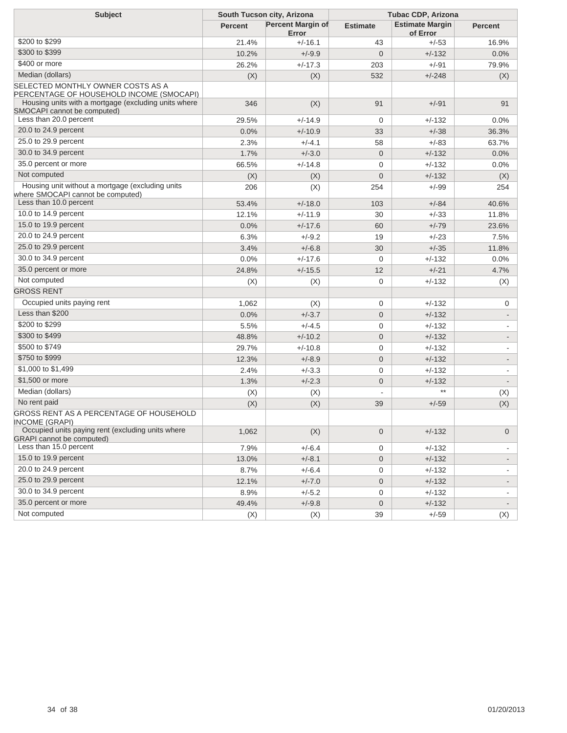| <b>Subject</b>                                                                                                                        | South Tucson city, Arizona |                                   | <b>Tubac CDP, Arizona</b> |                                    |                |
|---------------------------------------------------------------------------------------------------------------------------------------|----------------------------|-----------------------------------|---------------------------|------------------------------------|----------------|
|                                                                                                                                       | <b>Percent</b>             | <b>Percent Margin of</b><br>Error | <b>Estimate</b>           | <b>Estimate Margin</b><br>of Error | <b>Percent</b> |
| \$200 to \$299                                                                                                                        | 21.4%                      | $+/-16.1$                         | 43                        | +/-53                              | 16.9%          |
| \$300 to \$399                                                                                                                        | 10.2%                      | $+/-9.9$                          | $\mathbf 0$               | $+/-132$                           | 0.0%           |
| \$400 or more                                                                                                                         | 26.2%                      | $+/-17.3$                         | 203                       | +/-91                              | 79.9%          |
| Median (dollars)                                                                                                                      | (X)                        | (X)                               | 532                       | $+/-248$                           | (X)            |
| SELECTED MONTHLY OWNER COSTS AS A<br>PERCENTAGE OF HOUSEHOLD INCOME (SMOCAPI)<br>Housing units with a mortgage (excluding units where |                            |                                   |                           |                                    |                |
| SMOCAPI cannot be computed)                                                                                                           | 346                        | (X)                               | 91                        | $+/-91$                            | 91             |
| Less than 20.0 percent                                                                                                                | 29.5%                      | $+/-14.9$                         | 0                         | $+/-132$                           | 0.0%           |
| 20.0 to 24.9 percent                                                                                                                  | 0.0%                       | $+/-10.9$                         | 33                        | $+/-38$                            | 36.3%          |
| 25.0 to 29.9 percent                                                                                                                  | 2.3%                       | $+/-4.1$                          | 58                        | $+/-83$                            | 63.7%          |
| 30.0 to 34.9 percent                                                                                                                  | 1.7%                       | $+/-3.0$                          | $\mathbf{0}$              | $+/-132$                           | 0.0%           |
| 35.0 percent or more                                                                                                                  | 66.5%                      | $+/-14.8$                         | 0                         | $+/-132$                           | 0.0%           |
| Not computed                                                                                                                          | (X)                        | (X)                               | $\mathbf 0$               | $+/-132$                           | (X)            |
| Housing unit without a mortgage (excluding units<br>where SMOCAPI cannot be computed)                                                 | 206                        | (X)                               | 254                       | +/-99                              | 254            |
| Less than 10.0 percent                                                                                                                | 53.4%                      | $+/-18.0$                         | 103                       | $+/-84$                            | 40.6%          |
| 10.0 to 14.9 percent                                                                                                                  | 12.1%                      | $+/-11.9$                         | 30                        | $+/-33$                            | 11.8%          |
| 15.0 to 19.9 percent                                                                                                                  | 0.0%                       | $+/-17.6$                         | 60                        | $+/-79$                            | 23.6%          |
| 20.0 to 24.9 percent                                                                                                                  | 6.3%                       | $+/-9.2$                          | 19                        | $+/-23$                            | 7.5%           |
| 25.0 to 29.9 percent                                                                                                                  | 3.4%                       | $+/-6.8$                          | 30                        | $+/-35$                            | 11.8%          |
| 30.0 to 34.9 percent                                                                                                                  | 0.0%                       | $+/-17.6$                         | 0                         | $+/-132$                           | 0.0%           |
| 35.0 percent or more                                                                                                                  | 24.8%                      | $+/-15.5$                         | 12                        | $+/-21$                            | 4.7%           |
| Not computed                                                                                                                          | (X)                        | (X)                               | $\mathbf 0$               | $+/-132$                           | (X)            |
| <b>GROSS RENT</b>                                                                                                                     |                            |                                   |                           |                                    |                |
| Occupied units paying rent                                                                                                            | 1,062                      | (X)                               | $\mathbf 0$               | $+/-132$                           | 0              |
| Less than \$200                                                                                                                       | 0.0%                       | $+/-3.7$                          | $\mathbf 0$               | $+/-132$                           |                |
| \$200 to \$299                                                                                                                        | 5.5%                       | $+/-4.5$                          | 0                         | $+/-132$                           |                |
| \$300 to \$499                                                                                                                        | 48.8%                      | $+/-10.2$                         | $\mathbf 0$               | $+/-132$                           |                |
| \$500 to \$749                                                                                                                        | 29.7%                      | $+/-10.8$                         | 0                         | $+/-132$                           |                |
| \$750 to \$999                                                                                                                        | 12.3%                      | $+/-8.9$                          | $\mathbf 0$               | $+/-132$                           |                |
| \$1,000 to \$1,499                                                                                                                    | 2.4%                       | $+/-3.3$                          | $\mathbf 0$               | $+/-132$                           |                |
| \$1,500 or more                                                                                                                       | 1.3%                       | $+/-2.3$                          | $\mathbf 0$               | $+/-132$                           |                |
| Median (dollars)                                                                                                                      | (X)                        | (X)                               |                           |                                    | (X)            |
| No rent paid                                                                                                                          | (X)                        | (X)                               | 39                        | $+/-59$                            | (X)            |
| GROSS RENT AS A PERCENTAGE OF HOUSEHOLD<br><b>INCOME (GRAPI)</b>                                                                      |                            |                                   |                           |                                    |                |
| Occupied units paying rent (excluding units where<br><b>GRAPI</b> cannot be computed)                                                 | 1,062                      | (X)                               | $\mathbf 0$               | $+/-132$                           | $\overline{0}$ |
| Less than 15.0 percent                                                                                                                | 7.9%                       | $+/-6.4$                          | 0                         | $+/-132$                           |                |
| 15.0 to 19.9 percent                                                                                                                  | 13.0%                      | $+/-8.1$                          | 0                         | $+/-132$                           |                |
| 20.0 to 24.9 percent                                                                                                                  | 8.7%                       | $+/-6.4$                          | 0                         | $+/-132$                           |                |
| 25.0 to 29.9 percent                                                                                                                  | 12.1%                      | $+/-7.0$                          | $\boldsymbol{0}$          | $+/-132$                           | -              |
| 30.0 to 34.9 percent                                                                                                                  | 8.9%                       | $+/-5.2$                          | 0                         | $+/-132$                           |                |
| 35.0 percent or more                                                                                                                  | 49.4%                      | $+/-9.8$                          | $\boldsymbol{0}$          | $+/-132$                           |                |
| Not computed                                                                                                                          | (X)                        | (X)                               | 39                        | $+/-59$                            | (X)            |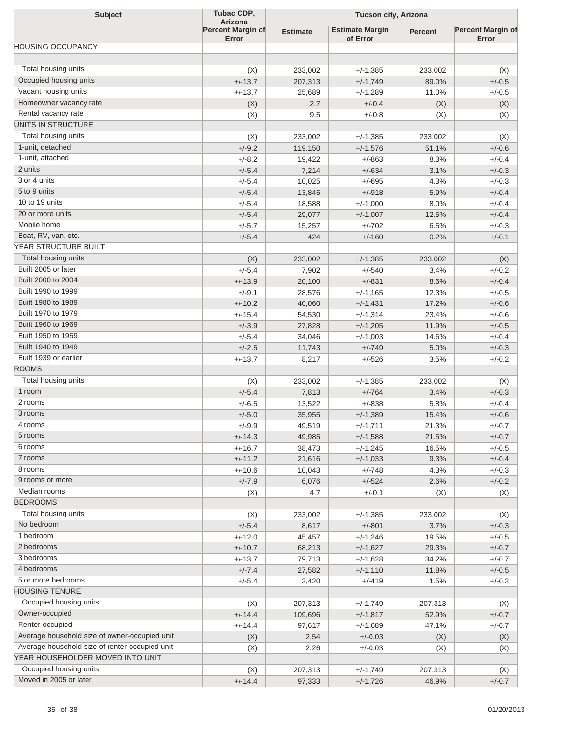| <b>Subject</b>                                 | Tubac CDP,                                 | Tucson city, Arizona |                        |                |                          |
|------------------------------------------------|--------------------------------------------|----------------------|------------------------|----------------|--------------------------|
|                                                | <b>Arizona</b><br><b>Percent Margin of</b> | <b>Estimate</b>      | <b>Estimate Margin</b> | <b>Percent</b> | <b>Percent Margin of</b> |
|                                                | Error                                      |                      | of Error               |                | Error                    |
| <b>HOUSING OCCUPANCY</b>                       |                                            |                      |                        |                |                          |
| Total housing units                            |                                            |                      |                        | 233,002        |                          |
| Occupied housing units                         | (X)<br>$+/-13.7$                           | 233,002<br>207,313   | +/-1,385<br>$+/-1,749$ | 89.0%          | (X)<br>$+/-0.5$          |
| Vacant housing units                           | $+/-13.7$                                  | 25,689               | +/-1,289               | 11.0%          | $+/-0.5$                 |
| Homeowner vacancy rate                         | (X)                                        | 2.7                  | $+/-0.4$               | (X)            | (X)                      |
| Rental vacancy rate                            | (X)                                        | 9.5                  | $+/-0.8$               | (X)            | (X)                      |
| UNITS IN STRUCTURE                             |                                            |                      |                        |                |                          |
| Total housing units                            | (X)                                        | 233,002              | $+/-1,385$             | 233,002        | (X)                      |
| 1-unit, detached                               | $+/-9.2$                                   | 119,150              | $+/-1,576$             | 51.1%          | $+/-0.6$                 |
| 1-unit, attached                               | $+/-8.2$                                   | 19,422               | $+/-863$               | 8.3%           | $+/-0.4$                 |
| 2 units                                        | $+/-5.4$                                   | 7,214                | $+/-634$               | 3.1%           | $+/-0.3$                 |
| 3 or 4 units                                   | $+/-5.4$                                   | 10,025               | $+/-695$               | 4.3%           | $+/-0.3$                 |
| 5 to 9 units                                   | $+/-5.4$                                   | 13,845               | $+/-918$               | 5.9%           | $+/-0.4$                 |
| 10 to 19 units                                 | $+/-5.4$                                   | 18,588               | $+/-1,000$             | 8.0%           | $+/-0.4$                 |
| 20 or more units                               | $+/-5.4$                                   | 29,077               | $+/-1,007$             | 12.5%          | $+/-0.4$                 |
| Mobile home                                    | $+/-5.7$                                   | 15,257               | $+/-702$               | 6.5%           | $+/-0.3$                 |
| Boat, RV, van, etc.                            | $+/-5.4$                                   | 424                  | $+/-160$               | 0.2%           | $+/-0.1$                 |
| YEAR STRUCTURE BUILT                           |                                            |                      |                        |                |                          |
| Total housing units                            | (X)                                        | 233,002              | $+/-1,385$             | 233,002        |                          |
| Built 2005 or later                            | $+/-5.4$                                   | 7,902                | $+/-540$               | 3.4%           | (X)<br>$+/-0.2$          |
| Built 2000 to 2004                             |                                            |                      | $+/-831$               |                | $+/-0.4$                 |
| Built 1990 to 1999                             | $+/-13.9$<br>$+/-9.1$                      | 20,100               |                        | 8.6%           | $+/-0.5$                 |
| Built 1980 to 1989                             |                                            | 28,576               | $+/-1,165$             | 12.3%          |                          |
| Built 1970 to 1979                             | $+/-10.2$                                  | 40,060               | $+/-1,431$             | 17.2%          | $+/-0.6$                 |
| Built 1960 to 1969                             | $+/-15.4$                                  | 54,530               | $+/-1,314$             | 23.4%          | $+/-0.6$                 |
| Built 1950 to 1959                             | $+/-3.9$                                   | 27,828               | $+/-1,205$             | 11.9%          | $+/-0.5$                 |
| Built 1940 to 1949                             | $+/-5.4$                                   | 34,046               | $+/-1,003$             | 14.6%          | $+/-0.4$                 |
| Built 1939 or earlier                          | $+/-2.5$                                   | 11,743               | $+/-749$               | 5.0%           | $+/-0.3$                 |
| <b>ROOMS</b>                                   | $+/-13.7$                                  | 8,217                | $+/-526$               | 3.5%           | $+/-0.2$                 |
| Total housing units                            |                                            |                      |                        |                |                          |
|                                                | (X)                                        | 233,002              | +/-1,385               | 233,002        | (X)                      |
| 1 room<br>2 rooms                              | $+/-5.4$                                   | 7,813                | $+/-764$               | 3.4%           | $+/-0.3$                 |
| 3 rooms                                        | $+/-6.5$                                   | 13,522               | $+/-838$               | 5.8%           | $+/-0.4$                 |
|                                                | $+/-5.0$                                   | 35,955               | $+/-1,389$             | 15.4%          | $+/-0.6$                 |
| 4 rooms                                        | +/-9.9                                     | 49,519               | +/-1,711               | 21.3%          | +/-0.7                   |
| 5 rooms<br>6 rooms                             | $+/-14.3$                                  | 49,985               | $+/-1,588$             | 21.5%          | $+/-0.7$                 |
|                                                | $+/-16.7$                                  | 38,473               | $+/-1,245$             | 16.5%          | $+/-0.5$                 |
| 7 rooms<br>8 rooms                             | $+/-11.2$                                  | 21,616               | $+/-1,033$             | 9.3%           | $+/-0.4$                 |
|                                                | $+/-10.6$                                  | 10,043               | $+/-748$               | 4.3%           | $+/-0.3$                 |
| 9 rooms or more                                | $+/-7.9$                                   | 6,076                | $+/-524$               | 2.6%           | $+/-0.2$                 |
| Median rooms                                   | (X)                                        | 4.7                  | $+/-0.1$               | (X)            | (X)                      |
| <b>BEDROOMS</b>                                |                                            |                      |                        |                |                          |
| Total housing units                            | (X)                                        | 233,002              | +/-1,385               | 233,002        | (X)                      |
| No bedroom                                     | $+/-5.4$                                   | 8,617                | $+/-801$               | 3.7%           | $+/-0.3$                 |
| 1 bedroom                                      | $+/-12.0$                                  | 45,457               | $+/-1,246$             | 19.5%          | $+/-0.5$                 |
| 2 bedrooms                                     | $+/-10.7$                                  | 68,213               | $+/-1,627$             | 29.3%          | $+/-0.7$                 |
| 3 bedrooms                                     | $+/-13.7$                                  | 79,713               | +/-1,628               | 34.2%          | $+/-0.7$                 |
| 4 bedrooms                                     | $+/-7.4$                                   | 27,582               | $+/-1,110$             | 11.8%          | $+/-0.5$                 |
| 5 or more bedrooms                             | $+/-5.4$                                   | 3,420                | +/-419                 | 1.5%           | $+/-0.2$                 |
| <b>HOUSING TENURE</b>                          |                                            |                      |                        |                |                          |
| Occupied housing units                         | (X)                                        | 207,313              | +/-1,749               | 207,313        | (X)                      |
| Owner-occupied                                 | $+/-14.4$                                  | 109,696              | $+/-1,817$             | 52.9%          | $+/-0.7$                 |
| Renter-occupied                                | $+/-14.4$                                  | 97,617               | +/-1,689               | 47.1%          | $+/-0.7$                 |
| Average household size of owner-occupied unit  | (X)                                        | 2.54                 | $+/-0.03$              | (X)            | (X)                      |
| Average household size of renter-occupied unit | (X)                                        | 2.26                 | $+/-0.03$              | (X)            | (X)                      |
| YEAR HOUSEHOLDER MOVED INTO UNIT               |                                            |                      |                        |                |                          |
| Occupied housing units                         | (X)                                        | 207,313              | +/-1,749               | 207,313        | (X)                      |
| Moved in 2005 or later                         | $+/-14.4$                                  | 97,333               | $+/-1,726$             | 46.9%          | $+/-0.7$                 |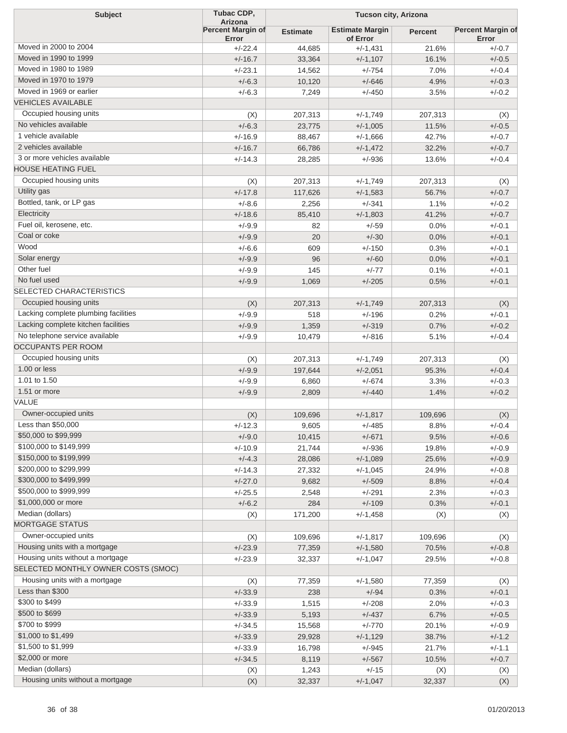| <b>Subject</b>                       | Tubac CDP,<br><b>Arizona</b> |                 | Tucson city, Arizona               |                |                                   |  |
|--------------------------------------|------------------------------|-----------------|------------------------------------|----------------|-----------------------------------|--|
|                                      | Percent Margin of<br>Error   | <b>Estimate</b> | <b>Estimate Margin</b><br>of Error | <b>Percent</b> | <b>Percent Margin of</b><br>Error |  |
| Moved in 2000 to 2004                | $+/-22.4$                    | 44,685          | $+/-1,431$                         | 21.6%          | $+/-0.7$                          |  |
| Moved in 1990 to 1999                | $+/-16.7$                    | 33,364          | $+/-1,107$                         | 16.1%          | $+/-0.5$                          |  |
| Moved in 1980 to 1989                | $+/-23.1$                    | 14,562          | +/-754                             | 7.0%           | $+/-0.4$                          |  |
| Moved in 1970 to 1979                | $+/-6.3$                     | 10,120          | $+/-646$                           | 4.9%           | $+/-0.3$                          |  |
| Moved in 1969 or earlier             | $+/-6.3$                     | 7,249           | $+/-450$                           | 3.5%           | $+/-0.2$                          |  |
| <b>VEHICLES AVAILABLE</b>            |                              |                 |                                    |                |                                   |  |
| Occupied housing units               | (X)                          | 207,313         | $+/-1,749$                         | 207,313        | (X)                               |  |
| No vehicles available                | $+/-6.3$                     | 23,775          | $+/-1,005$                         | 11.5%          | $+/-0.5$                          |  |
| 1 vehicle available                  | $+/-16.9$                    | 88,467          | $+/-1,666$                         | 42.7%          | $+/-0.7$                          |  |
| 2 vehicles available                 | $+/-16.7$                    | 66,786          | $+/-1,472$                         | 32.2%          | $+/-0.7$                          |  |
| 3 or more vehicles available         | $+/-14.3$                    | 28,285          | $+/-936$                           | 13.6%          | $+/-0.4$                          |  |
| <b>HOUSE HEATING FUEL</b>            |                              |                 |                                    |                |                                   |  |
| Occupied housing units               | (X)                          | 207,313         | $+/-1,749$                         | 207,313        | (X)                               |  |
| Utility gas                          | $+/-17.8$                    | 117,626         | $+/-1,583$                         | 56.7%          | $+/-0.7$                          |  |
| Bottled, tank, or LP gas             | $+/-8.6$                     | 2,256           | $+/-341$                           | 1.1%           | $+/-0.2$                          |  |
| Electricity                          | $+/-18.6$                    | 85,410          | $+/-1,803$                         | 41.2%          | $+/-0.7$                          |  |
| Fuel oil, kerosene, etc.             | $+/-9.9$                     | 82              | $+/-59$                            | 0.0%           | $+/-0.1$                          |  |
| Coal or coke                         | $+/-9.9$                     | 20              | $+/-30$                            | 0.0%           | $+/-0.1$                          |  |
| Wood                                 | $+/-6.6$                     | 609             | $+/-150$                           | 0.3%           | $+/-0.1$                          |  |
| Solar energy                         | $+/-9.9$                     | 96              | $+/-60$                            | 0.0%           | $+/-0.1$                          |  |
| Other fuel                           | $+/-9.9$                     | 145             | $+/-77$                            | 0.1%           | $+/-0.1$                          |  |
| No fuel used                         | $+/-9.9$                     | 1,069           | $+/-205$                           | 0.5%           | $+/-0.1$                          |  |
| SELECTED CHARACTERISTICS             |                              |                 |                                    |                |                                   |  |
| Occupied housing units               | (X)                          | 207,313         | $+/-1,749$                         | 207,313        | (X)                               |  |
| Lacking complete plumbing facilities | $+/-9.9$                     | 518             | $+/-196$                           | 0.2%           | $+/-0.1$                          |  |
| Lacking complete kitchen facilities  | $+/-9.9$                     | 1,359           | $+/-319$                           | 0.7%           | $+/-0.2$                          |  |
| No telephone service available       | $+/-9.9$                     | 10,479          | $+/-816$                           | 5.1%           | $+/-0.4$                          |  |
| <b>OCCUPANTS PER ROOM</b>            |                              |                 |                                    |                |                                   |  |
| Occupied housing units               | (X)                          | 207,313         | $+/-1,749$                         | 207,313        | (X)                               |  |
| 1.00 or less                         | $+/-9.9$                     | 197,644         | $+/-2,051$                         | 95.3%          | $+/-0.4$                          |  |
| 1.01 to 1.50                         | $+/-9.9$                     | 6,860           | $+/-674$                           | 3.3%           | $+/-0.3$                          |  |
| 1.51 or more                         | $+/-9.9$                     | 2,809           | $+/-440$                           | 1.4%           | $+/-0.2$                          |  |
| VALUE                                |                              |                 |                                    |                |                                   |  |
| Owner-occupied units                 | (X)                          | 109,696         | $+/-1,817$                         | 109,696        | (X)                               |  |
| Less than \$50,000                   | +/-12.3                      | 9,605           | +/-485                             | 8.8%           | +/-0.4                            |  |
| \$50,000 to \$99,999                 | $+/-9.0$                     | 10,415          | $+/-671$                           | 9.5%           | $+/-0.6$                          |  |
| \$100,000 to \$149,999               | $+/-10.9$                    | 21,744          | $+/-936$                           | 19.8%          | $+/-0.9$                          |  |
| \$150,000 to \$199,999               | $+/-4.3$                     | 28,086          | $+/-1,089$                         | 25.6%          | $+/-0.9$                          |  |
| \$200,000 to \$299,999               | $+/-14.3$                    | 27,332          | $+/-1,045$                         | 24.9%          | $+/-0.8$                          |  |
| \$300,000 to \$499,999               | $+/-27.0$                    | 9,682           | $+/-509$                           | 8.8%           | $+/-0.4$                          |  |
| \$500,000 to \$999,999               | $+/-25.5$                    | 2,548           | $+/-291$                           | 2.3%           | $+/-0.3$                          |  |
| \$1,000,000 or more                  | $+/-6.2$                     | 284             | $+/-109$                           | 0.3%           | $+/-0.1$                          |  |
| Median (dollars)                     | (X)                          | 171,200         | $+/-1,458$                         | (X)            | (X)                               |  |
| <b>MORTGAGE STATUS</b>               |                              |                 |                                    |                |                                   |  |
| Owner-occupied units                 | (X)                          | 109,696         | $+/-1,817$                         | 109,696        | (X)                               |  |
| Housing units with a mortgage        | $+/-23.9$                    | 77,359          | $+/-1,580$                         | 70.5%          | $+/-0.8$                          |  |
| Housing units without a mortgage     | $+/-23.9$                    | 32,337          | $+/-1,047$                         | 29.5%          | $+/-0.8$                          |  |
| SELECTED MONTHLY OWNER COSTS (SMOC)  |                              |                 |                                    |                |                                   |  |
| Housing units with a mortgage        |                              |                 |                                    |                |                                   |  |
| Less than \$300                      | (X)<br>$+/-33.9$             | 77,359<br>238   | $+/-1,580$<br>$+/-94$              | 77,359<br>0.3% | (X)<br>$+/-0.1$                   |  |
| \$300 to \$499                       | $+/-33.9$                    |                 | $+/-208$                           |                | $+/-0.3$                          |  |
| \$500 to \$699                       |                              | 1,515           |                                    | 2.0%           |                                   |  |
| \$700 to \$999                       | $+/-33.9$                    | 5,193           | $+/-437$                           | 6.7%           | $+/-0.5$                          |  |
| \$1,000 to \$1,499                   | $+/-34.5$                    | 15,568          | $+/-770$                           | 20.1%          | $+/-0.9$                          |  |
| \$1,500 to \$1,999                   | $+/-33.9$                    | 29,928          | $+/-1,129$                         | 38.7%          | $+/-1.2$                          |  |
| \$2,000 or more                      | $+/-33.9$                    | 16,798          | $+/-945$                           | 21.7%          | $+/-1.1$                          |  |
| Median (dollars)                     | $+/-34.5$                    | 8,119           | $+/-567$                           | 10.5%          | $+/-0.7$                          |  |
| Housing units without a mortgage     | (X)                          | 1,243           | $+/-15$                            | (X)            | (X)                               |  |
|                                      | (X)                          | 32,337          | $+/-1,047$                         | 32,337         | (X)                               |  |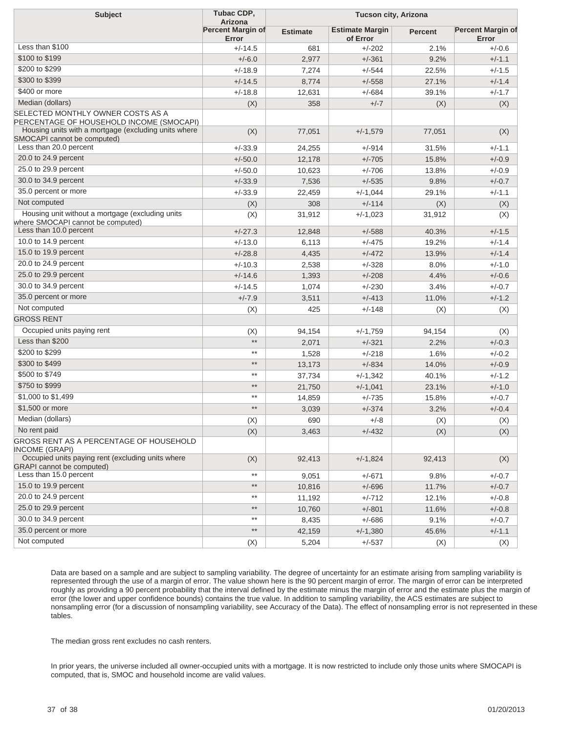| <b>Subject</b>                                                                                                                        | Tubac CDP,<br><b>Arizona</b>      | <b>Tucson city, Arizona</b> |                                    |                |                                   |
|---------------------------------------------------------------------------------------------------------------------------------------|-----------------------------------|-----------------------------|------------------------------------|----------------|-----------------------------------|
|                                                                                                                                       | <b>Percent Margin of</b><br>Error | <b>Estimate</b>             | <b>Estimate Margin</b><br>of Error | <b>Percent</b> | <b>Percent Margin of</b><br>Error |
| Less than \$100                                                                                                                       | $+/-14.5$                         | 681                         | $+/-202$                           | 2.1%           | $+/-0.6$                          |
| \$100 to \$199                                                                                                                        | $+/-6.0$                          | 2,977                       | $+/-361$                           | 9.2%           | $+/-1.1$                          |
| \$200 to \$299                                                                                                                        | $+/-18.9$                         | 7,274                       | $+/-544$                           | 22.5%          | $+/-1.5$                          |
| \$300 to \$399                                                                                                                        | $+/-14.5$                         | 8,774                       | $+/-558$                           | 27.1%          | $+/-1.4$                          |
| \$400 or more                                                                                                                         | $+/-18.8$                         | 12,631                      | $+/-684$                           | 39.1%          | $+/-1.7$                          |
| Median (dollars)                                                                                                                      | (X)                               | 358                         | $+/-7$                             | (X)            | (X)                               |
| SELECTED MONTHLY OWNER COSTS AS A<br>PERCENTAGE OF HOUSEHOLD INCOME (SMOCAPI)<br>Housing units with a mortgage (excluding units where |                                   |                             |                                    |                |                                   |
| SMOCAPI cannot be computed)                                                                                                           | (X)                               | 77,051                      | $+/-1,579$                         | 77,051         | (X)                               |
| Less than 20.0 percent                                                                                                                | $+/-33.9$                         | 24,255                      | +/-914                             | 31.5%          | $+/-1.1$                          |
| 20.0 to 24.9 percent                                                                                                                  | $+/-50.0$                         | 12,178                      | $+/-705$                           | 15.8%          | $+/-0.9$                          |
| 25.0 to 29.9 percent                                                                                                                  | $+/-50.0$                         | 10,623                      | $+/-706$                           | 13.8%          | $+/-0.9$                          |
| 30.0 to 34.9 percent                                                                                                                  | $+/-33.9$                         | 7,536                       | $+/-535$                           | 9.8%           | $+/-0.7$                          |
| 35.0 percent or more                                                                                                                  | $+/-33.9$                         | 22,459                      | $+/-1,044$                         | 29.1%          | $+/-1.1$                          |
| Not computed                                                                                                                          | (X)                               | 308                         | $+/-114$                           | (X)            | (X)                               |
| Housing unit without a mortgage (excluding units<br>where SMOCAPI cannot be computed)                                                 | (X)                               | 31,912                      | $+/-1,023$                         | 31,912         | (X)                               |
| Less than 10.0 percent                                                                                                                | $+/-27.3$                         | 12,848                      | $+/-588$                           | 40.3%          | $+/-1.5$                          |
| 10.0 to 14.9 percent                                                                                                                  | $+/-13.0$                         | 6,113                       | $+/-475$                           | 19.2%          | $+/-1.4$                          |
| 15.0 to 19.9 percent                                                                                                                  | $+/-28.8$                         | 4,435                       | $+/-472$                           | 13.9%          | $+/-1.4$                          |
| 20.0 to 24.9 percent                                                                                                                  | $+/-10.3$                         | 2,538                       | $+/-328$                           | 8.0%           | $+/-1.0$                          |
| 25.0 to 29.9 percent                                                                                                                  | $+/-14.6$                         | 1,393                       | $+/-208$                           | 4.4%           | $+/-0.6$                          |
| 30.0 to 34.9 percent                                                                                                                  | $+/-14.5$                         | 1,074                       | $+/-230$                           | 3.4%           | $+/-0.7$                          |
| 35.0 percent or more                                                                                                                  | $+/-7.9$                          | 3,511                       | $+/-413$                           | 11.0%          | $+/-1.2$                          |
| Not computed                                                                                                                          | (X)                               | 425                         | $+/-148$                           | (X)            | (X)                               |
| GROSS RENT                                                                                                                            |                                   |                             |                                    |                |                                   |
| Occupied units paying rent                                                                                                            | (X)                               | 94,154                      | $+/-1,759$                         | 94,154         | (X)                               |
| Less than \$200                                                                                                                       | $^{\star\star}$                   | 2,071                       | $+/-321$                           | 2.2%           | $+/-0.3$                          |
| \$200 to \$299                                                                                                                        | $^{\star\star}$                   | 1,528                       | $+/-218$                           | 1.6%           | $+/-0.2$                          |
| \$300 to \$499                                                                                                                        | $**$                              | 13,173                      | $+/-834$                           | 14.0%          | $+/-0.9$                          |
| \$500 to \$749                                                                                                                        | $^{\star\star}$                   | 37,734                      | $+/-1,342$                         | 40.1%          | $+/-1.2$                          |
| \$750 to \$999                                                                                                                        | $^{\star\star}$                   | 21,750                      | $+/-1,041$                         | 23.1%          | $+/-1.0$                          |
| \$1,000 to \$1,499                                                                                                                    | $^{\star\star}$                   | 14,859                      | $+/-735$                           | 15.8%          | $+/-0.7$                          |
| \$1,500 or more                                                                                                                       | $^{\star\star}$                   | 3,039                       | $+/-374$                           | 3.2%           | $+/-0.4$                          |
| Median (dollars)                                                                                                                      | (X)                               | 690                         | $+/-8$                             | (X)            | (X)                               |
| No rent paid                                                                                                                          | (X)                               | 3,463                       | $+/-432$                           | (X)            | (X)                               |
| GROSS RENT AS A PERCENTAGE OF HOUSEHOLD<br>INCOME (GRAPI)                                                                             |                                   |                             |                                    |                |                                   |
| Occupied units paying rent (excluding units where<br><b>GRAPI</b> cannot be computed)                                                 | (X)                               | 92,413                      | $+/-1,824$                         | 92,413         | (X)                               |
| Less than 15.0 percent                                                                                                                | $^{\star\star}$                   | 9,051                       | $+/-671$                           | 9.8%           | $+/-0.7$                          |
| 15.0 to 19.9 percent                                                                                                                  | $^{\star\star}$                   | 10,816                      | $+/-696$                           | 11.7%          | $+/-0.7$                          |
| 20.0 to 24.9 percent                                                                                                                  | $^{\star\star}$                   | 11,192                      | $+/-712$                           | 12.1%          | $+/-0.8$                          |
| 25.0 to 29.9 percent                                                                                                                  | $\star\star$                      | 10,760                      | $+/-801$                           | 11.6%          | $+/-0.8$                          |
| 30.0 to 34.9 percent                                                                                                                  | $^{\star\star}$                   | 8,435                       | $+/-686$                           | 9.1%           | $+/-0.7$                          |
| 35.0 percent or more                                                                                                                  | $^{\star\star}$                   | 42,159                      | $+/-1,380$                         | 45.6%          | $+/-1.1$                          |
| Not computed                                                                                                                          | (X)                               | 5,204                       | $+/-537$                           | (X)            | (X)                               |

Data are based on a sample and are subject to sampling variability. The degree of uncertainty for an estimate arising from sampling variability is represented through the use of a margin of error. The value shown here is the 90 percent margin of error. The margin of error can be interpreted roughly as providing a 90 percent probability that the interval defined by the estimate minus the margin of error and the estimate plus the margin of error (the lower and upper confidence bounds) contains the true value. In addition to sampling variability, the ACS estimates are subject to nonsampling error (for a discussion of nonsampling variability, see Accuracy of the Data). The effect of nonsampling error is not represented in these tables.

The median gross rent excludes no cash renters.

In prior years, the universe included all owner-occupied units with a mortgage. It is now restricted to include only those units where SMOCAPI is computed, that is, SMOC and household income are valid values.